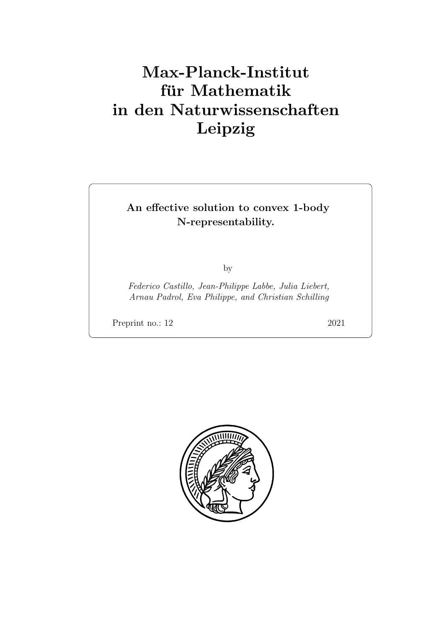# Max-Planck-Institut für Mathematik in den Naturwissenschaften Leipzig

## An effective solution to convex 1-body N-representability.

by

Federico Castillo, Jean-Philippe Labbe, Julia Liebert, Arnau Padrol, Eva Philippe, and Christian Schilling

Preprint no.: 12 2021

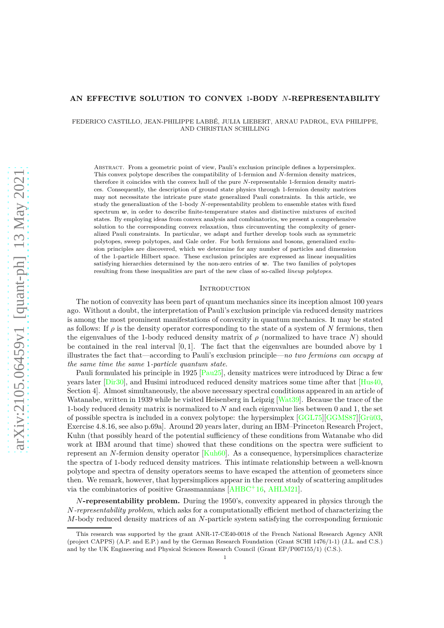### **AN EFFECTIVE SOLUTION TO CONVEX** 1**-BODY** *N***-REPRESENTABILITY**

FEDERICO CASTILLO, JEAN-PHILIPPE LABBÉ, JULIA LIEBERT, ARNAU PADROL, EVA PHILIPPE, AND CHRISTIAN SCHILLING

Abstract. From a geometric point of view, Pauli's exclusion principle defines a hypersimplex. This convex polytope describes the compatibility of 1-fermion and *N*-fermion density matrices, therefore it coincides with the convex hull of the pure *N*-representable 1-fermion density matrices. Consequently, the description of ground state physics through 1-fermion density matrices may not necessitate the intricate pure state generalized Pauli constraints. In this article, we study the generalization of the 1-body *N*-representability problem to ensemble states with fixed spectrum *w*, in order to describe finite-temperature states and distinctive mixtures of excited states. By employing ideas from convex analysis and combinatorics, we present a comprehensive solution to the corresponding convex relaxation, thus circumventing the complexity of generalized Pauli constraints. In particular, we adapt and further develop tools such as symmetric polytopes, sweep polytopes, and Gale order. For both fermions and bosons, generalized exclusion principles are discovered, which we determine for any number of particles and dimension of the 1-particle Hilbert space. These exclusion principles are expressed as linear inequalities satisfying hierarchies determined by the non-zero entries of *w*. The two families of polytopes resulting from these inequalities are part of the new class of so-called *lineup polytopes*.

### <span id="page-2-0"></span>**INTRODUCTION**

The notion of convexity has been part of quantum mechanics since its inception almost 100 years ago. Without a doubt, the interpretation of Pauli's exclusion principle via reduced density matrices is among the most prominent manifestations of convexity in quantum mechanics. It may be stated as follows: If  $\rho$  is the density operator corresponding to the state of a system of N fermions, then the eigenvalues of the 1-body reduced density matrix of  $\rho$  (normalized to have trace  $N$ ) should be contained in the real interval [0*,* 1]. The fact that the eigenvalues are bounded above by 1 illustrates the fact that—according to Pauli's exclusion principle—*no two fermions can occupy at the same time the same* 1*-particle quantum state*.

Pauli formulated his principle in 1925 [\[Pau25\]](#page-54-0), density matrices were introduced by Dirac a few years later [\[Dir30\]](#page-53-0), and Husimi introduced reduced density matrices some time after that [\[Hus40,](#page-53-1) Section 4]. Almost simultaneously, the above necessary spectral conditions appeared in an article of Watanabe, written in 1939 while he visited Heisenberg in Leipzig [\[Wat39\]](#page-55-0). Because the trace of the 1-body reduced density matrix is normalized to *N* and each eigenvalue lies between 0 and 1, the set of possible spectra is included in a convex polytope: the hypersimplex [\[GGL75\]](#page-53-2)[\[GGMS87\]](#page-53-3)[\[Grü03,](#page-53-4) Exercise 4.8.16, see also p.69a]. Around 20 years later, during an IBM–Princeton Research Project, Kuhn (that possibly heard of the potential sufficiency of these conditions from Watanabe who did work at IBM around that time) showed that these conditions on the spectra were sufficient to represent an *N*-fermion density operator [\[Kuh60\]](#page-53-5). As a consequence, hypersimplices characterize the spectra of 1-body reduced density matrices. This intimate relationship between a well-known polytope and spectra of density operators seems to have escaped the attention of geometers since then. We remark, however, that hypersimplices appear in the recent study of scattering amplitudes via the combinatorics of positive Grassmannians [\[AHBC](#page-52-0)<sup>+</sup>16, [AHLM21\]](#page-52-1).

*N***-representability problem.** During the 1950's, convexity appeared in physics through the *N-representability problem*, which asks for a computationally efficient method of characterizing the *M*-body reduced density matrices of an *N*-particle system satisfying the corresponding fermionic

This research was supported by the grant ANR-17-CE40-0018 of the French National Research Agency ANR (project CAPPS) (A.P. and E.P.) and by the German Research Foundation (Grant SCHI 1476/1-1) (J.L. and C.S.) and by the UK Engineering and Physical Sciences Research Council (Grant EP/P007155/1) (C.S.).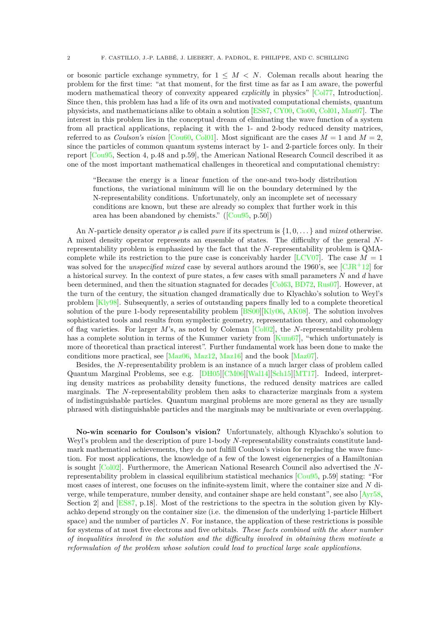or bosonic particle exchange symmetry, for  $1 \leq M \leq N$ . Coleman recalls about hearing the problem for the first time: "at that moment, for the first time as far as I am aware, the powerful modern mathematical theory of convexity appeared *explicitly* in physics" [\[Col77,](#page-52-2) Introduction]. Since then, this problem has had a life of its own and motivated computational chemists, quantum physicists, and mathematicians alike to obtain a solution [\[ES87,](#page-53-6) [CY00,](#page-52-3) [Cio00,](#page-52-4) [Col01,](#page-52-5) [Maz07\]](#page-54-1). The interest in this problem lies in the conceptual dream of eliminating the wave function of a system from all practical applications, replacing it with the 1- and 2-body reduced density matrices, referred to as *Coulson's vision* [Cou<sub>60</sub>, [Col01\]](#page-52-5). Most significant are the cases  $M = 1$  and  $M = 2$ , since the particles of common quantum systems interact by 1- and 2-particle forces only. In their report [\[Cou95,](#page-52-7) Section 4, p.48 and p.59], the American National Research Council described it as one of the most important mathematical challenges in theoretical and computational chemistry:

"Because the energy is a linear function of the one-and two-body distribution functions, the variational minimum will lie on the boundary determined by the N-representability conditions. Unfortunately, only an incomplete set of necessary conditions are known, but these are already so complex that further work in this area has been abandoned by chemists."([\[Cou95,](#page-52-7) p.50])

An *N*-particle density operator  $\rho$  is called *pure* if its spectrum is  $\{1, 0, \ldots\}$  and *mixed* otherwise. A mixed density operator represents an ensemble of states. The difficulty of the general *N*representability problem is emphasized by the fact that the *N*-representability problem is QMA-complete while its restriction to the pure case is conceivably harder [\[LCV07\]](#page-54-2). The case  $M = 1$ was solved for the *unspecified mixed* case by several authors around the 1960's, see [\[CJR](#page-52-8)<sup>+</sup>12] for a historical survey. In the context of pure states, a few cases with small parameters *N* and *d* have been determined, and then the situation stagnated for decades [\[Col63,](#page-52-9) [BD72,](#page-52-10) [Rus07\]](#page-54-3). However, at the turn of the century, the situation changed dramatically due to Klyachko's solution to Weyl's problem [\[Kly98\]](#page-53-7). Subsequently, a series of outstanding papers finally led to a complete theoretical solution of the pure 1-body representability problem [\[BS00\]](#page-52-11)[\[Kly06,](#page-53-8) [AK08\]](#page-52-12). The solution involves sophisticated tools and results from symplectic geometry, representation theory, and cohomology of flag varieties. For larger *M*'s, as noted by Coleman [\[Col02\]](#page-52-13), the *N*-representability problem has a complete solution in terms of the Kummer variety from [\[Kum67\]](#page-53-9), "which unfortunately is more of theoretical than practical interest". Further fundamental work has been done to make the conditions more practical, see  $[Maz06, Maz12, Maz16]$  $[Maz06, Maz12, Maz16]$  $[Maz06, Maz12, Maz16]$  $[Maz06, Maz12, Maz16]$  and the book  $[Maz07]$ .

Besides, the *N*-representability problem is an instance of a much larger class of problem called Quantum Marginal Problems, see e.g. [\[DH05\]](#page-52-14)[\[CM06\]](#page-52-15)[\[Wal14\]](#page-55-1)[\[Sch15\]](#page-54-7)[\[MT17\]](#page-54-8). Indeed, interpreting density matrices as probability density functions, the reduced density matrices are called marginals. The *N*-representability problem then asks to characterize marginals from a system of indistinguishable particles. Quantum marginal problems are more general as they are usually phrased with distinguishable particles and the marginals may be multivariate or even overlapping.

**No-win scenario for Coulson's vision?** Unfortunately, although Klyachko's solution to Weyl's problem and the description of pure 1-body *N*-representability constraints constitute landmark mathematical achievements, they do not fulfill Coulson's vision for replacing the wave function. For most applications, the knowledge of a few of the lowest eigenenergies of a Hamiltonian is sought [\[Col02\]](#page-52-13). Furthermore, the American National Research Council also advertised the *N*representability problem in classical equilibrium statistical mechanics [\[Cou95,](#page-52-7) p.59] stating: "For most cases of interest, one focuses on the infinite-system limit, where the container size and *N* diverge, while temperature, number density, and container shape are held constant", see also [\[Ayr58,](#page-52-16) Section 2] and [\[ES87,](#page-53-6) p.18]. Most of the restrictions to the spectra in the solution given by Klyachko depend strongly on the container size (i.e. the dimension of the underlying 1-particle Hilbert space) and the number of particles *N*. For instance, the application of these restrictions is possible for systems of at most five electrons and five orbitals. *These facts combined with the sheer number of inequalities involved in the solution and the difficulty involved in obtaining them motivate a reformulation of the problem whose solution could lead to practical large scale applications.*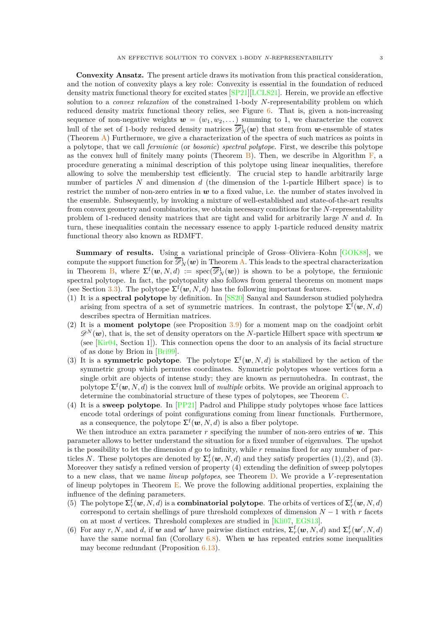**Convexity Ansatz.** The present article draws its motivation from this practical consideration, and the notion of convexity plays a key role: Convexity is essential in the foundation of reduced density matrix functional theory for excited states [\[SP21\]](#page-55-2)[\[LCLS21\]](#page-54-9). Herein, we provide an effective solution to a *convex relaxation* of the constrained 1-body *N*-representability problem on which reduced density matrix functional theory relies, see Figure [6.](#page-19-0) That is, given a non-increasing sequence of non-negative weights  $w = (w_1, w_2, \dots)$  summing to 1, we characterize the convex hull of the set of 1-body reduced density matrices  $\overline{\mathscr{D}}_N^1(\bm{w})$  that stem from  $\bm{w}$ -ensemble of states (Theorem [A\)](#page-17-0) Furthermore, we give a characterization of the spectra of such matrices as points in a polytope, that we call *fermionic* (or *bosonic*) *spectral polytope*. First, we describe this polytope as the convex hull of finitely many points (Theorem [B\)](#page-18-0). Then, we describe in Algorithm  $\mathbf{F}$ , a procedure generating a minimal description of this polytope using linear inequalities, therefore allowing to solve the membership test efficiently. The crucial step to handle arbitrarily large number of particles *N* and dimension *d* (the dimension of the 1-particle Hilbert space) is to restrict the number of non-zero entries in *w* to a fixed value, i.e. the number of states involved in the ensemble. Subsequently, by invoking a mixture of well-established and state-of-the-art results from convex geometry and combinatorics, we obtain necessary conditions for the *N*-representability problem of 1-reduced density matrices that are tight and valid for arbitrarily large *N* and *d*. In turn, these inequalities contain the necessary essence to apply 1-particle reduced density matrix functional theory also known as RDMFT.

**Summary of results.** Using a variational principle of Gross-Oliviera-Kohn [\[GOK88\]](#page-53-10), we compute the support function for  $\overline{\mathscr{D}}_N^1(\bm{w})$  in Theorem [A.](#page-17-0) This leads to the spectral characterization in Theorem [B,](#page-18-0) where  $\Sigma^{\text{f}}(\boldsymbol{w}, N, d) := \text{spec}(\overline{\mathscr{D}}_N^1(\boldsymbol{w}))$  is shown to be a polytope, the fermionic spectral polytope. In fact, the polytopality also follows from general theorems on moment maps (see Section [3.3\)](#page-19-1). The polytope  $\Sigma^f(w, N, d)$  has the following important features.

- (1) It is a **spectral polytope** by definition. In [\[SS20\]](#page-54-10) Sanyal and Saunderson studied polyhedra arising from spectra of a set of symmetric matrices. In contrast, the polytope  $\Sigma^{\text{f}}(\boldsymbol{w},N,d)$ describes spectra of Hermitian matrices.
- (2) It is a **moment polytope** (see Proposition [3.9\)](#page-20-0) for a moment map on the coadjoint orbit  $\mathscr{D}^N(w)$ , that is, the set of density operators on the *N*-particle Hilbert space with spectrum *w* (see [\[Kir04,](#page-53-11) Section 1]). This connection opens the door to an analysis of its facial structure of as done by Brion in [\[Bri99\]](#page-52-17).
- (3) It is a **symmetric polytope**. The polytope  $\Sigma^f(w, N, d)$  is stabilized by the action of the symmetric group which permutes coordinates. Symmetric polytopes whose vertices form a single orbit are objects of intense study; they are known as permutohedra. In contrast, the polytope  $\Sigma^{\text{f}}(\boldsymbol{w},N,d)$  is the convex hull of *multiple* orbits. We provide an original approach to determine the combinatorial structure of these types of polytopes, see Theorem [C.](#page-26-0)
- (4) It is a **sweep polytope**. In [\[PP21\]](#page-54-11) Padrol and Philippe study polytopes whose face lattices encode total orderings of point configurations coming from linear functionals. Furthermore, as a consequence, the polytope  $\Sigma^{\text{f}}(\boldsymbol{w}, N, d)$  is also a fiber polytope.

We then introduce an extra parameter *r* specifying the number of non-zero entries of *w*. This parameter allows to better understand the situation for a fixed number of eigenvalues. The upshot is the possibility to let the dimension *d* go to infinity, while *r* remains fixed for any number of particles *N*. These polytopes are denoted by  $\Sigma_r^f(w, N, d)$  and they satisfy properties (1),(2), and (3). Moreover they satisfy a refined version of property (4) extending the definition of sweep polytopes to a new class, that we name *lineup polytopes*, see Theorem [D.](#page-28-0) We provide a *V* -representation of lineup polytopes in Theorem  $E$ . We prove the following additional properties, explaining the influence of the defining parameters.

- (5) The polytope  $\Sigma_r^f(w, N, d)$  is a **combinatorial polytope**. The orbits of vertices of  $\Sigma_r^f(w, N, d)$ correspond to certain shellings of pure threshold complexes of dimension  $N-1$  with  $r$  facets on at most *d* vertices. Threshold complexes are studied in [\[Kli07,](#page-53-12) [EGS13\]](#page-53-13).
- (6) For any *r*, *N*, and *d*, if *w* and *w'* have pairwise distinct entries,  $\Sigma_r^f(w, N, d)$  and  $\Sigma_r^f(w', N, d)$ have the same normal fan (Corollary [6.8\)](#page-30-0). When *w* has repeated entries some inequalities may become redundant (Proposition [6.13\)](#page-31-0).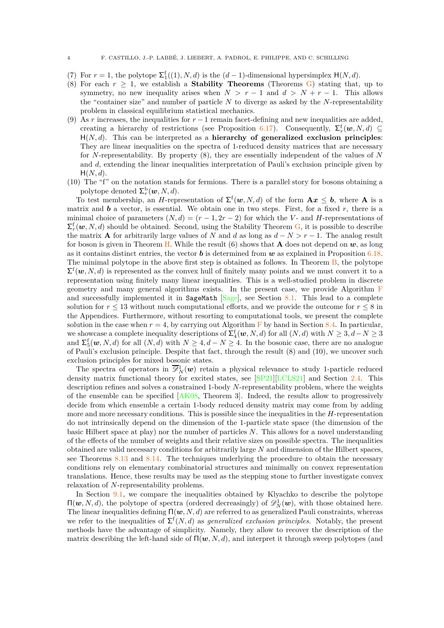- (7) For  $r = 1$ , the polytope  $\Sigma_1^f((1), N, d)$  is the  $(d-1)$ -dimensional hypersimplex  $H(N, d)$ .
- (8) For each  $r \geq 1$ , we establish a **Stability Theorems** (Theorems [G\)](#page-41-0) stating that, up to symmetry, no new inequality arises when  $N > r - 1$  and  $d > N + r - 1$ . This allows the "container size" and number of particle *N* to diverge as asked by the *N*-representability problem in classical equilibrium statistical mechanics.
- (9) As *r* increases, the inequalities for  $r 1$  remain facet-defining and new inequalities are added, creating a hierarchy of restrictions (see Proposition [6.17\)](#page-32-0). Consequently,  $\Sigma_r^f(w, N, d) \subseteq$ H(*N, d*). This can be interpreted as a **hierarchy of generalized exclusion principles**: They are linear inequalities on the spectra of 1-reduced density matrices that are necessary for *N*-representability. By property (8), they are essentially independent of the values of *N* and *d*, extending the linear inequalities interpretation of Pauli's exclusion principle given by  $H(N, d)$ .
- (10) The "f" on the notation stands for fermions. There is a parallel story for bosons obtaining a polytope denoted  $\Sigma_r^{\mathrm{b}}(\boldsymbol{w},N,d)$ .

To test membership, an *H*-representation of  $\Sigma^f(w, N, d)$  of the form  $A x \leq b$ , where A is a matrix and  $\boldsymbol{b}$  a vector, is essential. We obtain one in two steps. First, for a fixed  $r$ , there is a minimal choice of parameters  $(N, d) = (r - 1, 2r - 2)$  for which the *V*- and *H*-representations of  $\sum_{r}^{\mathbf{f}}(\boldsymbol{w},N,d)$  should be obtained. Second, using the Stability Theorem [G,](#page-41-0) it is possible to describe the matrix **A** for arbitrarily large values of *N* and *d* as long as  $d - N > r - 1$ . The analog result for boson is given in Theorem [H.](#page-43-0) While the result (6) shows that **A** does not depend on *w*, as long as it contains distinct entries, the vector *b* is determined from *w* as explained in Proposition [6.18.](#page-33-0) The minimal polytope in the above first step is obtained as follows. In Theorem [B,](#page-18-0) the polytope  $\Sigma^{\text{f}}(\boldsymbol{w},N,d)$  is represented as the convex hull of finitely many points and we must convert it to a representation using finitely many linear inequalities. This is a well-studied problem in discrete geometry and many general algorithms exists. In the present case, we provide Algorithm [F](#page-37-0) and successfully implemented it in SageMath  $[Sage]$ , see Section [8.1.](#page-37-1) This lead to a complete solution for  $r \leq 13$  without much computational efforts, and we provide the outcome for  $r \leq 8$  in the Appendices. Furthermore, without resorting to computational tools, we present the complete solution in the case when  $r = 4$ , by carrying out Algorithm [F](#page-37-0) by hand in Section [8.4.](#page-44-0) In particular, we showcase a complete inequality descriptions of  $\sum_{4}^{f}$  (*w, N, d*) for all  $(N, d)$  with  $N \geq 3, d - N \geq 3$ and  $\Sigma_5^{\rm f}(\boldsymbol{w}, N, d)$  for all  $(N, d)$  with  $N \geq 4, d - N \geq 4$ . In the bosonic case, there are no analogue of Pauli's exclusion principle. Despite that fact, through the result (8) and (10), we uncover such exclusion principles for mixed bosonic states.

The spectra of operators in  $\overline{\mathscr{D}}_N^1(w)$  retain a physical relevance to study 1-particle reduced density matrix functional theory for excited states, see [\[SP21\]](#page-55-2)[\[LCLS21\]](#page-54-9) and Section [2.4.](#page-14-0) This description refines and solves a constrained 1-body *N*-representability problem, where the weights of the ensemble can be specified  $[AK08, Theorem 3]$ . Indeed, the results allow to progressively decide from which ensemble a certain 1-body reduced density matrix may come from by adding more and more necessary conditions. This is possible since the inequalities in the *H*-representation do not intrinsically depend on the dimension of the 1-particle state space (the dimension of the basic Hilbert space at play) nor the number of particles *N*. This allows for a novel understanding of the effects of the number of weights and their relative sizes on possible spectra. The inequalities obtained are valid necessary conditions for arbitrarily large *N* and dimension of the Hilbert spaces, see Theorems [8.13](#page-46-0) and [8.14.](#page-46-1) The techniques underlying the procedure to obtain the necessary conditions rely on elementary combinatorial structures and minimally on convex representation translations. Hence, these results may be used as the stepping stone to further investigate convex relaxation of *N*-representability problems.

In Section [9.1,](#page-47-0) we compare the inequalities obtained by Klyachko to describe the polytope  $\Pi(w, N, d)$ , the polytope of spectra (ordered decreasingly) of  $\mathscr{D}_N^1(w)$ , with those obtained here. The linear inequalities defining  $\P(\mathbf{w}, N, d)$  are referred to as generalized Pauli constraints, whereas we refer to the inequalities of  $\Sigma^{\text{f}}(N,d)$  as *generalized exclusion principles*. Notably, the present methods have the advantage of simplicity. Namely, they allow to recover the description of the matrix describing the left-hand side of  $\Pi(w, N, d)$ , and interpret it through sweep polytopes (and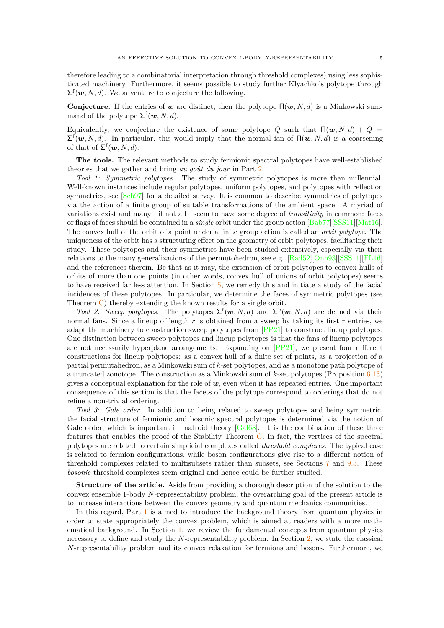therefore leading to a combinatorial interpretation through threshold complexes) using less sophisticated machinery. Furthermore, it seems possible to study further Klyachko's polytope through  $\Sigma^{\text{f}}(\boldsymbol{w}, N, d)$ . We adventure to conjecture the following.

**Conjecture.** If the entries of *w* are distinct, then the polytope Π(*w, N, d*) is a Minkowski summand of the polytope  $\Sigma^{\text{f}}(\boldsymbol{w}, N, d)$ .

Equivalently, we conjecture the existence of some polytope *Q* such that  $\Pi(\mathbf{w}, N, d) + Q =$  $\Sigma^f(w, N, d)$ . In particular, this would imply that the normal fan of  $Π(w, N, d)$  is a coarsening of that of  $\Sigma^{\text{f}}(\boldsymbol{w},N,d)$ .

**The tools.** The relevant methods to study fermionic spectral polytopes have well-established theories that we gather and bring *au goût du jour* in Part [2.](#page-22-0)

*Tool 1: Symmetric polytopes.* The study of symmetric polytopes is more than millennial. Well-known instances include regular polytopes, uniform polytopes, and polytopes with reflection symmetries, see  $\lceil \text{Sch}97 \rceil$  for a detailed survey. It is common to describe symmetries of polytopes via the action of a finite group of suitable transformations of the ambient space. A myriad of variations exist and many—if not all—seem to have some degree of *transitivity* in common: faces or flags of faces should be contained in a *single* orbit under the group action [\[Bab77\]](#page-52-18)[\[SSS11\]](#page-54-12)[\[Mat16\]](#page-54-13). The convex hull of the orbit of a point under a finite group action is called an *orbit polytope*. The uniqueness of the orbit has a structuring effect on the geometry of orbit polytopes, facilitating their study. These polytopes and their symmetries have been studied extensively, especially via their relations to the many generalizations of the permutohedron, see e.g. [\[Rad52\]](#page-54-14)[\[Onn93\]](#page-54-15)[\[SSS11\]](#page-54-12)[\[FL16\]](#page-53-14) and the references therein. Be that as it may, the extension of orbit polytopes to convex hulls of orbits of more than one points (in other words, convex hull of unions of orbit polytopes) seems to have received far less attention. In Section [5,](#page-24-0) we remedy this and initiate a study of the facial incidences of these polytopes. In particular, we determine the faces of symmetric polytopes (see Theorem [C\)](#page-26-0) thereby extending the known results for a single orbit.

*Tool 2: Sweep polytopes.* The polytopes  $\Sigma^f(w, N, d)$  and  $\Sigma^b(w, N, d)$  are defined via their normal fans. Since a lineup of length *r* is obtained from a sweep by taking its first *r* entries, we adapt the machinery to construction sweep polytopes from [\[PP21\]](#page-54-11) to construct lineup polytopes. One distinction between sweep polytopes and lineup polytopes is that the fans of lineup polytopes are not necessarily hyperplane arrangements. Expanding on [\[PP21\]](#page-54-11), we present four different constructions for lineup polytopes: as a convex hull of a finite set of points, as a projection of a partial permutahedron, as a Minkowski sum of *k*-set polytopes, and as a monotone path polytope of a truncated zonotope. The construction as a Minkowski sum of *k*-set polytopes (Proposition [6.13\)](#page-31-0) gives a conceptual explanation for the role of *w*, even when it has repeated entries. One important consequence of this section is that the facets of the polytope correspond to orderings that do not refine a non-trivial ordering.

*Tool 3: Gale order.* In addition to being related to sweep polytopes and being symmetric, the facial structure of fermionic and bosonic spectral polytopes is determined via the notion of Gale order, which is important in matroid theory  $[Ga168]$ . It is the combination of these three features that enables the proof of the Stability Theorem [G.](#page-41-0) In fact, the vertices of the spectral polytopes are related to certain simplicial complexes called *threshold complexes*. The typical case is related to fermion configurations, while boson configurations give rise to a different notion of threshold complexes related to multisubsets rather than subsets, see Sections [7](#page-34-0) and [9.3.](#page-49-0) These *bosonic* threshold complexes seem original and hence could be further studied.

**Structure of the article.** Aside from providing a thorough description of the solution to the convex ensemble 1-body *N*-representability problem, the overarching goal of the present article is to increase interactions between the convex geometry and quantum mechanics communities.

In this regard, Part [1](#page-9-0) is aimed to introduce the background theory from quantum physics in order to state appropriately the convex problem, which is aimed at readers with a more mathematical background. In Section [1,](#page-9-1) we review the fundamental concepts from quantum physics necessary to define and study the *N*-representability problem. In Section [2,](#page-11-0) we state the classical *N*-representability problem and its convex relaxation for fermions and bosons. Furthermore, we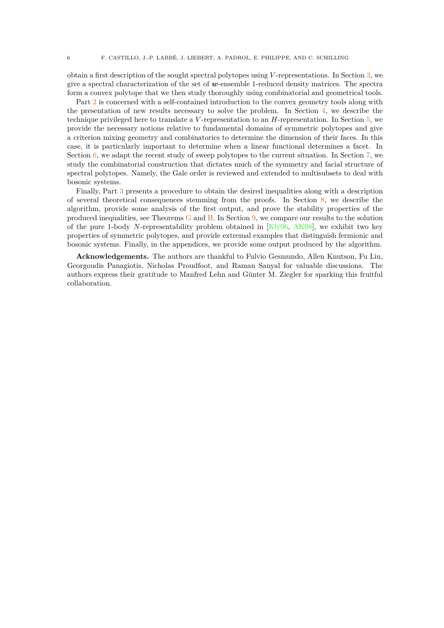obtain a first description of the sought spectral polytopes using *V* -representations. In Section [3,](#page-16-0) we give a spectral characterization of the set of *w*-ensemble 1-reduced density matrices. The spectra form a convex polytope that we then study thoroughly using combinatorial and geometrical tools.

Part [2](#page-22-0) is concerned with a self-contained introduction to the convex geometry tools along with the presentation of new results necessary to solve the problem. In Section [4,](#page-22-1) we describe the technique privileged here to translate a *V* -representation to an *H*-representation. In Section [5,](#page-24-0) we provide the necessary notions relative to fundamental domains of symmetric polytopes and give a criterion mixing geometry and combinatorics to determine the dimension of their faces. In this case, it is particularly important to determine when a linear functional determines a facet. In Section  $6$ , we adapt the recent study of sweep polytopes to the current situation. In Section [7,](#page-34-0) we study the combinatorial construction that dictates much of the symmetry and facial structure of spectral polytopes. Namely, the Gale order is reviewed and extended to multisubsets to deal with bosonic systems.

Finally, Part [3](#page-36-0) presents a procedure to obtain the desired inequalities along with a description of several theoretical consequences stemming from the proofs. In Section [8,](#page-37-2) we describe the algorithm, provide some analysis of the first output, and prove the stability properties of the produced inequalities, see Theorems [G](#page-41-0) and [H.](#page-43-0) In Section [9,](#page-47-1) we compare our results to the solution of the pure 1-body *N*-representability problem obtained in [\[Kly06,](#page-53-8) [AK08\]](#page-52-12), we exhibit two key properties of symmetric polytopes, and provide extremal examples that distinguish fermionic and bosonic systems. Finally, in the appendices, we provide some output produced by the algorithm.

**Acknowledgements.** The authors are thankful to Fulvio Gesmundo, Allen Knutson, Fu Liu, Georgoudis Panagiotis, Nicholas Proudfoot, and Raman Sanyal for valuable discussions. The authors express their gratitude to Manfred Lehn and Günter M. Ziegler for sparking this fruitful collaboration.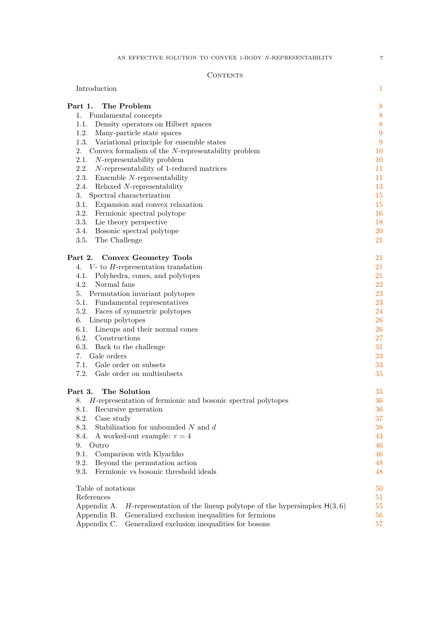### CONTENTS

| Introduction                                                                        | $\mathbf{1}$  |
|-------------------------------------------------------------------------------------|---------------|
| Part 1.<br>The Problem                                                              | 8             |
| Fundamental concepts<br>1.                                                          | 8             |
| Density operators on Hilbert spaces<br>1.1.                                         | 8             |
| 1.2.<br>Many-particle state spaces                                                  | 9             |
| 1.3.<br>Variational principle for ensemble states                                   | 9             |
| 2.<br>Convex formalism of the $N$ -representability problem                         | 10            |
| 2.1.<br>$N$ -representability problem                                               | <sup>10</sup> |
| 2.2.<br>N-representability of 1-reduced matrices                                    | 11            |
| 2.3.<br>Ensemble $N$ -representability                                              | 11            |
| 2.4.<br>Relaxed N-representability                                                  | 13            |
| 3.<br>Spectral characterization                                                     | 15            |
| 3.1.<br>Expansion and convex relaxation                                             | 15            |
| 3.2.<br>Fermionic spectral polytope                                                 | 16            |
| 3.3.<br>Lie theory perspective                                                      | 18            |
| 3.4.<br>Bosonic spectral polytope                                                   | <b>20</b>     |
| 3.5.<br>The Challenge                                                               | 21            |
| Part 2. Convex Geometry Tools                                                       | 21            |
| $V$ - to $H$ -representation translation<br>4.                                      | 21            |
| 4.1.<br>Polyhedra, cones, and polytopes                                             | 21            |
| 4.2.<br>Normal fans                                                                 | 22            |
| 5. Permutation invariant polytopes                                                  | 23            |
| 5.1.<br>Fundamental representatives                                                 | 23            |
| 5.2.<br>Faces of symmetric polytopes                                                | 24            |
| 6. Lineup polytopes                                                                 | 26            |
| 6.1. Lineups and their normal cones                                                 | 26            |
| 6.2. Constructions                                                                  | 27            |
| 6.3.<br>Back to the challenge                                                       | 31            |
| Gale orders<br>7.                                                                   | 33            |
| 7.1.<br>Gale order on subsets                                                       | 33            |
| 7.2.<br>Gale order on multisubsets                                                  | 35            |
| Part 3.<br>The Solution                                                             | 35            |
| H-representation of fermionic and bosonic spectral polytopes<br>8.                  | 36            |
| 8.1. Recursive generation                                                           | 36            |
| 8.2.<br>Case study                                                                  | 37            |
| Stabilization for unbounded $N$ and $d$<br>8.3.                                     | 38            |
| A worked-out example: $r = 4$<br>8.4.                                               | 43            |
| 9.<br>Outro                                                                         | 46            |
| 9.1.<br>Comparison with Klyachko                                                    | 46            |
| 9.2.<br>Beyond the permutation action                                               | 48            |
| Fermionic vs bosonic threshold ideals<br>9.3.                                       | 48            |
| Table of notations                                                                  | $50\,$        |
| References                                                                          | 51            |
| Appendix A.<br>H-representation of the lineup polytope of the hypersimplex $H(3,6)$ | 55            |
| Generalized exclusion inequalities for fermions<br>Appendix B.                      | 56            |
|                                                                                     |               |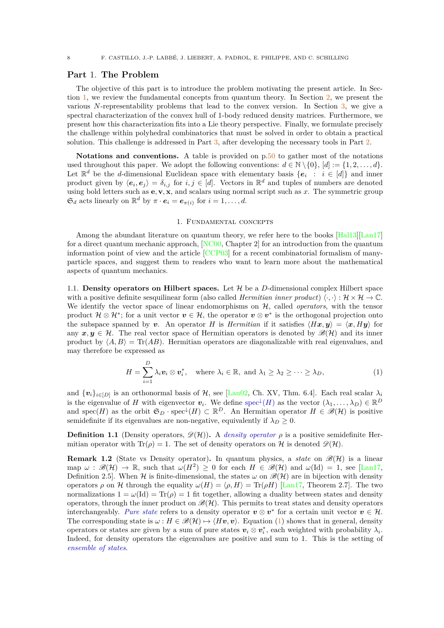### <span id="page-9-0"></span>**Part** 1. **The Problem**

The objective of this part is to introduce the problem motivating the present article. In Section [1,](#page-9-1) we review the fundamental concepts from quantum theory. In Section [2,](#page-11-0) we present the various *N*-representability problems that lead to the convex version. In Section [3,](#page-16-0) we give a spectral characterization of the convex hull of 1-body reduced density matrices. Furthermore, we present how this characterization fits into a Lie theory perspective. Finally, we formulate precisely the challenge within polyhedral combinatorics that must be solved in order to obtain a practical solution. This challenge is addressed in Part [3,](#page-36-0) after developing the necessary tools in Part [2.](#page-22-0)

**Notations and conventions.** A table is provided on p[.50](#page-51-0) to gather most of the notations used throughout this paper. We adopt the following conventions:  $d \in \mathbb{N} \setminus \{0\}$ ,  $[d] := \{1, 2, \ldots, d\}$ . Let  $\mathbb{R}^d$  be the *d*-dimensional Euclidean space with elementary basis  $\{e_i : i \in [d]\}$  and inner product given by  $\langle e_i, e_j \rangle = \delta_{i,j}$  for  $i, j \in [d]$ . Vectors in  $\mathbb{R}^d$  and tuples of numbers are denoted using bold letters such as  $\mathbf{e}, \mathbf{v}, \mathbf{x}$ , and scalars using normal script such as  $x$ . The symmetric group  $\mathfrak{S}_d$  acts linearly on  $\mathbb{R}^d$  by  $\pi \cdot \mathbf{e}_i = \mathbf{e}_{\pi(i)}$  for  $i = 1, \dots, d$ .

### 1. Fundamental concepts

<span id="page-9-1"></span>Among the abundant literature on quantum theory, we refer here to the books [\[Hal13\]](#page-53-16)[\[Lan17\]](#page-54-16) for a direct quantum mechanic approach,  $[NC<sub>00</sub>]$ , Chapter 2 for an introduction from the quantum information point of view and the article  $[CCP03]$  for a recent combinatorial formalism of manyparticle spaces, and suggest them to readers who want to learn more about the mathematical aspects of quantum mechanics.

<span id="page-9-2"></span>1.1. **Density operators on Hilbert spaces.** Let  $H$  be a *D*-dimensional complex Hilbert space with a positive definite sesquilinear form (also called *Hermitian inner product*)  $\langle \cdot, \cdot \rangle : \mathcal{H} \times \mathcal{H} \to \mathbb{C}$ . We identify the vector space of linear endomorphisms on H, called *operators*, with the tensor product  $\mathcal{H} \otimes \mathcal{H}^*$ ; for a unit vector  $v \in \mathcal{H}$ , the operator  $v \otimes v^*$  is the orthogonal projection onto the subspace spanned by *v*. An operator *H* is *Hermitian* if it satisfies  $\langle Hx, y \rangle = \langle x, Hy \rangle$  for any  $x, y \in \mathcal{H}$ . The real vector space of Hermitian operators is denoted by  $\mathscr{B}(\mathcal{H})$  and its inner product by  $\langle A, B \rangle = \text{Tr}(AB)$ . Hermitian operators are diagonalizable with real eigenvalues, and may therefore be expressed as

<span id="page-9-3"></span>
$$
H = \sum_{i=1}^{D} \lambda_i \mathbf{v}_i \otimes \mathbf{v}_i^*, \quad \text{where } \lambda_i \in \mathbb{R}, \text{ and } \lambda_1 \geq \lambda_2 \geq \cdots \geq \lambda_D,
$$
 (1)

and  $\{v_i\}_{i\in[D]}$  is an orthonormal basis of  $H$ , see [\[Lan02,](#page-54-18) Ch. XV, Thm. 6.4]. Each real scalar  $\lambda_i$ is the eigenvalue of *H* with eigenvector  $v_i$ . We define  $spec^{\downarrow}(H)$  as the vector  $(\lambda_1,\ldots,\lambda_D) \in \mathbb{R}^D$ and spec(*H*) as the orbit  $\mathfrak{S}_D \cdot \text{spec}^{\downarrow}(H) \subset \mathbb{R}^D$ . An Hermitian operator  $H \in \mathscr{B}(\mathcal{H})$  is positive semidefinite if its eigenvalues are non-negative, equivalently if  $\lambda_D \geq 0$ .

<span id="page-9-4"></span>**Definition 1.1** (Density operators,  $\mathscr{D}(\mathcal{H})$ ). A *density operator*  $\rho$  is a positive semidefinite Hermitian operator with  $\text{Tr}(\rho) = 1$ . The set of density operators on H is denoted  $\mathscr{D}(\mathcal{H})$ .

**Remark 1.2** (State vs Density operator). In quantum physics, a *state* on  $\mathcal{B}(\mathcal{H})$  is a linear  $\text{map } \omega : \mathscr{B}(\mathcal{H}) \to \mathbb{R}$ , such that  $\omega(H^2) \geq 0$  for each  $H \in \mathscr{B}(\mathcal{H})$  and  $\omega(\text{Id}) = 1$ , see [\[Lan17,](#page-54-16) Definition 2.5. When H is finite-dimensional, the states  $\omega$  on  $\mathscr{B}(H)$  are in bijection with density operators  $\rho$  on H through the equality  $\omega(H) = \langle \rho, H \rangle = \text{Tr}(\rho H)$  [\[Lan17,](#page-54-16) Theorem 2.7]. The two normalizations  $1 = \omega(\text{Id}) = \text{Tr}(\rho) = 1$  fit together, allowing a duality between states and density operators, through the inner product on  $\mathscr{B}(\mathcal{H})$ . This permits to treat states and density operators interchangeably. *Pure state* refers to a density operator  $v \otimes v^*$  for a certain unit vector  $v \in \mathcal{H}$ . The corresponding state is  $\omega : H \in \mathcal{B}(\mathcal{H}) \mapsto \langle Hv, v \rangle$ . Equation [\(1\)](#page-9-3) shows that in general, density operators or states are given by a sum of pure states  $v_i \otimes v_i^*$ , each weighted with probability  $\lambda_i$ . Indeed, for density operators the eigenvalues are positive and sum to 1. This is the setting of *ensemble of states*.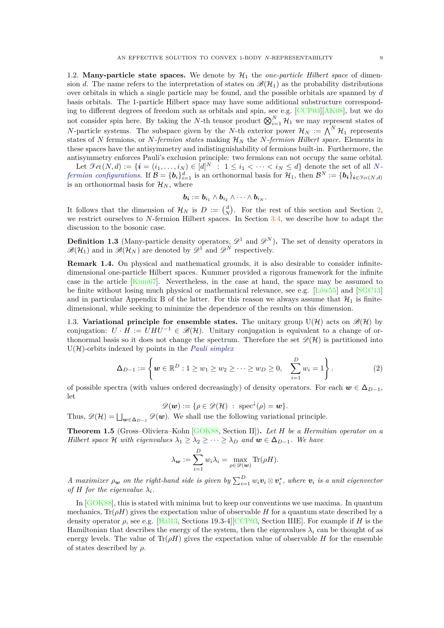<span id="page-10-0"></span>1.2. **Many-particle state spaces.** We denote by  $H_1$  the *one-particle Hilbert space* of dimension *d*. The name refers to the interpretation of states on  $\mathcal{B}(\mathcal{H}_1)$  as the probability distributions over orbitals in which a single particle may be found, and the possible orbitals are spanned by *d* basis orbitals. The 1-particle Hilbert space may have some additional substructure corresponding to different degrees of freedom such as orbitals and spin, see e.g. [\[CCP03\]](#page-52-20)[\[AK08\]](#page-52-12), but we do not consider spin here. By taking the *N*-th tensor product  $\bigotimes_{i=1}^{N} \mathcal{H}_1$  we may represent states of *N*-particle systems. The subspace given by the *N*-th exterior power  $\mathcal{H}_N := \bigwedge^N \mathcal{H}_1$  represents states of N fermions, or N-fermion states making  $\mathcal{H}_N$  the N-fermion Hilbert space. Elements in these spaces have the antisymmetry and indistinguishability of fermions built-in. Furthermore, the

antisymmetry enforces Pauli's exclusion principle: two fermions can not occupy the same orbital. Let  $\mathcal{F}ev(N, d) := \{i = (i_1, \ldots, i_N) \in [d]^N : 1 \leq i_1 < \cdots < i_N \leq d\}$  denote the set of all N*fermion configurations.* If  $\mathcal{B} = \{b_i\}_{i=1}^d$  is an orthonormal basis for  $\mathcal{H}_1$ , then  $\mathcal{B}^N := \{b_i\}_{i \in \mathcal{F}_{\text{\'{e}t}}(N,d)}$ is an orthonormal basis for  $\mathcal{H}_N$ , where

$$
\boldsymbol{b_i}:=\boldsymbol{b}_{i_1}\wedge \boldsymbol{b}_{i_2}\wedge \cdots \wedge \boldsymbol{b}_{i_N}.
$$

It follows that the dimension of  $\mathcal{H}_N$  is  $D := \begin{pmatrix} d \\ N \end{pmatrix}$ . For the rest of this section and Section [2,](#page-11-0) we restrict ourselves to *N*-fermion Hilbert spaces. In Section [3.4,](#page-21-0) we describe how to adapt the discussion to the bosonic case.

<span id="page-10-2"></span>**Definition 1.3** (Many-particle density operators,  $\mathscr{D}^1$  and  $\mathscr{D}^N$ ). The set of density operators in  $\mathscr{B}(\mathcal{H}_1)$  and in  $\mathscr{B}(\mathcal{H}_N)$  are denoted by  $\mathscr{D}^1$  and  $\mathscr{D}^N$  respectively.

**Remark 1.4.** On physical and mathematical grounds, it is also desirable to consider infinitedimensional one-particle Hilbert spaces. Kummer provided a rigorous framework for the infinite case in the article [\[Kum67\]](#page-53-9). Nevertheless, in the case at hand, the space may be assumed to be finite without losing much physical or mathematical relevance, see e.g. [\[Löw55\]](#page-54-19) and [\[SGC13\]](#page-54-20) and in particular Appendix B of the latter. For this reason we always assume that  $\mathcal{H}_1$  is finitedimensional, while seeking to minimize the dependence of the results on this dimension.

<span id="page-10-1"></span>1.3. **Variational principle for ensemble states.** The unitary group  $U(\mathcal{H})$  acts on  $\mathcal{B}(\mathcal{H})$  by conjugation:  $U \cdot H := U H U^{-1} \in \mathcal{B}(\mathcal{H})$ . Unitary conjugation is equivalent to a change of orthonormal basis so it does not change the spectrum. Therefore the set  $\mathscr{D}(\mathcal{H})$  is partitioned into U(H)-orbits indexed by points in the *Pauli simplex*

<span id="page-10-4"></span>
$$
\Delta_{D-1} := \left\{ \mathbf{w} \in \mathbb{R}^D : 1 \ge w_1 \ge w_2 \ge \dots \ge w_D \ge 0, \quad \sum_{i=1}^D w_i = 1 \right\}.
$$
 (2)

of possible spectra (with values ordered decreasingly) of density operators. For each  $w \in \Delta_{D-1}$ , let

$$
\mathscr{D}(\boldsymbol{w}) := \{ \rho \in \mathscr{D}(\mathcal{H}) \; : \; \mathrm{spec}^{\downarrow}(\rho) = \boldsymbol{w} \}.
$$

Thus,  $\mathscr{D}(\mathcal{H}) = \bigsqcup_{\mathbf{w}\in \Delta_{D-1}} \mathscr{D}(\mathbf{w})$ . We shall use the following variational principle.

<span id="page-10-3"></span>**Theorem 1.5** (Gross–Oliviera–Kohn [\[GOK88,](#page-53-10) Section II])**.** *Let H be a Hermitian operator on a Hilbert space*  $\mathcal{H}$  *with eigenvalues*  $\lambda_1 \geq \lambda_2 \geq \cdots \geq \lambda_D$  *and*  $\mathbf{w} \in \Delta_{D-1}$ *. We have* 

$$
\lambda_{\mathbf{w}} := \sum_{i=1}^{D} w_i \lambda_i = \max_{\rho \in \mathscr{D}(\mathbf{w})} \text{Tr}(\rho H).
$$

*A* maximizer  $\rho_{\bm{w}}$  on the right-hand side is given by  $\sum_{i=1}^D w_i \bm{v}_i \otimes \bm{v}_i^*$ , where  $\bm{v}_i$  is a unit eigenvector *of H for the eigenvalue*  $\lambda_i$ *.* 

In [\[GOK88\]](#page-53-10), this is stated with minima but to keep our conventions we use maxima. In quantum mechanics,  $Tr(\rho H)$  gives the expectation value of observable *H* for a quantum state described by a density operator *ρ*, see e.g. [\[Hal13,](#page-53-16) Sections 19.3-4][\[CCP03,](#page-52-20) Section IIIE]. For example if *H* is the Hamiltonian that describes the energy of the system, then the eigenvalues  $\lambda_i$  can be thought of as energy levels. The value of  $\text{Tr}(\rho H)$  gives the expectation value of observable *H* for the ensemble of states described by *ρ*.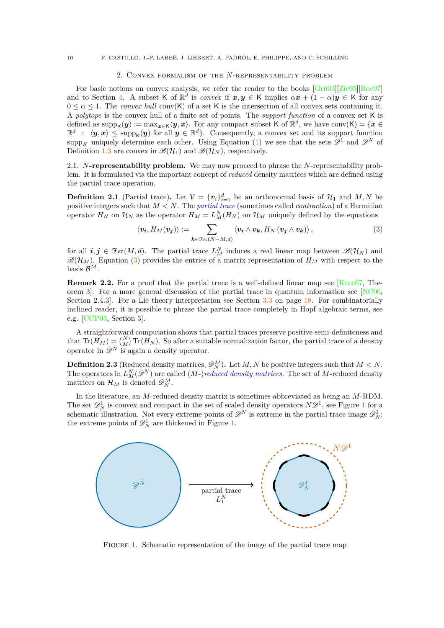### 2. Convex formalism of the *N*-representability problem

<span id="page-11-0"></span>For basic notions on convex analysis, we refer the reader to the books [\[Grü03\]](#page-53-4)[\[Zie95\]](#page-55-5)[\[Roc97\]](#page-54-21) and to Section [4.](#page-22-1) A subset K of  $\mathbb{R}^d$  is *convex* if  $x, y \in K$  implies  $\alpha x + (1 - \alpha)y \in K$  for any  $0 \leq \alpha \leq 1$ . The *convex hull* conv(K) of a set K is the intersection of all convex sets containing it. A *polytope* is the convex hull of a finite set of points. The *support function* of a convex set K is defined as  $\text{supp}_{\mathsf{K}}(\bm{y}) := \max_{\bm{x} \in \mathsf{K}} \langle \bm{y}, \bm{x} \rangle$ . For any compact subset K of  $\mathbb{R}^d$ , we have  $\text{conv}(\mathsf{K}) = \{\bm{x} \in \mathsf{K} \mid \forall \bm{x} \in \mathsf{K} \}$  $\mathbb{R}^d$  :  $\langle y, x \rangle \leq \text{supp}_{\mathsf{K}}(y)$  for all  $y \in \mathbb{R}^d$ . Consequently, a convex set and its support function supp<sub>K</sub> uniquely determine each other. Using Equation [\(1\)](#page-9-3) we see that the sets  $\mathscr{D}^1$  and  $\mathscr{D}^N$  of Definition [1.3](#page-10-2) are convex in  $\mathscr{B}(\mathcal{H}_1)$  and  $\mathscr{B}(\mathcal{H}_N)$ , respectively.

<span id="page-11-1"></span>2.1. *N***-representability problem.** We may now proceed to phrase the *N*-representability problem. It is formulated via the important concept of *reduced* density matrices which are defined using the partial trace operation.

<span id="page-11-4"></span>**Definition 2.1** (Partial trace). Let  $V = \{v_i\}_{i=1}^d$  be an orthonormal basis of  $\mathcal{H}_1$  and  $M, N$  be positive integers such that *M < N*. The *partial trace* (sometimes called *contraction*) of a Hermitian operator  $H_N$  on  $\mathcal{H}_N$  as the operator  $H_M = L_M^N(H_N)$  on  $\mathcal{H}_M$  uniquely defined by the equations

<span id="page-11-2"></span>
$$
\langle v_{\boldsymbol{i}}, H_M(v_{\boldsymbol{j}}) \rangle := \sum_{\boldsymbol{k} \in \mathcal{F}_{e\mathfrak{k}}(N-M,d)} \langle v_{\boldsymbol{i}} \wedge v_{\boldsymbol{k}}, H_N(v_{\boldsymbol{j}} \wedge v_{\boldsymbol{k}}) \rangle, \qquad (3)
$$

for all  $i, j \in \mathcal{F}ev(M, d)$ . The partial trace  $L_M^N$  induces a real linear map between  $\mathscr{B}(\mathcal{H}_N)$  and  $\mathscr{B}(\mathcal{H}_M)$ . Equation [\(3\)](#page-11-2) provides the entries of a matrix representation of  $H_M$  with respect to the basis  $\mathcal{B}^M$ .

<span id="page-11-5"></span>**Remark 2.2.** For a proof that the partial trace is a well-defined linear map see [\[Kum67,](#page-53-9) Theorem 3. For a more general discussion of the partial trace in quantum information see  $NCO0$ , Section 2.4.3. For a Lie theory interpretation see Section  $3.3$  on page [18.](#page-19-1) For combinatorially inclined reader, it is possible to phrase the partial trace completely in Hopf algebraic terms, see e.g. [\[CCP03,](#page-52-20) Section 3].

A straightforward computation shows that partial traces preserve positive semi-definiteness and that  $Tr(H_M) = {N \choose M} Tr(H_N)$ . So after a suitable normalization factor, the partial trace of a density operator in  $\mathscr{D}^N$  is again a density operator.

**Definition 2.3** (Reduced density matrices,  $\mathscr{D}_{N}^{M}$ ). Let *M*, *N* be positive integers such that  $M < N$ . The operators in  $L_M^N(\mathscr{D}^N)$  are called  $(M-)reduced$  density matrices. The set of M-reduced density matrices on  $\mathcal{H}_M$  is denoted  $\mathscr{D}_N^M$ .

In the literature, an *M*-reduced density matrix is sometimes abbreviated as being an *M*-RDM. The set  $\mathscr{D}_N^1$  $\mathscr{D}_N^1$  is convex and compact in the set of scaled density operators  $N\mathscr{D}^1$ , see Figure 1 for a schematic illustration. Not every extreme points of  $\mathscr{D}^N$  is extreme in the partial trace image  $\mathscr{D}^1_N$ : the extreme points of  $\mathscr{D}_N^1$  are thickened in Figure [1.](#page-11-3)

<span id="page-11-3"></span>

FIGURE 1. Schematic representation of the image of the partial trace map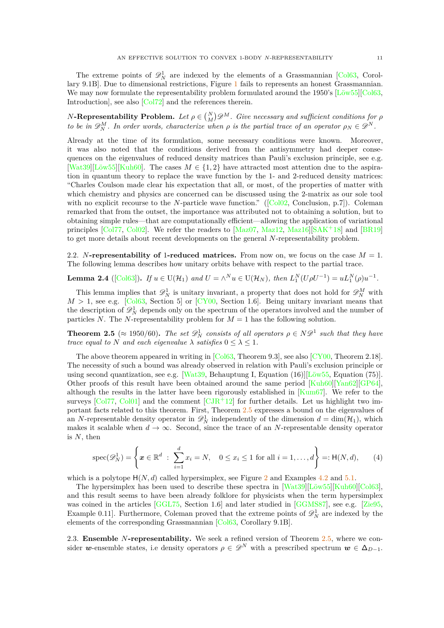The extreme points of  $\mathcal{D}_N^1$  are indexed by the elements of a Grassmannian [\[Col63,](#page-52-9) Corollary 9.1B]. Due to dimensional restrictions, Figure [1](#page-11-3) fails to represents an honest Grassmannian. We may now formulate the representability problem formulated around the 1950's  $[L\ddot{\omega} \text{w} 55][\text{Col} 63,$ Introduction], see also [\[Col72\]](#page-52-21) and the references therein.

*N***-Representability Problem.** *Let*  $\rho \in \binom{N}{M} \mathscr{D}^M$ *. Give necessary and sufficient conditions for*  $\rho$ *to be in*  $\mathscr{D}_{N}^{M}$ . In order words, characterize when  $\rho$  is the partial trace of an operator  $\rho_{N} \in \mathscr{D}^{N}$ .

Already at the time of its formulation, some necessary conditions were known. Moreover, it was also noted that the conditions derived from the antisymmetry had deeper consequences on the eigenvalues of reduced density matrices than Pauli's exclusion principle, see e.g. [\[Wat39\]](#page-55-0)[\[Löw55\]](#page-54-19)[\[Kuh60\]](#page-53-5). The cases  $M \in \{1, 2\}$  have attracted most attention due to the aspiration in quantum theory to replace the wave function by the 1- and 2-reduced density matrices: "Charles Coulson made clear his expectation that all, or most, of the properties of matter with which chemistry and physics are concerned can be discussed using the 2-matrix as our sole tool withno explicit recourse to the *N*-particle wave function." ([\[Col02,](#page-52-13) Conclusion, p.7]). Coleman remarked that from the outset, the importance was attributed not to obtaining a solution, but to obtaining simple rules—that are computationally efficient—allowing the application of variational principles [\[Col77,](#page-52-2) [Col02\]](#page-52-13). We refer the readers to [\[Maz07,](#page-54-1) [Maz12,](#page-54-5) [Maz16\]](#page-54-6)[\[SAK](#page-54-22)<sup>+</sup>18] and [\[BR19\]](#page-52-22) to get more details about recent developments on the general *N*-representability problem.

<span id="page-12-0"></span>2.2. *N***-representability of 1-reduced matrices.** From now on, we focus on the case  $M = 1$ . The following lemma describes how unitary orbits behave with respect to the partial trace.

<span id="page-12-3"></span>**Lemma 2.4** ([\[Col63\]](#page-52-9)). *If*  $u \in U(\mathcal{H}_1)$  *and*  $U = \wedge^N u \in U(\mathcal{H}_N)$ , *then*  $L_1^N(U\rho U^{-1}) = uL_1^N(\rho)u^{-1}$ .

This lemma implies that  $\mathscr{D}_N^1$  is unitary invariant, a property that does not hold for  $\mathscr{D}_N^M$  with  $M > 1$ , see e.g. [\[Col63,](#page-52-9) Section 5] or [\[CY00,](#page-52-3) Section 1.6]. Being unitary invariant means that the description of  $\mathscr{D}_N^1$  depends only on the spectrum of the operators involved and the number of particles *N*. The *N*-representability problem for  $M = 1$  has the following solution.

<span id="page-12-2"></span>**Theorem 2.5** ( $\approx 1950/60$ ). The set  $\mathscr{D}_{N}^{1}$  consists of all operators  $\rho \in N\mathscr{D}^{1}$  such that they have *trace equal to N and each eigenvalue*  $\lambda$  *satisfies*  $0 \leq \lambda \leq 1$ *.* 

The above theorem appeared in writing in  $[Col63, Theorem 9.3]$ , see also  $[CY00, Theorem 2.18]$ . The necessity of such a bound was already observed in relation with Pauli's exclusion principle or using second quantization, see e.g. [\[Wat39,](#page-55-0) Behauptung I, Equation (16)][\[Löw55,](#page-54-19) Equation (75)]. Other proofs of this result have been obtained around the same period [\[Kuh60\]](#page-53-5)[\[Yan62\]](#page-55-6)[\[GP64\]](#page-53-17), although the results in the latter have been rigorously established in  $\text{Kum67}$ . We refer to the surveys  $\lceil \text{Col} \rceil$ ,  $\text{Col} \rceil$  and the comment  $\lceil \text{CJR+12} \rceil$  for further details. Let us highlight two important facts related to this theorem. First, Theorem [2.5](#page-12-2) expresses a bound on the eigenvalues of an *N*-representable density operator in  $\mathcal{D}_N^1$  independently of the dimension  $d = \dim(\mathcal{H}_1)$ , which makes it scalable when  $d \to \infty$ . Second, since the trace of an *N*-representable density operator is *N*, then

<span id="page-12-4"></span>
$$
spec(\mathscr{D}_N^1) = \left\{ \pmb{x} \in \mathbb{R}^d \; : \; \sum_{i=1}^d x_i = N, \quad 0 \le x_i \le 1 \text{ for all } i = 1, \dots, d \right\} =: \mathsf{H}(N, d), \qquad (4)
$$

which is a polytope  $H(N, d)$  called hypersimplex, see Figure [2](#page-13-0) and Examples [4.2](#page-23-1) and [5.1.](#page-24-2)

The hypersimplex has been used to describe these spectra in [\[Wat39\]](#page-55-0)[\[Löw55\]](#page-54-19)[\[Kuh60\]](#page-53-5)[\[Col63\]](#page-52-9), and this result seems to have been already folklore for physicists when the term hypersimplex was coined in the articles [\[GGL75,](#page-53-2) Section 1.6] and later studied in [\[GGMS87\]](#page-53-3), see e.g. [\[Zie95,](#page-55-5) Example 0.11]. Furthermore, Coleman proved that the extreme points of  $\mathscr{D}_N^1$  are indexed by the elements of the corresponding Grassmannian [\[Col63,](#page-52-9) Corollary 9.1B].

<span id="page-12-1"></span>2.3. **Ensemble** *N***-representability.** We seek a refined version of Theorem [2.5,](#page-12-2) where we consider *w*-ensemble states, i.e density operators  $\rho \in \mathscr{D}^N$  with a prescribed spectrum  $w \in \Delta_{D-1}$ .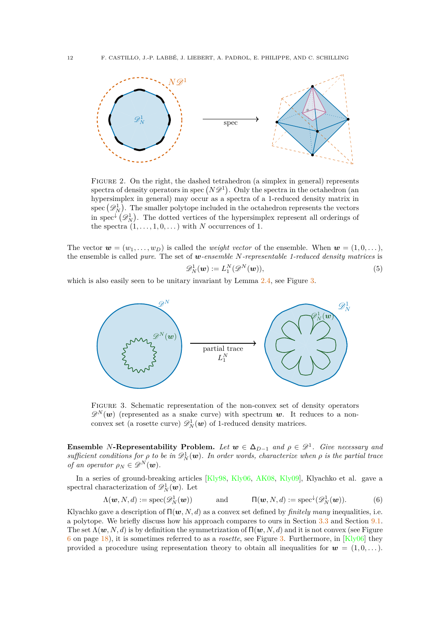<span id="page-13-0"></span>

Figure 2. On the right, the dashed tetrahedron (a simplex in general) represents spectra of density operators in spec  $(N\mathscr{D}^1)$ . Only the spectra in the octahedron (an hypersimplex in general) may occur as a spectra of a 1-reduced density matrix in spec  $(\mathscr{D}_N^1)$ . The smaller polytope included in the octahedron represents the vectors in spec<sup> $\downarrow$ </sup>  $(\mathscr{D}_{N}^{1})$ . The dotted vertices of the hypersimplex represent all orderings of the spectra  $(1, \ldots, 1, 0, \ldots)$  with *N* occurrences of 1.

The vector  $\mathbf{w} = (w_1, \ldots, w_D)$  is called the *weight vector* of the ensemble. When  $\mathbf{w} = (1, 0, \ldots)$ , the ensemble is called *pure*. The set of *w-ensemble N-representable 1-reduced density matrices* is

<span id="page-13-2"></span>
$$
\mathscr{D}_N^1(\boldsymbol{w}) := L_1^N(\mathscr{D}^N(\boldsymbol{w})),\tag{5}
$$

<span id="page-13-1"></span>which is also easily seen to be unitary invariant by Lemma  $2.4$ , see Figure [3.](#page-13-1)



Figure 3. Schematic representation of the non-convex set of density operators  $\mathscr{D}^N(w)$  (represented as a snake curve) with spectrum *w*. It reduces to a nonconvex set (a rosette curve)  $\mathscr{D}_{N}^{1}(\boldsymbol{w})$  of 1-reduced density matrices.

**Ensemble** *N***-Representability Problem.** Let  $w \in \Delta_{D-1}$  and  $\rho \in \mathcal{D}^1$ . Give necessary and  $sufficient conditions for  $\rho$  to be in  $\mathscr{D}_{N}^{1}(\mathbf{w})$ . In order words, characterize when  $\rho$  is the partial trace$ *of an operator*  $\rho_N \in \mathscr{D}^N(\boldsymbol{w})$ .

In a series of ground-breaking articles [\[Kly98,](#page-53-7) [Kly06,](#page-53-8) [AK08,](#page-52-12) [Kly09\]](#page-53-18), Klyachko et al. gave a spectral characterization of  $\mathscr{D}_N^1(\boldsymbol{w})$ . Let

<span id="page-13-3"></span>
$$
\Lambda(\boldsymbol{w}, N, d) := \operatorname{spec}(\mathscr{D}_N^1(\boldsymbol{w})) \quad \text{and} \quad \Pi(\boldsymbol{w}, N, d) := \operatorname{spec}^{\downarrow}(\mathscr{D}_N^1(\boldsymbol{w})). \quad (6)
$$

Klyachko gave a description of  $\Pi(\boldsymbol{w}, N, d)$  as a convex set defined by *finitely many* inequalities, i.e. a polytope. We briefly discuss how his approach compares to ours in Section [3.3](#page-19-1) and Section [9.1.](#page-47-0) The set  $\Lambda(\boldsymbol{w}, N, d)$  is by definition the symmetrization of  $\Pi(\boldsymbol{w}, N, d)$  and it is not convex (see Figure [6](#page-19-0) on page [18\)](#page-19-0), it is sometimes referred to as a *rosette*, see Figure [3.](#page-13-1) Furthermore, in [\[Kly06\]](#page-53-8) they provided a procedure using representation theory to obtain all inequalities for  $w = (1, 0, \ldots)$ .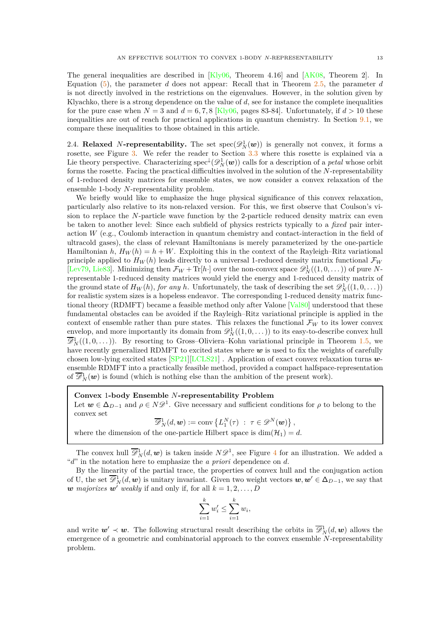The general inequalities are described in  $[Kly06,$  Theorem 4.16 and  $[AK08,$  Theorem 2. In Equation [\(5\)](#page-13-2), the parameter *d* does not appear: Recall that in Theorem [2.5,](#page-12-2) the parameter *d* is not directly involved in the restrictions on the eigenvalues. However, in the solution given by Klyachko, there is a strong dependence on the value of *d*, see for instance the complete inequalities for the pure case when  $N = 3$  and  $d = 6, 7, 8$  [\[Kly06,](#page-53-8) pages 83-84]. Unfortunately, if  $d > 10$  these inequalities are out of reach for practical applications in quantum chemistry. In Section [9.1,](#page-47-0) we compare these inequalities to those obtained in this article.

<span id="page-14-0"></span>2.4. **Relaxed** N-representability. The set  $spec(\mathcal{D}_N^1(\boldsymbol{w}))$  is generally not convex, it forms a rosette, see Figure [3.](#page-13-1) We refer the reader to Section [3.3](#page-19-1) where this rosette is explained via a Lie theory perspective. Characterizing spec<sup> $\downarrow$ </sup> $(\mathscr{D}_{N}^{1}(\boldsymbol{w}))$  calls for a description of a *petal* whose orbit forms the rosette. Facing the practical difficulties involved in the solution of the *N*-representability of 1-reduced density matrices for ensemble states, we now consider a convex relaxation of the ensemble 1-body *N*-representability problem.

We briefly would like to emphasize the huge physical significance of this convex relaxation, particularly also relative to its non-relaxed version. For this, we first observe that Coulson's vision to replace the *N*-particle wave function by the 2-particle reduced density matrix can even be taken to another level: Since each subfield of physics restricts typically to a *fixed* pair interaction *W* (e.g., Coulomb interaction in quantum chemistry and contact-interaction in the field of ultracold gases), the class of relevant Hamiltonians is merely parameterized by the one-particle Hamiltonian *h*,  $H_W(h) = h + W$ . Exploiting this in the context of the Rayleigh–Ritz variational principle applied to  $H_W(h)$  leads directly to a universal 1-reduced density matrix functional  $\mathcal{F}_W$ [\[Lev79,](#page-54-23) [Lie83\]](#page-54-24). Minimizing then  $\mathcal{F}_W + \text{Tr}[h]$  over the non-convex space  $\mathscr{D}_N^1((1,0,\dots))$  of pure Nrepresentable 1-reduced density matrices would yield the energy and 1-reduced density matrix of the ground state of  $H_W(h)$ , *for any h*. Unfortunately, the task of describing the set  $\mathscr{D}_N^1((1,0,\dots))$ for realistic system sizes is a hopeless endeavor. The corresponding 1-reduced density matrix functional theory (RDMFT) became a feasible method only after Valone [\[Val80\]](#page-55-7) understood that these fundamental obstacles can be avoided if the Rayleigh–Ritz variational principle is applied in the context of ensemble rather than pure states. This relaxes the functional  $\mathcal{F}_W$  to its lower convex envelop, and more importantly its domain from  $\mathscr{D}_{N}^{1}((1,0,\ldots))$  to its easy-to-describe convex hull  $\overline{\mathscr{D}}_N^1((1,0,\dots)).$  By resorting to Gross–Oliviera–Kohn variational principle in Theorem [1.5,](#page-10-3) we have recently generalized RDMFT to excited states where  $w$  is used to fix the weights of carefully chosen low-lying excited states [\[SP21\]](#page-55-2)[\[LCLS21\]](#page-54-9) . Application of exact convex relaxation turns *w*ensemble RDMFT into a practically feasible method, provided a compact halfspace-representation of  $\overline{\mathscr{D}}_N^1(\boldsymbol{w})$  is found (which is nothing else than the ambition of the present work).

### **Convex** 1**-body Ensemble** *N***-representability Problem**

Let  $w \in \Delta_{D-1}$  and  $\rho \in N\mathscr{D}^1$ . Give necessary and sufficient conditions for  $\rho$  to belong to the convex set

$$
\overline{\mathscr{D}}_N^1(d, \mathbf{w}) := \text{conv}\left\{L_1^N(\tau) \ : \ \tau \in \mathscr{D}^N(\mathbf{w})\right\},\
$$

where the dimension of the one-particle Hilbert space is  $\dim(\mathcal{H}_1) = d$ .

The convex hull  $\overline{\mathscr{D}}_N^1(d, \mathbf{w})$  is taken inside  $N\mathscr{D}^1$ , see Figure [4](#page-15-0) for an illustration. We added a "*d*" in the notation here to emphasize the *a priori* dependence on *d*.

By the linearity of the partial trace, the properties of convex hull and the conjugation action of U, the set  $\overline{\mathscr{D}}_N^1(d, \mathbf{w})$  is unitary invariant. Given two weight vectors  $\mathbf{w}, \mathbf{w}' \in \Delta_{D-1}$ , we say that *w* majorizes  $w'$  weakly if and only if, for all  $k = 1, 2, \ldots, D$ 

$$
\sum_{i=1}^k w'_i \le \sum_{i=1}^k w_i,
$$

and write  $w' \prec w$ . The following structural result describing the orbits in  $\overline{\mathscr{D}}_N^1(d, w)$  allows the emergence of a geometric and combinatorial approach to the convex ensemble *N*-representability problem.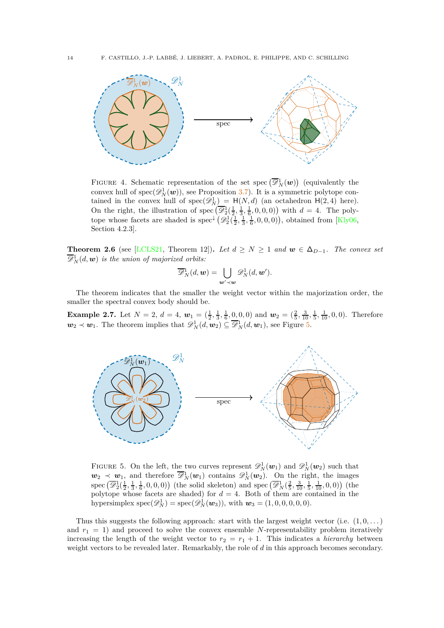<span id="page-15-0"></span>

FIGURE 4. Schematic representation of the set spec  $(\overline{\mathscr{D}}_N^1(\boldsymbol{w}))$  (equivalently the convex hull of  $spec(\mathscr{D}_{N}^{1}(\boldsymbol{w}))$ , see Proposition [3.7\)](#page-18-1). It is a symmetric polytope contained in the convex hull of  $spec(\mathscr{D}_N^1) = H(N,d)$  (an octahedron  $H(2,4)$  here). On the right, the illustration of spec  $(\overline{\mathscr{D}}_2^1(\frac{1}{2}, \frac{1}{3}, \frac{1}{6}, 0, 0, 0))$  with  $d = 4$ . The polytope whose facets are shaded is spec<sup> $\downarrow$ </sup>  $(\mathscr{D}_2^1(\frac{1}{2}, \frac{1}{3}, \frac{1}{6}, 0, 0, 0))$ , obtained from [\[Kly06,](#page-53-8) Section 4.2.3].

**Theorem 2.6** (see [\[LCLS21,](#page-54-9) Theorem 12]). Let  $d \geq N \geq 1$  and  $w \in \Delta_{D-1}$ . The convex set  $\overline{\mathscr{D}}_{N}^1(d, \boldsymbol{w})$  *is the union of majorized orbits:* 

$$
\overline{\mathscr{D}}^1_N(d, \mathbf{w}) = \bigcup_{\mathbf{w}' \prec \mathbf{w}} \mathscr{D}^1_N(d, \mathbf{w}').
$$

The theorem indicates that the smaller the weight vector within the majorization order, the smaller the spectral convex body should be.

**Example 2.7.** Let  $N = 2$ ,  $d = 4$ ,  $w_1 = (\frac{1}{2}, \frac{1}{3}, \frac{1}{6}, \frac{0}{6}, 0, 0)$  and  $w_2 = (\frac{2}{5}, \frac{3}{10}, \frac{1}{5}, \frac{1}{10}, 0, 0)$ . Therefore  $w_2 \prec w_1$ . The theorem implies that  $\mathscr{D}_N^1(d, w_2) \subseteq \overline{\mathscr{D}}_N^1(d, w_1)$ , see Figure [5.](#page-15-1)

<span id="page-15-1"></span>

FIGURE 5. On the left, the two curves represent  $\mathscr{D}_N^1(\boldsymbol{w}_1)$  and  $\mathscr{D}_N^1(\boldsymbol{w}_2)$  such that  $w_2 \prec w_1$ , and therefore  $\overline{\mathscr{D}}_N^1(w_1)$  contains  $\mathscr{D}_N^1(w_2)$ . On the right, the images spec  $(\overline{\mathscr{D}}_2^1(\frac{1}{2}, \frac{1}{3}, \frac{1}{6}, 0, 0, 0))$  (the solid skeleton) and spec  $(\overline{\mathscr{D}}_N^1(\frac{2}{5}, \frac{3}{10}, \frac{1}{5}, \frac{1}{10}, 0, 0))$  (the polytope whose facets are shaded) for  $d = 4$ . Both of them are contained in the hypersimplex  $spec(\mathscr{D}_{N}^{1}) = spec(\mathscr{D}_{N}^{1}(\mathbf{w}_{3}))$ , with  $\mathbf{w}_{3} = (1, 0, 0, 0, 0, 0)$ .

Thus this suggests the following approach: start with the largest weight vector (i.e.  $(1,0,\ldots)$ ) and  $r_1 = 1$ ) and proceed to solve the convex ensemble N-representability problem iteratively increasing the length of the weight vector to  $r_2 = r_1 + 1$ . This indicates a *hierarchy* between weight vectors to be revealed later. Remarkably, the role of *d* in this approach becomes secondary.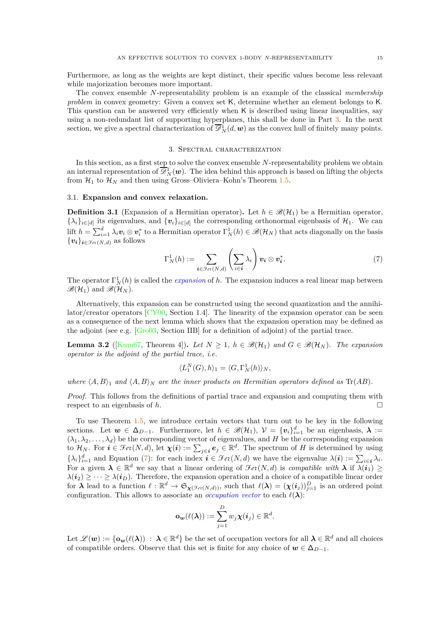Furthermore, as long as the weights are kept distinct, their specific values become less relevant while majorization becomes more important.

The convex ensemble *N*-representability problem is an example of the classical *membership problem* in convex geometry: Given a convex set K, determine whether an element belongs to K. This question can be answered very efficiently when K is described using linear inequalities, say using a non-redundant list of supporting hyperplanes, this shall be done in Part [3.](#page-36-0) In the next section, we give a spectral characterization of  $\overline{\mathscr{D}}_N^1(d, \mathbf{w})$  as the convex hull of finitely many points.

### 3. Spectral characterization

<span id="page-16-0"></span>In this section, as a first step to solve the convex ensemble *N*-representability problem we obtain an internal representation of  $\overline{\mathscr{D}}_N^1(\bm{w})$ . The idea behind this approach is based on lifting the objects from  $\mathcal{H}_1$  to  $\mathcal{H}_N$  and then using Gross-Oliviera-Kohn's Theorem [1.5.](#page-10-3)

### <span id="page-16-1"></span>3.1. **Expansion and convex relaxation.**

**Definition 3.1** (Expansion of a Hermitian operator). Let  $h \in \mathcal{B}(\mathcal{H}_1)$  be a Hermitian operator,  $\{\lambda_i\}_{i \in [d]}$  its eigenvalues, and  $\{v_i\}_{i \in [d]}$  the corresponding orthonormal eigenbasis of  $\mathcal{H}_1$ . We can lift  $h = \sum_{i=1}^d \lambda_i v_i \otimes v_i^*$  to a Hermitian operator  $\Gamma_N^1(h) \in \mathscr{B}(\mathcal{H}_N)$  that acts diagonally on the basis  $\{v_i\}_{i \in \mathcal{F}_{e\mathcal{X}}(N,d)}$  as follows

<span id="page-16-2"></span>
$$
\Gamma_N^1(h) := \sum_{\iota \in \mathcal{F}_{\text{\'et}}(N,d)} \left( \sum_{i \in \iota} \lambda_i \right) v_{\iota} \otimes v_{\iota}^*.
$$
 (7)

The operator  $\Gamma_N^1(h)$  is called the *expansion* of *h*. The expansion induces a real linear map between  $\mathscr{B}(\mathcal{H}_1)$  and  $\mathscr{B}(\mathcal{H}_N)$ .

Alternatively, this expansion can be constructed using the second quantization and the annihilator/creator operators [\[CY00,](#page-52-3) Section 1.4]. The linearity of the expansion operator can be seen as a consequence of the next lemma which shows that the expansion operation may be defined as the adjoint (see e.g. [\[Gro03,](#page-53-19) Section IIB] for a definition of adjoint) of the partial trace.

<span id="page-16-3"></span>**Lemma 3.2** ([\[Kum67,](#page-53-9) Theorem 4]). Let  $N \geq 1$ ,  $h \in \mathcal{B}(\mathcal{H}_1)$  and  $G \in \mathcal{B}(\mathcal{H}_N)$ . The expansion *operator is the adjoint of the partial trace, i.e.*

$$
\langle L_1^N(G), h \rangle_1 = \langle G, \Gamma_N^1(h) \rangle_N,
$$

*where*  $\langle A, B \rangle$ <sub>1</sub> *and*  $\langle A, B \rangle$ <sup>*N*</sup> *are the inner products on Hermitian operators defined as* Tr(*AB*)*.* 

*Proof.* This follows from the definitions of partial trace and expansion and computing them with respect to an eigenbasis of  $h$ .

To use Theorem [1.5,](#page-10-3) we introduce certain vectors that turn out to be key in the following sections. Let  $w \in \Delta_{D-1}$ . Furthermore, let  $h \in \mathscr{B}(\mathcal{H}_1)$ ,  $\mathcal{V} = \{v_i\}_{i=1}^d$  be an eigenbasis,  $\lambda :=$  $(\lambda_1, \lambda_2, \ldots, \lambda_d)$  be the corresponding vector of eigenvalues, and *H* be the corresponding expansion to  $\mathcal{H}_N$ . For  $\mathbf{i} \in \mathcal{F}ev(N, d)$ , let  $\chi(\mathbf{i}) := \sum_{j \in \mathbf{i}} e_j \in \mathbb{R}^d$ . The spectrum of *H* is determined by using  $\{\lambda_i\}_{i=1}^d$  and Equation [\(7\)](#page-16-2): for each index  $i \in \mathcal{F}et(N, d)$  we have the eigenvalue  $\lambda(i) := \sum_{i \in \mathbf{i}} \lambda_i$ . For a given  $\lambda \in \mathbb{R}^d$  we say that a linear ordering of  $\mathcal{F}et(N, d)$  is *compatible with*  $\lambda$  if  $\lambda(i_1) \geq$  $\lambda(i_2) \geq \cdots \geq \lambda(i_D)$ . Therefore, the expansion operation and a choice of a compatible linear order for  $\lambda$  lead to a function  $\ell : \mathbb{R}^d \to \mathfrak{S}_{\chi(\mathcal{F}_{e\mathcal{X}}(N,d))}$ , such that  $\ell(\lambda) = (\chi(i_j))_{j=1}^D$  is an ordered point configuration. This allows to associate an *occupation vector* to each  $\ell(\lambda)$ :

$$
\mathbf{o}_{\boldsymbol{w}}(\ell(\boldsymbol{\lambda})) := \sum_{j=1}^D w_j \boldsymbol{\chi}(\boldsymbol{i}_j) \in \mathbb{R}^d.
$$

 $\mathrm{Let} \ \mathscr{L}(\bm{w}) := \{ \mathbf{o}_{\bm{w}}(\ell(\lambda)) \ : \ \boldsymbol{\lambda} \in \mathbb{R}^d \}$  be the set of occupation vectors for all  $\boldsymbol{\lambda} \in \mathbb{R}^d$  and all choices of compatible orders. Observe that this set is finite for any choice of  $w \in \Delta_{D-1}$ .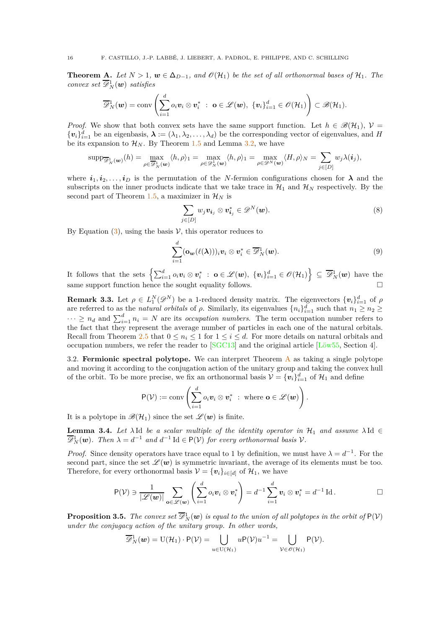<span id="page-17-0"></span>**Theorem A.** *Let*  $N > 1$ ,  $w \in \Delta_{D-1}$ , and  $\mathcal{O}(\mathcal{H}_1)$  be the set of all orthonormal bases of  $\mathcal{H}_1$ . The  $convex\ set\ \overline{\mathscr{D}}{}^1_N(\boldsymbol{w})\ \ satisfies$ 

$$
\overline{\mathscr{D}}_N^1(\boldsymbol{w}) = \operatorname{conv}\left(\sum_{i=1}^d o_i v_i \otimes v_i^* \ : \ \mathbf{o} \in \mathscr{L}(\boldsymbol{w}), \ \{v_i\}_{i=1}^d \in \mathscr{O}(\mathcal{H}_1)\right) \subset \mathscr{B}(\mathcal{H}_1).
$$

*Proof.* We show that both convex sets have the same support function. Let  $h \in \mathscr{B}(\mathcal{H}_1)$ ,  $\mathcal{V} =$  $\{v_i\}_{i=1}^d$  be an eigenbasis,  $\lambda := (\lambda_1, \lambda_2, \dots, \lambda_d)$  be the corresponding vector of eigenvalues, and *H* be its expansion to  $\mathcal{H}_N$ . By Theorem [1.5](#page-10-3) and Lemma [3.2,](#page-16-3) we have

$$
\mathrm{supp}_{\overline{\mathscr{D}}^1_N(\boldsymbol{w})}(h)=\max_{\rho\in\overline{\mathscr{D}}^1_N(\boldsymbol{w})}\langle h,\rho\rangle_1=\max_{\rho\in\mathscr{D}^1_N(\boldsymbol{w})}\langle h,\rho\rangle_1=\max_{\rho\in\mathscr{D}^N(\boldsymbol{w})}\langle H,\rho\rangle_N=\sum_{j\in[D]}w_j\lambda(\boldsymbol{i}_j),
$$

where  $i_1, i_2, \ldots, i_D$  is the permutation of the *N*-fermion configurations chosen for  $\lambda$  and the subscripts on the inner products indicate that we take trace in  $\mathcal{H}_1$  and  $\mathcal{H}_N$  respectively. By the second part of Theorem [1.5,](#page-10-3) a maximizer in  $\mathcal{H}_N$  is

<span id="page-17-4"></span>
$$
\sum_{j\in[D]} w_j \mathbf{v}_{i_j} \otimes \mathbf{v}_{i_j}^* \in \mathscr{D}^N(\mathbf{w}).\tag{8}
$$

By Equation  $(3)$ , using the basis  $\mathcal V$ , this operator reduces to

<span id="page-17-5"></span>
$$
\sum_{i=1}^d (\mathbf{o}_{\mathbf{w}}(\ell(\boldsymbol{\lambda})))_i \mathbf{v}_i \otimes \mathbf{v}_i^* \in \overline{\mathscr{D}}_N^1(\mathbf{w}).
$$
\n(9)

It follows that the sets  $\left\{\sum_{i=1}^d o_i v_i \otimes v_i^* : \mathbf{o} \in \mathscr{L}(\boldsymbol{w}), \ \{v_i\}_{i=1}^d \in \mathscr{O}(\mathcal{H}_1)\right\} \subseteq \overline{\mathscr{D}}_N^1(\boldsymbol{w})$  have the same support function hence the sought equality follows.  $\square$ 

**Remark 3.3.** Let  $\rho \in L_1^N(\mathscr{D}^N)$  be a 1-reduced density matrix. The eigenvectors  $\{v_i\}_{i=1}^d$  of  $\rho$ are referred to as the *natural orbitals* of  $\rho$ . Similarly, its eigenvalues  $\{n_i\}_{i=1}^d$  such that  $n_1 \geq n_2 \geq$  $\cdots \geq n_d$  and  $\sum_{i=1}^d n_i = N$  are its *occupation numbers*. The term occupation number refers to the fact that they represent the average number of particles in each one of the natural orbitals. Recall from Theorem [2.5](#page-12-2) that  $0 \leq n_i \leq 1$  for  $1 \leq i \leq d$ . For more details on natural orbitals and occupation numbers, we refer the reader to [\[SGC13\]](#page-54-20) and the original article [\[Löw55,](#page-54-19) Section 4].

<span id="page-17-1"></span>3.2. **Fermionic spectral polytope.** We can interpret Theorem [A](#page-17-0) as taking a single polytope and moving it according to the conjugation action of the unitary group and taking the convex hull of the orbit. To be more precise, we fix an orthonormal basis  $V = \{v_i\}_{i=1}^d$  of  $\mathcal{H}_1$  and define

$$
\mathsf{P}(\mathcal{V}) := \mathrm{conv}\left(\sum_{i=1}^d o_i \mathbf{v}_i \otimes \mathbf{v}_i^* \; : \; \text{where } \mathbf{o} \in \mathscr{L}(\mathbf{w})\right).
$$

It is a polytope in  $\mathscr{B}(\mathcal{H}_1)$  since the set  $\mathscr{L}(\boldsymbol{w})$  is finite.

<span id="page-17-2"></span>**Lemma 3.4.** Let  $\lambda$  Id be a scalar multiple of the identity operator in  $\mathcal{H}_1$  and assume  $\lambda$  Id  $\in$  $\overline{\mathscr{D}}_N^1(\boldsymbol{w})$ . Then  $\lambda = d^{-1}$  and  $d^{-1}$  Id  $\in P(\mathcal{V})$  for every orthonormal basis  $\mathcal{V}$ .

*Proof.* Since density operators have trace equal to 1 by definition, we must have  $\lambda = d^{-1}$ . For the second part, since the set  $\mathscr{L}(\bm{w})$  is symmetric invariant, the average of its elements must be too. Therefore, for every orthonormal basis  $V = \{v_i\}_{i \in [d]}$  of  $\mathcal{H}_1$ , we have

$$
\mathsf{P}(\mathcal{V}) \ni \frac{1}{|\mathscr{L}(\boldsymbol{w})|} \sum_{\mathbf{o} \in \mathscr{L}(\boldsymbol{w})} \left( \sum_{i=1}^d o_i \boldsymbol{v}_i \otimes \boldsymbol{v}_i^* \right) = d^{-1} \sum_{i=1}^d \boldsymbol{v}_i \otimes \boldsymbol{v}_i^* = d^{-1} \operatorname{Id}.
$$

<span id="page-17-3"></span>**Proposition 3.5.** *The convex set*  $\overline{\mathscr{D}}_N^1(w)$  *is equal to the union of all polytopes in the orbit of*  $P(V)$ *under the conjugacy action of the unitary group. In other words,*

$$
\overline{\mathscr{D}}_N^1(\boldsymbol{w}) = \mathrm{U}(\mathcal{H}_1) \cdot \mathsf{P}(\mathcal{V}) = \bigcup_{u \in \mathrm{U}(\mathcal{H}_1)} u \mathsf{P}(\mathcal{V}) u^{-1} = \bigcup_{\mathcal{V} \in \mathscr{O}(\mathcal{H}_1)} \mathsf{P}(\mathcal{V}).
$$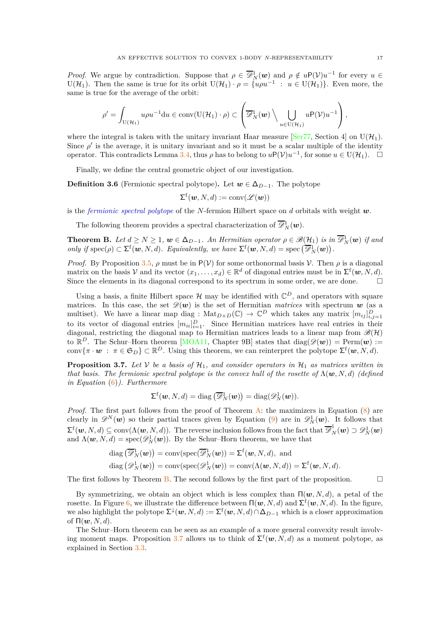*Proof.* We argue by contradiction. Suppose that  $\rho \in \overline{\mathscr{D}}_N^1(\boldsymbol{w})$  and  $\rho \notin u(\mathcal{V})u^{-1}$  for every  $u \in$ U( $\mathcal{H}_1$ ). Then the same is true for its orbit  $U(\mathcal{H}_1) \cdot \rho = \{u\rho u^{-1} : u \in U(\mathcal{H}_1)\}\.$  Even more, the same is true for the average of the orbit:

$$
\rho' = \int_{\mathrm{U}(\mathcal{H}_1)} u \rho u^{-1} \mathrm{d}u \in \mathrm{conv}(\mathrm{U}(\mathcal{H}_1) \cdot \rho) \subset \left( \overline{\mathscr{D}}_N^1(\boldsymbol{w}) \setminus \bigcup_{u \in \mathrm{U}(\mathcal{H}_1)} u \mathrm{P}(\mathcal{V}) u^{-1} \right),
$$

where the integral is taken with the unitary invariant Haar measure [\[Ser77,](#page-55-8) Section 4] on  $U(\mathcal{H}_1)$ . Since  $\rho'$  is the average, it is unitary invariant and so it must be a scalar multiple of the identity operator. This contradicts Lemma [3.4,](#page-17-2) thus  $\rho$  has to belong to  $u \mathsf{P}(\mathcal{V})u^{-1}$ , for some  $u \in U(\mathcal{H}_1)$ .  $\Box$ 

Finally, we define the central geometric object of our investigation.

<span id="page-18-2"></span>**Definition 3.6** (Fermionic spectral polytope). Let  $w \in \Delta_{D-1}$ . The polytope

$$
\Sigma^{\mathrm{f}}(\boldsymbol{w},N,d):=\mathrm{conv}(\mathscr{L}(\boldsymbol{w}))
$$

is the *fermionic spectral polytope* of the *N*-fermion Hilbert space on *d* orbitals with weight *w*.

The following theorem provides a spectral characterization of  $\overline{\mathscr{D}}_N^1(\boldsymbol{w})$ .

<span id="page-18-0"></span>**Theorem B.** Let  $d \geq N \geq 1$ ,  $w \in \Delta_{D-1}$ . An Hermitian operator  $\rho \in \mathscr{B}(\mathcal{H}_1)$  is in  $\overline{\mathscr{D}}_N^1(w)$  if and *only if*  $\operatorname{spec}(\rho) \subset \Sigma^f(\boldsymbol{w}, N, d)$ *. Equivalently, we have*  $\Sigma^f(\boldsymbol{w}, N, d) = \operatorname{spec}(\overline{\mathscr{D}}_N^1(\boldsymbol{w}))$ *.* 

*Proof.* By Proposition [3.5,](#page-17-3)  $\rho$  must be in P(V) for some orthonormal basis V. Then  $\rho$  is a diagonal matrix on the basis V and its vector  $(x_1, \ldots, x_d) \in \mathbb{R}^d$  of diagonal entries must be in  $\Sigma^{\mathsf{f}}(\boldsymbol{w}, N, d)$ . Since the elements in its diagonal correspond to its spectrum in some order, we are done.  $\square$ 

Using a basis, a finite Hilbert space  $\mathcal H$  may be identified with  $\mathbb C^D$ , and operators with square matrices. In this case, the set  $\mathscr{D}(\boldsymbol{w})$  is the set of Hermitian *matrices* with spectrum  $\boldsymbol{w}$  (as a multiset). We have a linear map diag :  $\text{Mat}_{D\times D}(\mathbb{C}) \to \mathbb{C}^D$  which takes any matrix  $[m_{ij}]_{i,j=1}^D$ to its vector of diagonal entries  $[m_{ii}]_{i=1}^D$ . Since Hermitian matrices have real entries in their diagonal, restricting the diagonal map to Hermitian matrices leads to a linear map from  $\mathscr{B}(H)$ to  $\mathbb{R}^D$ . The Schur–Horn theorem [\[MOA11,](#page-54-25) Chapter 9B] states that  $diag(\mathscr{D}(\boldsymbol{w})) = \text{Perm}(\boldsymbol{w}) :=$ conv $\{\pi \cdot \bm{w} : \pi \in \mathfrak{S}_D\} \subset \mathbb{R}^D$ . Using this theorem, we can reinterpret the polytope  $\Sigma^{\mathsf{f}}(\bm{w}, N, d)$ .

<span id="page-18-1"></span>**Proposition 3.7.** Let  $V$  be a basis of  $H_1$ , and consider operators in  $H_1$  as matrices written in *that basis. The fermionic spectral polytope is the convex hull of the rosette of*  $\Lambda(\mathbf{w}, N, d)$  *(defined in Equation* [\(6\)](#page-13-3)*). Furthermore*

$$
\Sigma^{\mathrm{f}}(\boldsymbol{w},N,d)=\mathrm{diag}\left(\overline{\mathscr{D}}_N^1(\boldsymbol{w})\right)=\mathrm{diag}(\mathscr{D}_N^1(\boldsymbol{w})).
$$

*Proof.* The first part follows from the proof of Theorem [A:](#page-17-0) the maximizers in Equation [\(8\)](#page-17-4) are clearly in  $\mathscr{D}^N(w)$  so their partial traces given by Equation [\(9\)](#page-17-5) are in  $\mathscr{D}_N^1(w)$ . It follows that  $\Sigma^{\mathsf{f}}(\boldsymbol{w},N,d) \subseteq \text{conv}(\Lambda(\boldsymbol{w},N,d)).$  The reverse inclusion follows from the fact that  $\overline{\mathscr{D}}_N^1(\boldsymbol{w}) \supset \mathscr{D}_N^1(\boldsymbol{w})$ and  $\Lambda(w, N, d) = \text{spec}(\mathscr{D}_{N}^{1}(w))$ . By the Schur–Horn theorem, we have that

diag 
$$
(\overline{\mathscr{D}}_N^1(\boldsymbol{w}))
$$
 = conv(spec $(\overline{\mathscr{D}}_N^1(\boldsymbol{w}))$  =  $\Sigma^f(\boldsymbol{w}, N, d)$ , and  
diag  $(\mathscr{D}_N^1(\boldsymbol{w}))$  = conv(spec $(\mathscr{D}_N^1(\boldsymbol{w}))$  = conv $(\Lambda(\boldsymbol{w}, N, d))$  =  $\Sigma^f(\boldsymbol{w}, N, d)$ .

The first follows by Theorem [B.](#page-18-0) The second follows by the first part of the proposition.  $\Box$ 

By symmetrizing, we obtain an object which is less complex than Π(*w, N, d*), a petal of the rosette. In Figure [6,](#page-19-0) we illustrate the difference between  $\Pi(w, N, d)$  and  $\Sigma^{\text{f}}(w, N, d)$ . In the figure, we also highlight the polytope  $\Sigma^{\downarrow}(\boldsymbol{w},N,d) := \Sigma^{\mathrm{f}}(\boldsymbol{w},N,d) \cap \Delta_{D-1}$  which is a closer approximation of  $\Pi(\mathbf{w}, N, d)$ .

The Schur–Horn theorem can be seen as an example of a more general convexity result involv-ing moment maps. Proposition [3.7](#page-18-1) allows us to think of  $\Sigma^{\text{f}}(w, N, d)$  as a moment polytope, as explained in Section [3.3.](#page-19-1)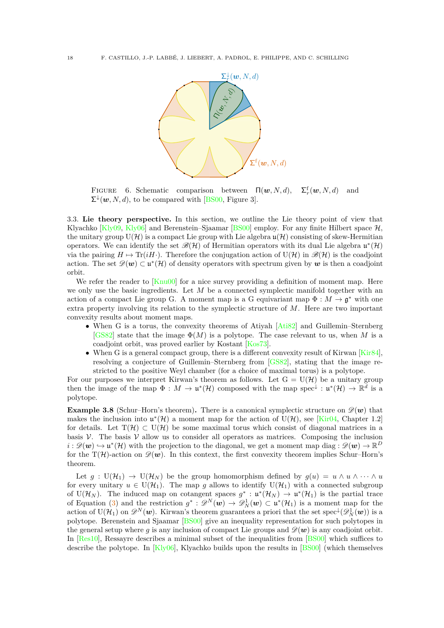<span id="page-19-0"></span>

FIGURE 6. Schematic comparison between  $\Pi(w, N, d)$ ,  $f_r^f(\boldsymbol{w}, N, d)$  and  $\Sigma^{\downarrow}(\boldsymbol{w}, N, d)$ , to be compared with [\[BS00,](#page-52-11) Figure 3].

<span id="page-19-1"></span>3.3. **Lie theory perspective.** In this section, we outline the Lie theory point of view that Klyachko  $[K]$ <sub>V</sub>09, [Kly06\]](#page-53-8) and Berenstein–Sjaamar [\[BS00\]](#page-52-11) employ. For any finite Hilbert space  $H$ , the unitary group  $U(\mathcal{H})$  is a compact Lie group with Lie algebra  $\mathfrak{u}(\mathcal{H})$  consisting of skew-Hermitian operators. We can identify the set  $\mathscr{B}(H)$  of Hermitian operators with its dual Lie algebra  $\mathfrak{u}^*(H)$ via the pairing  $H \mapsto \text{Tr}(iH)$ . Therefore the conjugation action of  $U(\mathcal{H})$  in  $\mathscr{B}(\mathcal{H})$  is the coadjoint action. The set  $\mathscr{D}(\mathbf{w}) \subset \mathfrak{u}^*(\mathcal{H})$  of density operators with spectrum given by  $\mathbf{w}$  is then a coadjoint orbit.

We refer the reader to [\[Knu00\]](#page-53-20) for a nice survey providing a definition of moment map. Here we only use the basic ingredients. Let *M* be a connected symplectic manifold together with an action of a compact Lie group G. A moment map is a G equivariant map  $\Phi : M \to \mathfrak{g}^*$  with one extra property involving its relation to the symplectic structure of *M*. Here are two important convexity results about moment maps.

- When G is a torus, the convexity theorems of Atiyah [\[Ati82\]](#page-52-23) and Guillemin–Sternberg [\[GS82\]](#page-53-21) state that the image  $\Phi(M)$  is a polytope. The case relevant to us, when M is a coadjoint orbit, was proved earlier by Kostant [\[Kos73\]](#page-53-22).
- When G is a general compact group, there is a different convexity result of Kirwan [\[Kir84\]](#page-53-23), resolving a conjecture of Guillemin–Sternberg from [\[GS82\]](#page-53-21), stating that the image restricted to the positive Weyl chamber (for a choice of maximal torus) is a polytope.

For our purposes we interpret Kirwan's theorem as follows. Let  $G = U(\mathcal{H})$  be a unitary group then the image of the map  $\Phi : M \to \mathfrak{u}^*(\mathcal{H})$  composed with the map spec<sup> $\downarrow : \mathfrak{u}^*(\mathcal{H}) \to \mathbb{R}^d$  is a</sup> polytope.

**Example 3.8** (Schur–Horn's theorem). There is a canonical symplectic structure on  $\mathscr{D}(\mathbf{w})$  that makes the inclusion into  $\mathfrak{u}^*(\mathcal{H})$  a moment map for the action of  $U(\mathcal{H})$ , see [\[Kir04,](#page-53-11) Chapter 1.2] for details. Let  $T(\mathcal{H}) \subset U(\mathcal{H})$  be some maximal torus which consist of diagonal matrices in a basis  $\mathcal V$ . The basis  $\mathcal V$  allow us to consider all operators as matrices. Composing the inclusion  $i: \mathscr{D}(\bm{w}) \hookrightarrow \mathfrak{u}^*(\mathcal{H})$  with the projection to the diagonal, we get a moment map diag :  $\mathscr{D}(\bm{w}) \to \mathbb{R}^D$ for the T(H)-action on  $\mathscr{D}(\boldsymbol{w})$ . In this context, the first convexity theorem implies Schur–Horn's theorem.

Let  $g: U(\mathcal{H}_1) \to U(\mathcal{H}_N)$  be the group homomorphism defined by  $g(u) = u \wedge u \wedge \cdots \wedge u$ for every unitary  $u \in U(\mathcal{H}_1)$ . The map g allows to identify  $U(\mathcal{H}_1)$  with a connected subgroup of U( $\mathcal{H}_N$ ). The induced map on cotangent spaces  $g^*: \mathfrak{u}^*(\mathcal{H}_N) \to \mathfrak{u}^*(\mathcal{H}_1)$  is the partial trace of Equation [\(3\)](#page-11-2) and the restriction  $g^*: \mathscr{D}^N(\boldsymbol{w}) \to \mathscr{D}_N^1(\boldsymbol{w}) \subset \mathfrak{u}^*(\mathcal{H}_1)$  is a moment map for the action of  $U(\mathcal{H}_1)$  on  $\mathscr{D}^N(w)$ . Kirwan's theorem guarantees a priori that the set spec<sup> $\downarrow$ </sup> $(\mathscr{D}_N^1(w))$  is a polytope. Berenstein and Sjaamar [\[BS00\]](#page-52-11) give an inequality representation for such polytopes in the general setup where g is any inclusion of compact Lie groups and  $\mathscr{D}(\mathbf{w})$  is any coadjoint orbit. In [\[Res10\]](#page-54-26), Ressayre describes a minimal subset of the inequalities from [\[BS00\]](#page-52-11) which suffices to describe the polytope. In  $[Kly06]$ , Klyachko builds upon the results in  $[BS00]$  (which themselves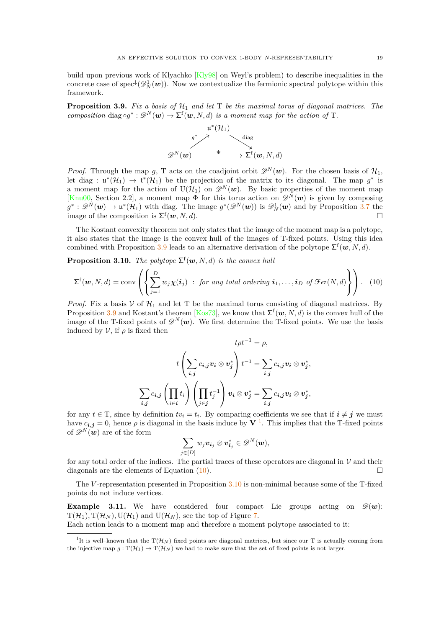build upon previous work of Klyachko [\[Kly98\]](#page-53-7) on Weyl's problem) to describe inequalities in the concrete case of  $spec^{\downarrow}(\mathscr{D}_{N}^{1}(\boldsymbol{w}))$ . Now we contextualize the fermionic spectral polytope within this framework.

<span id="page-20-0"></span>**Proposition 3.9.** *Fix a basis of*  $H_1$  *and let*  $T$  *be the maximal torus of diagonal matrices. The composition* diag  $\circ g^* : \mathscr{D}^N(\mathbf{w}) \to \Sigma^{\mathsf{f}}(\mathbf{w}, N, d)$  *is a moment map for the action of* T.



*Proof.* Through the map *g*, T acts on the coadjoint orbit  $\mathscr{D}^N(\boldsymbol{w})$ . For the chosen basis of  $\mathcal{H}_1$ , let diag :  $\mathfrak{u}^*(\mathcal{H}_1) \to \mathfrak{t}^*(\mathcal{H}_1)$  be the projection of the matrix to its diagonal. The map  $g^*$  is a moment map for the action of  $U(\mathcal{H}_1)$  on  $\mathscr{D}^N(\boldsymbol{w})$ . By basic properties of the moment map [\[Knu00,](#page-53-20) Section 2.2], a moment map  $\Phi$  for this torus action on  $\mathscr{D}^N(w)$  is given by composing  $g^*: \mathscr{D}^N(w) \to \mathfrak{u}^*(\mathcal{H}_1)$  with diag. The image  $g^*(\mathscr{D}^N(w))$  is  $\mathscr{D}_N^1(w)$  and by Proposition [3.7](#page-18-1) the image of the composition is  $\Sigma^f(w, N, d)$ .

The Kostant convexity theorem not only states that the image of the moment map is a polytope, it also states that the image is the convex hull of the images of T-fixed points. Using this idea combined with Proposition [3.9](#page-20-0) leads to an alternative derivation of the polytope  $\Sigma^{\text{f}}(\boldsymbol{w},N,d)$ .

<span id="page-20-3"></span>**Proposition 3.10.** *The polytope*  $\Sigma^{\text{f}}(\boldsymbol{w}, N, d)$  *is the convex hull* 

<span id="page-20-2"></span>
$$
\Sigma^{\mathrm{f}}(\boldsymbol{w},N,d)=\mathrm{conv}\left(\left\{\sum_{j=1}^{D}w_j\boldsymbol{\chi}(\boldsymbol{i}_j) \ : \ for \ any \ total \ ordering \ \boldsymbol{i}_1,\ldots,\boldsymbol{i}_D \ of \ \mathcal{F}ev(N,d)\right\}\right).
$$
 (10)

*Proof.* Fix a basis  $V$  of  $H_1$  and let T be the maximal torus consisting of diagonal matrices. By Proposition [3.9](#page-20-0) and Kostant's theorem [\[Kos73\]](#page-53-22), we know that  $\Sigma^{\text{f}}(\boldsymbol{w}, N, d)$  is the convex hull of the image of the T-fixed points of  $\mathscr{D}^N(\boldsymbol{w})$ . We first determine the T-fixed points. We use the basis induced by  $\mathcal V$ , if  $\rho$  is fixed then

$$
t\rho t^{-1} = \rho,
$$
  

$$
t\left(\sum_{i,j} c_{i,j} v_i \otimes v_j^*\right) t^{-1} = \sum_{i,j} c_{i,j} v_i \otimes v_j^*,
$$
  

$$
\sum_{i,j} c_{i,j} \left(\prod_{i \in i} t_i\right) \left(\prod_{j \in j} t_j^{-1}\right) v_i \otimes v_j^* = \sum_{i,j} c_{i,j} v_i \otimes v_j^*,
$$

for any  $t \in T$ , since by definition  $tv_i = t_i$ . By comparing coefficients we see that if  $i \neq j$  we must have  $c_{i,j} = 0$ , hence  $\rho$  is diagonal in the basis induce by **V**<sup>[1](#page-20-1)</sup>. This implies that the T-fixed points of  $\mathscr{D}^N(w)$  are of the form

$$
\sum_{j\in[D]} w_j\boldsymbol{v_{i_j}}\otimes \boldsymbol{v_{i_j}^*}\in\mathscr{D}^N(\boldsymbol{w}),
$$

for any total order of the indices. The partial traces of these operators are diagonal in  $\mathcal V$  and their diagonals are the elements of Equation [\(10\)](#page-20-2).

The *V* -representation presented in Proposition [3.10](#page-20-3) is non-minimal because some of the T-fixed points do not induce vertices.

**Example 3.11.** We have considered four compact Lie groups acting on  $\mathscr{D}(w)$ :  $T(\mathcal{H}_1)$ ,  $T(\mathcal{H}_N)$ ,  $U(\mathcal{H}_1)$  and  $U(\mathcal{H}_N)$ , see the top of Figure [7.](#page-21-1)

Each action leads to a moment map and therefore a moment polytope associated to it:

<span id="page-20-1"></span><sup>&</sup>lt;sup>1</sup>It is well–known that the  $T(\mathcal{H}_N)$  fixed points are diagonal matrices, but since our T is actually coming from the injective map  $g: T(\mathcal{H}_1) \to T(\mathcal{H}_N)$  we had to make sure that the set of fixed points is not larger.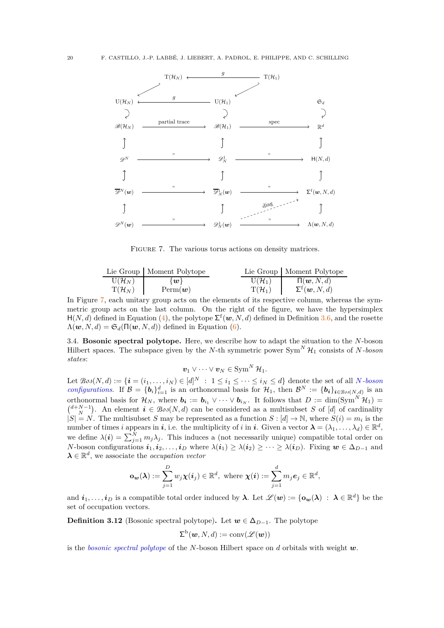<span id="page-21-1"></span>

FIGURE 7. The various torus actions on density matrices.

|                             | Lie Group   Moment Polytope   |                    | Lie Group   Moment Polytope               |
|-----------------------------|-------------------------------|--------------------|-------------------------------------------|
| $U(\mathcal{H}_N)$          | $\{w\}$                       | $U(\mathcal{H}_1)$ | $\Pi(\boldsymbol{w},N,d)$                 |
| $\mathrm{T}(\mathcal{H}_N)$ | $\text{Perm}(\boldsymbol{w})$ | $T(\mathcal{H}_1)$ | $\Sigma^{\mathrm{f}}(\boldsymbol{w},N,d)$ |

In Figure [7,](#page-21-1) each unitary group acts on the elements of its respective column, whereas the symmetric group acts on the last column. On the right of the figure, we have the hypersimplex  $H(N, d)$  defined in Equation [\(4\)](#page-12-4), the polytope  $\Sigma^f(w, N, d)$  defined in Definition [3.6,](#page-18-2) and the rosette  $\Lambda(\boldsymbol{w}, N, d) = \mathfrak{S}_d(\Pi(\boldsymbol{w}, N, d))$  defined in Equation [\(6\)](#page-13-3).

<span id="page-21-0"></span>3.4. **Bosonic spectral polytope.** Here, we describe how to adapt the situation to the *N*-boson Hilbert spaces. The subspace given by the *N*-th symmetric power  $\text{Sym}^N \mathcal{H}_1$  consists of *N-boson states*:

 $v_1 \vee \cdots \vee v_N \in \text{Sym}^N \mathcal{H}_1$ .

Let  $\mathcal{B}oo(N, d) := \{ \boldsymbol{i} = (i_1, \ldots, i_N) \in [d]^N \; : \; 1 \leq i_1 \leq \cdots \leq i_N \leq d \}$  denote the set of all *N-boson configurations*. If  $\mathcal{B} = \{b_i\}_{i=1}^d$  is an orthonormal basis for  $\mathcal{H}_1$ , then  $\mathcal{B}^N := \{b_i\}_{i \in \mathcal{B}^{0,0}(N,d)}$  is an orthonormal basis for  $\mathcal{H}_N$ , where  $b_i := b_{i_1} \vee \cdots \vee b_{i_N}$ . It follows that  $D := \dim(\text{Sym}^N \mathcal{H}_1) =$  $\binom{d+N-1}{N}$ . An element  $i \in \mathcal{B}oo(N,d)$  can be considered as a multisubset *S* of [*d*] of cardinality  $|S| = N$ . The multisubset *S* may be represented as a function  $S : [d] \to \mathbb{N}$ , where  $S(i) = m_i$  is the number of times *i* appears in *i*, i.e. the multiplicity of *i* in *i*. Given a vector  $\boldsymbol{\lambda} = (\lambda_1, \dots, \lambda_d) \in \mathbb{R}^d$ , we define  $\lambda(i) = \sum_{j=1}^{N} m_j \lambda_j$ . This induces a (not necessarily unique) compatible total order on *N*-boson configurations  $i_1, i_2, \ldots, i_D$  where  $\lambda(i_1) \geq \lambda(i_2) \geq \cdots \geq \lambda(i_D)$ . Fixing  $w \in \Delta_{D-1}$  and  $\lambda \in \mathbb{R}^d$ , we associate the *occupation vector* 

$$
\mathbf{o}_{\mathbf{w}}(\boldsymbol{\lambda}) := \sum_{j=1}^D w_j \boldsymbol{\chi}(\boldsymbol{i}_j) \in \mathbb{R}^d, \text{ where } \boldsymbol{\chi}(\boldsymbol{i}) := \sum_{j=1}^d m_j \boldsymbol{e}_j \in \mathbb{R}^d,
$$

and  $\boldsymbol{i}_1, \ldots, \boldsymbol{i}_D$  is a compatible total order induced by  $\boldsymbol{\lambda}$ . Let  $\mathscr{L}(\boldsymbol{w}) := \{ \boldsymbol{o}_{\boldsymbol{w}}(\boldsymbol{\lambda}) \; : \; \boldsymbol{\lambda} \in \mathbb{R}^d \}$  be the set of occupation vectors.

<span id="page-21-2"></span>**Definition 3.12** (Bosonic spectral polytope). Let  $w \in \Delta_{D-1}$ . The polytope

$$
\Sigma^{\mathrm{b}}(\boldsymbol{w},N,d):=\mathrm{conv}(\mathscr{L}(\boldsymbol{w}))
$$

is the *bosonic spectral polytope* of the *N*-boson Hilbert space on *d* orbitals with weight *w*.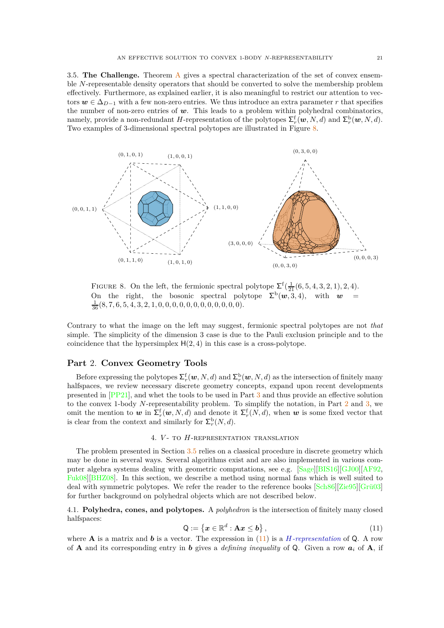<span id="page-22-2"></span>3.5. **The Challenge.** Theorem [A](#page-17-0) gives a spectral characterization of the set of convex ensemble *N*-representable density operators that should be converted to solve the membership problem effectively. Furthermore, as explained earlier, it is also meaningful to restrict our attention to vectors  $w \in \Delta_{D-1}$  with a few non-zero entries. We thus introduce an extra parameter *r* that specifies the number of non-zero entries of *w*. This leads to a problem within polyhedral combinatorics, namely, provide a non-redundant *H*-representation of the polytopes  $\sum_{r}^{f}(\boldsymbol{w}, N, d)$  and  $\sum_{r}^{b}(\boldsymbol{w}, N, d)$ . Two examples of 3-dimensional spectral polytopes are illustrated in Figure [8.](#page-22-4)

<span id="page-22-4"></span>

FIGURE 8. On the left, the fermionic spectral polytope  $\Sigma^f(\frac{1}{21}(6,5,4,3,2,1),2,4)$ . On the right, the bosonic spectral polytope  $\Sigma^b(w,3,4)$ , with  $w =$ 1 <sup>36</sup> (8*,* 7*,* 6*,* 5*,* 4*,* 3*,* 2*,* 1*,* 0*,* 0*,* 0*,* 0*,* 0*,* 0*,* 0*,* 0*,* 0*,* 0*,* 0*,* 0).

Contrary to what the image on the left may suggest, fermionic spectral polytopes are not *that* simple. The simplicity of the dimension 3 case is due to the Pauli exclusion principle and to the coincidence that the hypersimplex  $H(2, 4)$  in this case is a cross-polytope.

### <span id="page-22-0"></span>**Part** 2. **Convex Geometry Tools**

Before expressing the polytopes  $\Sigma_r^f(w, N, d)$  and  $\Sigma_r^{\text{b}}(w, N, d)$  as the intersection of finitely many halfspaces, we review necessary discrete geometry concepts, expand upon recent developments presented in [\[PP21\]](#page-54-11), and whet the tools to be used in Part [3](#page-36-0) and thus provide an effective solution to the convex 1-body *N*-representability problem. To simplify the notation, in Part [2](#page-22-0) and [3,](#page-36-0) we omit the mention to  $w$  in  $\Sigma_r^{\text{f}}(w, N, d)$  and denote it  $\Sigma_r^{\text{f}}(N, d)$ , when  $w$  is some fixed vector that is clear from the context and similarly for  $\Sigma_r^{\mathrm{b}}(N, d)$ .

### 4. *V* - to *H*-representation translation

<span id="page-22-1"></span>The problem presented in Section [3.5](#page-22-2) relies on a classical procedure in discrete geometry which may be done in several ways. Several algorithms exist and are also implemented in various computer algebra systems dealing with geometric computations, see e.g. [\[Sage\]](#page-55-3)[\[BIS16\]](#page-52-24)[\[GJ00\]](#page-53-24)[\[AF92,](#page-52-25) [Fuk08\]](#page-53-25)[\[BHZ08\]](#page-52-26). In this section, we describe a method using normal fans which is well suited to deal with symmetric polytopes. We refer the reader to the reference books [\[Sch86\]](#page-55-9)[\[Zie95\]](#page-55-5)[\[Grü03\]](#page-53-4) for further background on polyhedral objects which are not described below.

<span id="page-22-3"></span>4.1. **Polyhedra, cones, and polytopes.** A *polyhedron* is the intersection of finitely many closed halfspaces:

<span id="page-22-5"></span>
$$
\mathsf{Q} := \left\{ \boldsymbol{x} \in \mathbb{R}^d : \mathbf{A}\boldsymbol{x} \leq \boldsymbol{b} \right\},\tag{11}
$$

where **A** is a matrix and **b** is a vector. The expression in  $(11)$  is a *H-representation* of Q. A row of **A** and its corresponding entry in *b* gives a *defining inequality* of Q. Given a row *a<sup>i</sup>* of **A**, if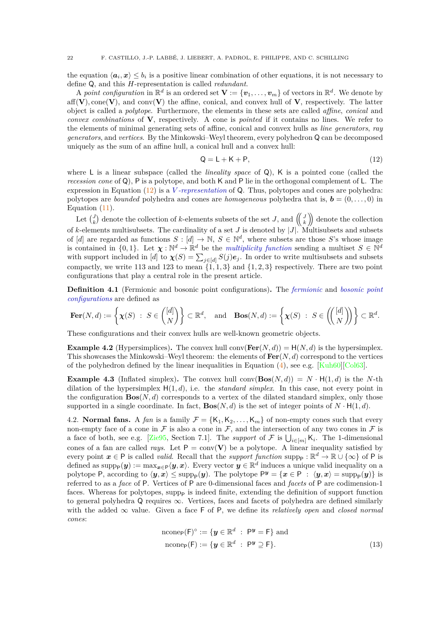the equation  $\langle a_i, x \rangle \leq b_i$  is a positive linear combination of other equations, it is not necessary to define Q, and this *H*-representation is called *redundant*.

A *point configuration* in  $\mathbb{R}^d$  is an ordered set  $\mathbf{V} := \{\mathbf{v}_1, \dots, \mathbf{v}_m\}$  of vectors in  $\mathbb{R}^d$ . We denote by  $aff(V)$ , cone(V), and conv(V) the affine, conical, and convex hull of V, respectively. The latter object is called a *polytope*. Furthermore, the elements in these sets are called *affine*, *conical* and *convex combinations* of **V**, respectively. A cone is *pointed* if it contains no lines. We refer to the elements of minimal generating sets of affine, conical and convex hulls as *line generators*, *ray generators*, and *vertices*. By the Minkowski–Weyl theorem, every polyhedron Q can be decomposed uniquely as the sum of an affine hull, a conical hull and a convex hull:

<span id="page-23-2"></span>
$$
Q = L + K + P,\tag{12}
$$

where L is a linear subspace (called the *lineality space* of Q), K is a pointed cone (called the *recession cone* of Q), P is a polytope, and both K and P lie in the orthogonal complement of L. The expression in Equation [\(12\)](#page-23-2) is a *V -representation* of Q. Thus, polytopes and cones are polyhedra: polytopes are *bounded* polyhedra and cones are *homogeneous* polyhedra that is,  $\mathbf{b} = (0, \ldots, 0)$  in Equation [\(11\)](#page-22-5).

Let  $\begin{pmatrix} J \\ k \end{pmatrix}$  denote the collection of *k*-elements subsets of the set *J*, and  $\begin{pmatrix} J \\ k \end{pmatrix}$  denote the collection of *k*-elements multisubsets. The cardinality of a set *J* is denoted by |*J*|. Multisubsets and subsets of [*d*] are regarded as functions  $S : [d] \to \mathbb{N}, S \in \mathbb{N}^d$ , where subsets are those *S*'s whose image is contained in  $\{0,1\}$ . Let  $\chi:\mathbb{N}^d\to\mathbb{R}^d$  be the *multiplicity function* sending a multiset  $S\in\mathbb{N}^d$ with support included in [*d*] to  $\chi(S) = \sum_{j \in [d]} S(j) e_j$ . In order to write multisubsets and subsets compactly, we write 113 and 123 to mean  $\{1, 1, 3\}$  and  $\{1, 2, 3\}$  respectively. There are two point configurations that play a central role in the present article.

<span id="page-23-4"></span>**Definition 4.1** (Fermionic and bosonic point configurations)**.** The *fermionic* and *bosonic point configurations* are defined as

$$
\mathbf{Fer}(N,d) := \left\{ \boldsymbol{\chi}(S) \ : \ S \in \binom{[d]}{N} \right\} \subset \mathbb{R}^d, \quad \text{and} \quad \mathbf{Bos}(N,d) := \left\{ \boldsymbol{\chi}(S) \ : \ S \in \left( \binom{[d]}{N} \right) \right\} \subset \mathbb{R}^d.
$$

These configurations and their convex hulls are well-known geometric objects.

<span id="page-23-1"></span>**Example 4.2** (Hypersimplices). The convex hull conv $(\textbf{Fer}(N, d)) = H(N, d)$  is the hypersimplex. This showcases the Minkowski–Weyl theorem: the elements of **Fer**(*N, d*) correspond to the vertices of the polyhedron defined by the linear inequalities in Equation  $(4)$ , see e.g. [\[Kuh60\]](#page-53-5)[\[Col63\]](#page-52-9).

**Example 4.3** (Inflated simplex). The convex hull conv $(Bos(N, d)) = N \cdot H(1, d)$  is the *N*-th dilation of the hypersimplex  $H(1, d)$ , i.e. the *standard simplex*. In this case, not every point in the configuration  $\text{Bos}(N, d)$  corresponds to a vertex of the dilated standard simplex, only those supported in a single coordinate. In fact,  $\textbf{Bos}(N, d)$  is the set of integer points of  $N \cdot H(1, d)$ .

<span id="page-23-0"></span>4.2. **Normal fans.** A *fan* is a family  $\mathcal{F} = \{K_1, K_2, \ldots, K_m\}$  of non-empty cones such that every non-empty face of a cone in  $\mathcal F$  is also a cone in  $\mathcal F$ , and the intersection of any two cones in  $\mathcal F$  is a face of both, see e.g. [\[Zie95,](#page-55-5) Section 7.1]. The *support* of  $\mathcal F$  is  $\bigcup_{i\in[m]} K_i$ . The 1-dimensional cones of a fan are called *rays*. Let  $P = conv(V)$  be a polytope. A linear inequality satisfied by every point  $x \in P$  is called *valid*. Recall that the *support function* supp<sub>p</sub> :  $\mathbb{R}^d \to \mathbb{R} \cup \{\infty\}$  of P is defined as  $\text{supp}_{P}(y) := \max_{x \in P} \langle y, x \rangle$ . Every vector  $y \in \mathbb{R}^d$  induces a unique valid inequality on a polytope P, according to  $\langle y, x \rangle \le \text{supp}_{P}(y)$ . The polytope  $P^y = \{x \in P : \langle y, x \rangle = \text{supp}_{P}(y)\}$  is referred to as a *face* of P. Vertices of P are 0-dimensional faces and *facets* of P are codimension-1 faces. Whereas for polytopes, supp<sub>p</sub> is indeed finite, extending the definition of support function to general polyhedra  $Q$  requires  $\infty$ . Vertices, faces and facets of polyhedra are defined similarly with the added  $\infty$  value. Given a face F of P, we define its *relatively open* and *closed normal cones*:

<span id="page-23-3"></span>
$$
\begin{aligned}\n\text{ncone}_{\mathsf{P}}(\mathsf{F})^{\circ} &:= \{ \mathbf{y} \in \mathbb{R}^d \; : \; \mathsf{P}^{\mathbf{y}} = \mathsf{F} \} \text{ and} \\
\text{ncone}_{\mathsf{P}}(\mathsf{F}) &:= \{ \mathbf{y} \in \mathbb{R}^d \; : \; \mathsf{P}^{\mathbf{y}} \supseteq \mathsf{F} \}. \n\end{aligned} \tag{13}
$$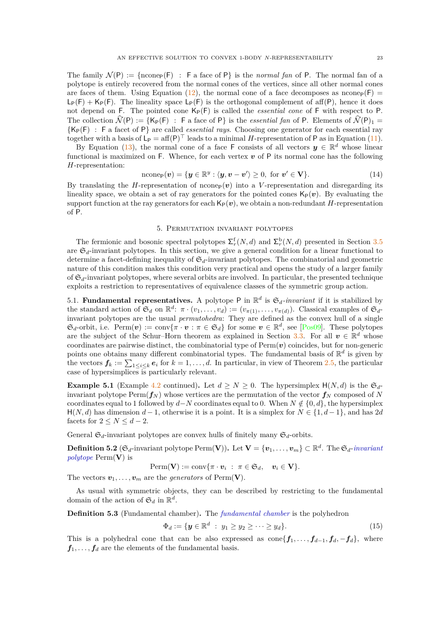The family  $\mathcal{N}(P) := \{n$ cone<sub>P</sub>(F) : F a face of P is the *normal fan* of P. The normal fan of a polytope is entirely recovered from the normal cones of the vertices, since all other normal cones are faces of them. Using Equation [\(12\)](#page-23-2), the normal cone of a face decomposes as ncone<sub>P</sub>(F) =  $L_P(F) + K_P(F)$ . The lineality space  $L_P(F)$  is the orthogonal complement of aff(P), hence it does not depend on F. The pointed cone  $K_P(F)$  is called the *essential cone* of F with respect to P. The collection  $\widehat{\mathcal{N}}(P) := \{K_P(F) : F \text{ a face of } P\}$  is the *essential fan* of P. Elements of  $\widehat{\mathcal{N}}(P)_1 =$ {KP(F) : F a facet of P} are called *essential rays*. Choosing one generator for each essential ray together with a basis of  $L_P = aff(P)^{\top}$  leads to a minimal *H*-representation of P as in Equation [\(11\)](#page-22-5).

By Equation [\(13\)](#page-23-3), the normal cone of a face F consists of all vectors  $y \in \mathbb{R}^d$  whose linear functional is maximized on  $F$ . Whence, for each vertex  $v$  of  $P$  its normal cone has the following *H*-representation:

<span id="page-24-4"></span>
$$
\text{ncone}_{\mathsf{P}}(\boldsymbol{v}) = \{ \boldsymbol{y} \in \mathbb{R}^y : \langle \boldsymbol{y}, \boldsymbol{v} - \boldsymbol{v}' \rangle \geq 0, \text{ for } \boldsymbol{v}' \in \mathbf{V} \}. \tag{14}
$$

By translating the *H*-representation of ncone<sub>P</sub> $(v)$  into a *V*-representation and disregarding its lineality space, we obtain a set of ray generators for the pointed cones  $\mathsf{K}_{\mathsf{P}}(\mathbf{v})$ . By evaluating the support function at the ray generators for each  $\mathsf{K}_{\mathsf{P}}(\mathbf{v})$ , we obtain a non-redundant *H*-representation of P.

### 5. Permutation invariant polytopes

<span id="page-24-0"></span>The fermionic and bosonic spectral polytopes  $\Sigma_r^{\text{f}}(N, d)$  and  $\Sigma_r^{\text{b}}(N, d)$  presented in Section [3.5](#page-22-2) are  $\mathfrak{S}_d$ -invariant polytopes. In this section, we give a general condition for a linear functional to determine a facet-defining inequality of  $\mathfrak{S}_d$ -invariant polytopes. The combinatorial and geometric nature of this condition makes this condition very practical and opens the study of a larger family of  $\mathfrak{S}_d$ -invariant polytopes, where several orbits are involved. In particular, the presented technique exploits a restriction to representatives of equivalence classes of the symmetric group action.

<span id="page-24-1"></span>5.1. **Fundamental representatives.** A polytope P in  $\mathbb{R}^d$  is  $\mathfrak{S}_d$ -invariant if it is stabilized by the standard action of  $\mathfrak{S}_d$  on  $\mathbb{R}^d$ :  $\pi \cdot (v_1, \ldots, v_d) := (v_{\pi(1)}, \ldots, v_{\pi(d)})$ . Classical examples of  $\mathfrak{S}_d$ invariant polytopes are the usual *permutohedra*: They are defined as the convex hull of a single  $\mathfrak{S}_d$ -orbit, i.e.  $\text{Perm}(\boldsymbol{v}) := \text{conv}\{\pi \cdot \boldsymbol{v} : \pi \in \mathfrak{S}_d\}$  for some  $\boldsymbol{v} \in \mathbb{R}^d$ , see [\[Pos09\]](#page-54-27). These polytopes are the subject of the Schur–Horn theorem as explained in Section [3.3.](#page-19-1) For all  $v \in \mathbb{R}^d$  whose coordinates are pairwise distinct, the combinatorial type of  $\text{Perm}(v)$  coincides, but for non-generic points one obtains many different combinatorial types. The fundamental basis of  $\mathbb{R}^d$  is given by the vectors  $f_k := \sum_{1 \leq i \leq k} e_i$  for  $k = 1, \ldots, d$ . In particular, in view of Theorem [2.5,](#page-12-2) the particular case of hypersimplices is particularly relevant.

<span id="page-24-2"></span>**Example 5.1** (Example [4.2](#page-23-1) continued). Let  $d \geq N \geq 0$ . The hypersimplex  $H(N, d)$  is the  $\mathfrak{S}_d$ invariant polytope  $\text{Perm}(f_N)$  whose vertices are the permutation of the vector  $f_N$  composed of N coordinates equal to 1 followed by  $d$ −*N* coordinates equal to 0. When  $N \notin \{0, d\}$ , the hypersimplex  $H(N, d)$  has dimension  $d-1$ , otherwise it is a point. It is a simplex for  $N \in \{1, d-1\}$ , and has 2*d* facets for  $2 \leq N \leq d-2$ .

General  $\mathfrak{S}_d$ -invariant polytopes are convex hulls of finitely many  $\mathfrak{S}_d$ -orbits.

<span id="page-24-5"></span> $\textbf{Definition 5.2}$  ( $\mathfrak{S}_d\text{-invariant polytope\,Perm(V)$ ). Let  $\mathbf{V} = \{\boldsymbol{v}_1,\ldots,\boldsymbol{v}_m\}\subset \mathbb{R}^d$ . The  $\mathfrak{S}_d\text{-invariant}$ *polytope* Perm(**V**) is

$$
\text{Perm}(\mathbf{V}) := \text{conv}\{\pi \cdot \boldsymbol{v}_i \; : \; \pi \in \mathfrak{S}_d, \quad \boldsymbol{v}_i \in \mathbf{V}\}.
$$

The vectors  $v_1, \ldots, v_m$  are the *generators* of Perm(V).

As usual with symmetric objects, they can be described by restricting to the fundamental domain of the action of  $\mathfrak{S}_d$  in  $\mathbb{R}^d$ .

<span id="page-24-3"></span>**Definition 5.3** (Fundamental chamber)**.** The *fundamental chamber* is the polyhedron

$$
\Phi_d := \{ \mathbf{y} \in \mathbb{R}^d \; : \; y_1 \ge y_2 \ge \cdots \ge y_d \}. \tag{15}
$$

This is a polyhedral cone that can be also expressed as  $cone{f_1, ..., f_{d-1}, f_d, -f_d}$ , where  $f_1, \ldots, f_d$  are the elements of the fundamental basis.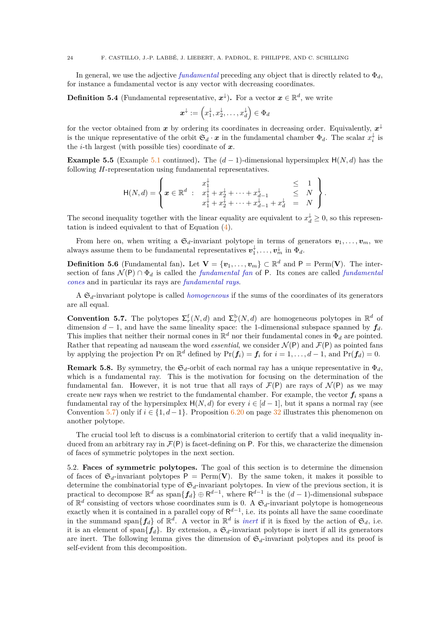In general, we use the adjective *fundamental* preceding any object that is directly related to  $\Phi_d$ , for instance a fundamental vector is any vector with decreasing coordinates.

<span id="page-25-2"></span>**Definition 5.4** (Fundamental representative,  $x^{\downarrow}$ ). For a vector  $x \in \mathbb{R}^{d}$ , we write

$$
\boldsymbol{x}^\downarrow := \left(x_1^\downarrow,x_2^\downarrow,\ldots,x_d^\downarrow\right) \in \Phi_d
$$

for the vector obtained from  $x$  by ordering its coordinates in decreasing order. Equivalently,  $x^{\downarrow}$ is the unique representative of the orbit  $\mathfrak{S}_d \cdot \mathbf{x}$  in the fundamental chamber  $\Phi_d$ . The scalar  $x_i^{\downarrow}$  is the *i*-th largest (with possible ties) coordinate of *x*.

**Example 5.5** (Example [5.1](#page-24-2) continued). The  $(d-1)$ -dimensional hypersimplex  $H(N, d)$  has the following *H*-representation using fundamental representatives.

$$
\mathsf{H}(N,d) = \left\{ \mathbf{x} \in \mathbb{R}^d \; : \; \begin{array}{lcl} x_1^{\downarrow} & \leq & 1 \\ x_1^{\downarrow} + x_2^{\downarrow} + \cdots + x_{d-1}^{\downarrow} & \leq & N \\ x_1^{\downarrow} + x_2^{\downarrow} + \cdots + x_{d-1}^{\downarrow} + x_d^{\downarrow} & = & N \end{array} \right\}.
$$

The second inequality together with the linear equality are equivalent to  $x_d^{\downarrow} \geq 0$ , so this representation is indeed equivalent to that of Equation [\(4\)](#page-12-4).

From here on, when writing a  $\mathfrak{S}_d$ -invariant polytope in terms of generators  $v_1, \ldots, v_m$ , we always assume them to be fundamental representatives  $v_1^{\downarrow}, \ldots, v_m^{\downarrow}$  in  $\Phi_d$ .

**Definition 5.6** (Fundamental fan). Let  $\mathbf{V} = \{\mathbf{v}_1, \dots, \mathbf{v}_m\} \subset \mathbb{R}^d$  and  $\mathsf{P} = \text{Perm}(\mathbf{V})$ . The intersection of fans  $\mathcal{N}(\mathsf{P}) \cap \Phi_d$  is called the *fundamental fan* of **P**. Its cones are called *fundamental cones* and in particular its rays are *fundamental rays*.

A S*d*-invariant polytope is called *homogeneous* if the sums of the coordinates of its generators are all equal.

<span id="page-25-1"></span>**Convention 5.7.** The polytopes  $\Sigma_r^f(N,d)$  and  $\Sigma_r^b(N,d)$  are homogeneous polytopes in  $\mathbb{R}^d$  of dimension  $d-1$ , and have the same lineality space: the 1-dimensional subspace spanned by  $f_d$ . This implies that neither their normal cones in  $\mathbb{R}^d$  nor their fundamental cones in  $\Phi_d$  are pointed. Rather that repeating ad nauseam the word *essential*, we consider  $\mathcal{N}(\mathsf{P})$  and  $\mathcal{F}(\mathsf{P})$  as pointed fans by applying the projection Pr on  $\mathbb{R}^d$  defined by  $Pr(f_i) = f_i$  for  $i = 1, \ldots, d - 1$ , and  $Pr(f_d) = 0$ .

**Remark 5.8.** By symmetry, the  $\mathfrak{S}_d$ -orbit of each normal ray has a unique representative in  $\Phi_d$ , which is a fundamental ray. This is the motivation for focusing on the determination of the fundamental fan. However, it is not true that all rays of  $\mathcal{F}(P)$  are rays of  $\mathcal{N}(P)$  as we may create new rays when we restrict to the fundamental chamber. For example, the vector  $f_i$  spans a fundamental ray of the hypersimplex  $H(N, d)$  for every  $i \in [d-1]$ , but it spans a normal ray (see Convention [5.7\)](#page-25-1) only if  $i \in \{1, d-1\}$ . Proposition [6.20](#page-33-1) on page [32](#page-33-1) illustrates this phenomenon on another polytope.

The crucial tool left to discuss is a combinatorial criterion to certify that a valid inequality induced from an arbitrary ray in  $\mathcal{F}(P)$  is facet-defining on P. For this, we characterize the dimension of faces of symmetric polytopes in the next section.

<span id="page-25-0"></span>5.2. **Faces of symmetric polytopes.** The goal of this section is to determine the dimension of faces of  $\mathfrak{S}_d$ -invariant polytopes  $P = \text{Perm}(V)$ . By the same token, it makes it possible to determine the combinatorial type of  $\mathfrak{S}_d$ -invariant polytopes. In view of the previous section, it is practical to decompose  $\mathbb{R}^d$  as  $\text{span}\{\mathbf{f}_d\} \oplus \mathsf{R}^{d-1}$ , where  $\mathsf{R}^{d-1}$  is the  $(d-1)$ -dimensional subspace of  $\mathbb{R}^d$  consisting of vectors whose coordinates sum is 0. A  $\mathfrak{S}_d$ -invariant polytope is homogeneous exactly when it is contained in a parallel copy of  $\mathsf{R}^{d-1}$ , i.e. its points all have the same coordinate in the summand span ${f_d}$  of  $\mathbb{R}^d$ . A vector in  $\mathbb{R}^d$  is *inert* if it is fixed by the action of  $\mathfrak{S}_d$ , i.e. it is an element of span ${f_d}$ . By extension, a  $\mathfrak{S}_d$ -invariant polytope is inert if all its generators are inert. The following lemma gives the dimension of  $\mathfrak{S}_d$ -invariant polytopes and its proof is self-evident from this decomposition.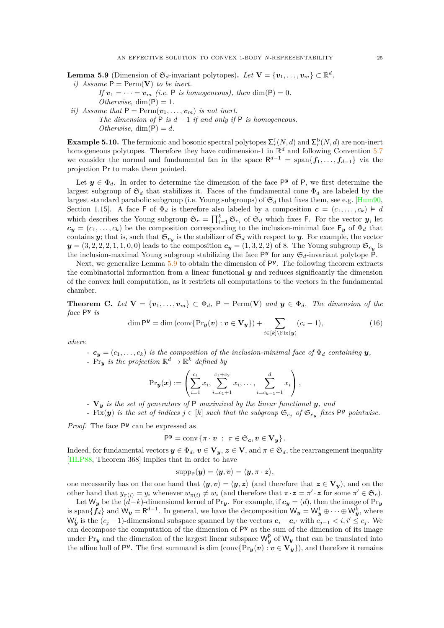<span id="page-26-1"></span>**Lemma 5.9** (Dimension of  $\mathfrak{S}_d$ -invariant polytopes). Let  $\mathbf{V} = {\mathbf{v}_1, \dots, \mathbf{v}_m} \subset \mathbb{R}^d$ .

*i*) Assume  $P = \text{Perm}(V)$  *to be inert.* 

*If*  $v_1 = \cdots = v_m$  *(i.e.* P *is homogeneous), then* dim(P) = 0*.* 

 $Otherwise, \dim(P) = 1.$ *ii)* Assume that  $P = \text{Perm}(v_1, \ldots, v_m)$  *is not inert.* 

*The dimension of*  $P$  *is*  $d-1$  *if and only if*  $P$  *is homogeneous.*  $Otherwise, \dim(P) = d.$ 

**Example 5.10.** The fermionic and bosonic spectral polytopes  $\Sigma_r^{\text{f}}(N, d)$  and  $\Sigma_r^{\text{b}}(N, d)$  are non-inert homogeneous polytopes. Therefore they have codimension-1 in  $\mathbb{R}^d$  and following Convention [5.7](#page-25-1) we consider the normal and fundamental fan in the space R *<sup>d</sup>*−<sup>1</sup> = span{*f*1*, . . . , fd*−<sup>1</sup>} via the projection Pr to make them pointed.

Let  $y \in \Phi_d$ . In order to determine the dimension of the face  $P^y$  of P, we first determine the largest subgroup of  $\mathfrak{S}_d$  that stabilizes it. Faces of the fundamental cone  $\Phi_d$  are labeled by the largest standard parabolic subgroup (i.e. Young subgroups) of  $\mathfrak{S}_d$  that fixes them, see e.g. [\[Hum90,](#page-53-26) Section 1.15]. A face F of  $\Phi_d$  is therefore also labeled by a composition  $\mathbf{c} = (c_1, \ldots, c_k) \models d$ which describes the Young subgroup  $\mathfrak{S}_c = \prod_{i=1}^k \mathfrak{S}_{c_i}$  of  $\mathfrak{S}_d$  which fixes F. For the vector *y*, let  $c_y = (c_1, \ldots, c_k)$  be the composition corresponding to the inclusion-minimal face  $F_y$  of  $\Phi_d$  that contains *y*; that is, such that  $\mathfrak{S}_{c_y}$  is the stabilizer of  $\mathfrak{S}_d$  with respect to *y*. For example, the vector  $y = (3, 2, 2, 2, 1, 1, 0, 0)$  leads to the composition  $c_y = (1, 3, 2, 2)$  of 8. The Young subgroup  $\mathfrak{S}_{c_y}$  is the inclusion-maximal Young subgroup stabilizing the face  $P^y$  for any  $\mathfrak{S}_d$ -invariant polytope  $\mathsf{P}$ .

Next, we generalize Lemma [5.9](#page-26-1) to obtain the dimension of  $P<sup>y</sup>$ . The following theorem extracts the combinatorial information from a linear functional *y* and reduces significantly the dimension of the convex hull computation, as it restricts all computations to the vectors in the fundamental chamber.

<span id="page-26-0"></span>**Theorem C.** Let  $\mathbf{V} = \{v_1, \ldots, v_m\} \subset \Phi_d$ ,  $\mathsf{P} = \text{Perm}(\mathbf{V})$  and  $\mathbf{y} \in \Phi_d$ . The dimension of the *face* P *y is*

<span id="page-26-2"></span>
$$
\dim \mathsf{P}^{\mathbf{y}} = \dim \left( \operatorname{conv} \{ \Pr_{\mathbf{y}}(\mathbf{v}) : \mathbf{v} \in \mathbf{V}_{\mathbf{y}} \} \right) + \sum_{i \in [k] \backslash \operatorname{Fix}(\mathbf{y})} (c_i - 1), \tag{16}
$$

*where*

- *-*  $c_y = (c_1, \ldots, c_k)$  *is the composition of the inclusion-minimal face of*  $\Phi_d$  *containing y*,
- *-* Pr<sub>y</sub> is the projection  $\mathbb{R}^d \to \mathbb{R}^k$  defined by

$$
\Pr_{\bm{y}}(\bm{x}) := \left(\sum_{i=1}^{c_1} x_i, \sum_{i=c_1+1}^{c_1+c_2} x_i, \ldots, \sum_{i=c_{k-1}+1}^{d} x_i\right),
$$

*-* **V***<sup>y</sup> is the set of generators of* P *maximized by the linear functional y, and*

*-* Fix(y) *is the set of indices*  $j \in [k]$  *such that the subgroup*  $\mathfrak{S}_{c_j}$  *of*  $\mathfrak{S}_{c_y}$  *fixes*  $P^y$  *pointwise.* 

Proof. The face  $P<sup>y</sup>$  can be expressed as

$$
\mathsf{P}^{\boldsymbol{y}} = \operatorname{conv} \left\{ \pi \cdot \boldsymbol{v} \; : \; \pi \in \mathfrak{S}_{\boldsymbol{c}}, \boldsymbol{v} \in \mathbf{V}_{\boldsymbol{y}} \right\}.
$$

Indeed, for fundamental vectors  $y \in \Phi_d$ ,  $v \in V_y$ ,  $z \in V$ , and  $\pi \in \mathfrak{S}_d$ , the rearrangement inequality [\[HLP88,](#page-53-27) Theorem 368] implies that in order to have

$$
\text{supp}_{\mathsf{P}}(\boldsymbol{y}) = \langle \boldsymbol{y}, \boldsymbol{v} \rangle = \langle \boldsymbol{y}, \pi \cdot \boldsymbol{z} \rangle,
$$

one necessarily has on the one hand that  $\langle y, v \rangle = \langle y, z \rangle$  (and therefore that  $z \in V_y$ ), and on the other hand that  $y_{\pi(i)} = y_i$  whenever  $w_{\pi(i)} \neq w_i$  (and therefore that  $\pi \cdot z = \pi' \cdot z$  for some  $\pi' \in \mathfrak{S}_c$ ).

Let  $W_y$  be the  $(d-k)$ -dimensional kernel of Pr<sub>y</sub>. For example, if  $c_y = (d)$ , then the image of Pr<sub>y</sub> is span $\{\mathbf{f}_d\}$  and  $\mathsf{W}_y = \mathsf{R}^{d-1}$ . In general, we have the decomposition  $\mathsf{W}_y = \mathsf{W}_y^1 \oplus \cdots \oplus \mathsf{W}_y^k$ , where  $W_{\bm{y}}^j$  is the  $(c_j - 1)$ -dimensional subspace spanned by the vectors  $e_i - e_{i'}$  with  $c_{j-1} < i, i' \leq c_j$ . We can decompose the computation of the dimension of  $P<sup>y</sup>$  as the sum of the dimension of its image under Pr<sub>y</sub> and the dimension of the largest linear subspace  $W_y^P$  of  $W_y$  that can be translated into the affine hull of  $P^y$ . The first summand is dim (conv $\{Pr_y(v) : v \in V_y\}$ ), and therefore it remains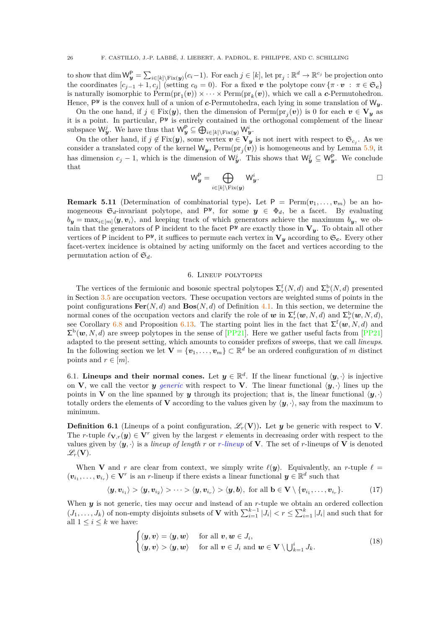to show that  $\dim \mathsf{W}_{\mathbf{y}}^{\mathsf{P}} = \sum_{i \in [k] \setminus \text{Fix}(\mathbf{y})} (c_i - 1)$ . For each  $j \in [k]$ , let  $\text{pr}_j : \mathbb{R}^d \to \mathbb{R}^{c_j}$  be projection onto the coordinates  $[c_{i-1} + 1, c_i]$  (setting  $c_0 = 0$ ). For a fixed *v* the polytope conv { $\pi \cdot v : \pi \in \mathfrak{S}_c$ } is naturally isomorphic to  $\text{Perm}(\text{pr}_1(\boldsymbol{v})) \times \cdots \times \text{Perm}(\text{pr}_k(\boldsymbol{v}))$ , which we call a *c*-Permutohedron. Hence, P *y* is the convex hull of a union of *c*-Permutohedra, each lying in some translation of W*y*.

On the one hand, if  $j \in Fix(y)$ , then the dimension of  $Perm(pr_j(v))$  is 0 for each  $v \in V_y$  as it is a point. In particular,  $P<sup>y</sup>$  is entirely contained in the orthogonal complement of the linear  $\text{subspace } \mathsf{W}_{\bm{y}}^j$ . We have thus that  $\mathsf{W}_{\bm{y}}^{\mathsf{P}} \subseteq \bigoplus_{i \in [k] \setminus \text{Fix}(\bm{y})} \mathsf{W}_{\bm{y}}^i$ .

On the other hand, if  $j \notin Fix(y)$ , some vertex  $v \in V_y$  is not inert with respect to  $\mathfrak{S}_{c_j}$ . As we consider a translated copy of the kernel  $W_y$ ,  $\text{Perm}(\text{pr}_j(v))$  is homogeneous and by Lemma [5.9,](#page-26-1) it has dimension  $c_j - 1$ , which is the dimension of  $\mathsf{W}_{\mathbf{y}}^j$ . This shows that  $\mathsf{W}_{\mathbf{y}}^j \subseteq \mathsf{W}_{\mathbf{y}}^{\mathsf{P}}$ . We conclude that

$$
\mathsf{W}_{\boldsymbol{y}}^{\mathsf{P}} = \bigoplus_{i \in [k] \setminus \mathrm{Fix}(\boldsymbol{y})} \mathsf{W}_{\boldsymbol{y}}^{i}.
$$

**Remark 5.11** (Determination of combinatorial type). Let  $P = \text{Perm}(v_1, \ldots, v_m)$  be an homogeneous  $\mathfrak{S}_d$ -invariant polytope, and  $\mathsf{P}^{\mathbf{y}}$ , for some  $\mathbf{y} \in \Phi_d$ , be a facet. By evaluating  $b_y = \max_{i \in [m]} \langle y, v_i \rangle$ , and keeping track of which generators achieve the maximum  $b_y$ , we obtain that the generators of P incident to the facet  $P<sup>y</sup>$  are exactly those in  $V<sub>y</sub>$ . To obtain all other vertices of P incident to P<sup>y</sup>, it suffices to permute each vertex in  $V_y$  according to  $\mathfrak{S}_c$ . Every other facet-vertex incidence is obtained by acting uniformly on the facet and vertices according to the permutation action of  $\mathfrak{S}_d$ .

### 6. Lineup polytopes

<span id="page-27-0"></span>The vertices of the fermionic and bosonic spectral polytopes  $\sum_{r}^{f}(N, d)$  and  $\sum_{r}^{b}(N, d)$  presented in Section [3.5](#page-22-2) are occupation vectors. These occupation vectors are weighted sums of points in the point configurations  $\text{Fer}(N, d)$  and  $\text{Pos}(N, d)$  of Definition [4.1.](#page-23-4) In this section, we determine the normal cones of the occupation vectors and clarify the role of  $w$  in  $\Sigma_r^{\text{f}}(w, N, d)$  and  $\Sigma_r^{\text{b}}(w, N, d)$ , see Corollary [6.8](#page-30-0) and Proposition [6.13.](#page-31-0) The starting point lies in the fact that  $\Sigma^{\text{f}}(\boldsymbol{w},N,d)$  and  $\Sigma^{\rm b}(\boldsymbol{w},N,d)$  are sweep polytopes in the sense of [\[PP21\]](#page-54-11). Here we gather useful facts from [PP21] adapted to the present setting, which amounts to consider prefixes of sweeps, that we call *lineups*. In the following section we let  $\mathbf{V} = \{\mathbf{v}_1, \dots, \mathbf{v}_m\} \subset \mathbb{R}^d$  be an ordered configuration of *m* distinct points and  $r \in [m]$ .

<span id="page-27-1"></span>6.1. **Lineups and their normal cones.** Let  $y \in \mathbb{R}^d$ . If the linear functional  $\langle y, \cdot \rangle$  is injective on **V**, we call the vector *y generic* with respect to **V**. The linear functional  $\langle y, \cdot \rangle$  lines up the points in **V** on the line spanned by *y* through its projection; that is, the linear functional  $\langle y, \cdot \rangle$ totally orders the elements of **V** according to the values given by  $\langle y, \cdot \rangle$ , say from the maximum to minimum.

**Definition 6.1** (Lineups of a point configuration,  $\mathscr{L}_r(\mathbf{V})$ ). Let *y* be generic with respect to **V**. The *r*-tuple  $\ell_{\mathbf{V},r}(\mathbf{y}) \in \mathbf{V}^r$  given by the largest *r* elements in decreasing order with respect to the values given by  $\langle y, \cdot \rangle$  is a *lineup of length r* or *r*-lineup of **V**. The set of *r*-lineups of **V** is denoted  $\mathscr{L}_r(\mathbf{V}).$ 

When **V** and *r* are clear from context, we simply write  $\ell(\mathbf{y})$ . Equivalently, an *r*-tuple  $\ell =$  $(v_{i_1}, \ldots, v_{i_r}) \in V^r$  is an *r*-lineup if there exists a linear functional  $y \in \mathbb{R}^d$  such that

<span id="page-27-3"></span>
$$
\langle \mathbf{y}, \mathbf{v}_{i_1} \rangle > \langle \mathbf{y}, \mathbf{v}_{i_2} \rangle > \cdots > \langle \mathbf{y}, \mathbf{v}_{i_r} \rangle > \langle \mathbf{y}, \mathbf{b} \rangle, \text{ for all } \mathbf{b} \in \mathbf{V} \setminus \{\mathbf{v}_{i_1}, \ldots, \mathbf{v}_{i_r}\}. \tag{17}
$$

When *y* is not generic, ties may occur and instead of an *r*-tuple we obtain an ordered collection  $(J_1, \ldots, J_k)$  of non-empty disjoints subsets of **V** with  $\sum_{i=1}^{k-1} |J_i| < r \le \sum_{i=1}^{k} |J_i|$  and such that for all  $1 \leq i \leq k$  we have:

<span id="page-27-2"></span>
$$
\begin{cases} \langle \boldsymbol{y}, \boldsymbol{v} \rangle = \langle \boldsymbol{y}, \boldsymbol{w} \rangle & \text{for all } \boldsymbol{v}, \boldsymbol{w} \in J_i, \\ \langle \boldsymbol{y}, \boldsymbol{v} \rangle > \langle \boldsymbol{y}, \boldsymbol{w} \rangle & \text{for all } \boldsymbol{v} \in J_i \text{ and } \boldsymbol{w} \in \mathbf{V} \setminus \bigcup_{k=1}^i J_k. \end{cases}
$$
(18)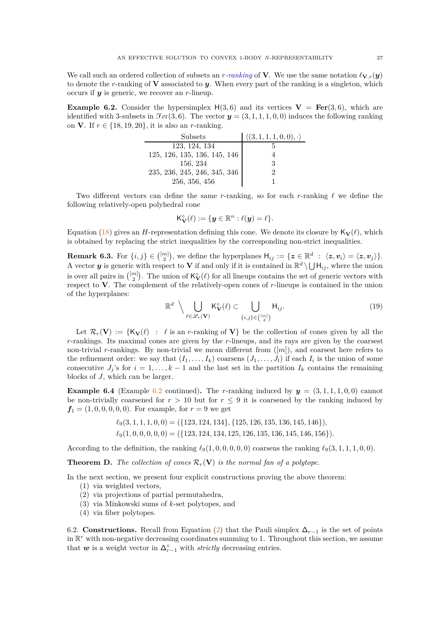We call such an ordered collection of subsets an *r*-ranking of **V**. We use the same notation  $\ell_{\mathbf{V},r}(\mathbf{y})$ to denote the *r*-ranking of **V** associated to *y*. When every part of the ranking is a singleton, which occurs if *y* is generic, we recover an *r*-lineup.

<span id="page-28-2"></span>**Example 6.2.** Consider the hypersimplex  $H(3,6)$  and its vertices  $V = \text{Fer}(3,6)$ , which are identified with 3-subsets in  $\mathcal{F}et(3,6)$ . The vector  $y = (3, 1, 1, 1, 0, 0)$  induces the following ranking on **V**. If  $r \in \{18, 19, 20\}$ , it is also an *r*-ranking.

| Subsets                      | $\langle (3,1,1,1,0,0), \cdot \rangle$ |
|------------------------------|----------------------------------------|
| 123, 124, 134                |                                        |
| 125, 126, 135, 136, 145, 146 |                                        |
| 156, 234                     | З                                      |
| 235, 236, 245, 246, 345, 346 |                                        |
| 256, 356, 456                |                                        |

Two different vectors can define the same *r*-ranking, so for each *r*-ranking *ℓ* we define the following relatively-open polyhedral cone

$$
\mathsf{K}_{\mathbf{V}}^{\circ}(\ell) := \{ \mathbf{y} \in \mathbb{R}^n : \ell(\mathbf{y}) = \ell \}.
$$

Equation [\(18\)](#page-27-2) gives an *H*-representation defining this cone. We denote its closure by  $\mathbf{K}_{\mathbf{V}}(\ell)$ , which is obtained by replacing the strict inequalities by the corresponding non-strict inequalities.

**Remark 6.3.** For  $\{i, j\} \in \binom{[m]}{2}$ , we define the hyperplanes  $H_{ij} := \{z \in \mathbb{R}^d : \langle z, v_i \rangle = \langle z, v_j \rangle\}$ . A vector *y* is generic with respect to **V** if and only if it is contained in  $\mathbb{R}^d \setminus \bigcup \mathsf{H}_{ij}$ , where the union is over all pairs in  $\binom{[m]}{2}$ . The union of  $\mathsf{K}_{\mathbf{V}}^{\circ}(\ell)$  for all lineups contains the set of generic vectors with respect to **V**. The complement of the relatively-open cones of *r*-lineups is contained in the union of the hyperplanes:

<span id="page-28-3"></span>
$$
\mathbb{R}^d \setminus \bigcup_{\ell \in \mathscr{L}_r(\mathbf{V})} \mathsf{K}_{\mathbf{V}}^{\circ}(\ell) \subset \bigcup_{\{i,j\} \in \binom{[m]}{2}} \mathsf{H}_{ij}.
$$
\n(19)

Let  $\mathcal{R}_r(\mathbf{V}) := \{ \mathsf{K}_\mathbf{V}(\ell) : \ell \text{ is an } r\text{-ranking of } \mathbf{V} \}$  be the collection of cones given by all the *r*-rankings. Its maximal cones are given by the *r*-lineups, and its rays are given by the coarsest non-trivial *r*-rankings. By non-trivial we mean different from ([*m*]), and coarsest here refers to the refinement order: we say that  $(I_1, \ldots, I_k)$  coarsens  $(J_1, \ldots, J_l)$  if each  $I_i$  is the union of some consecutive  $J_j$ 's for  $i = 1, ..., k - 1$  and the last set in the partition  $I_k$  contains the remaining blocks of *J*, which can be larger.

**Example 6.4** (Example [6.2](#page-28-2) continued). The *r*-ranking induced by  $y = (3, 1, 1, 1, 0, 0)$  cannot be non-trivially coarsened for  $r > 10$  but for  $r \leq 9$  it is coarsened by the ranking induced by  $f_1 = (1, 0, 0, 0, 0, 0)$ . For example, for  $r = 9$  we get

$$
\ell_9(3,1,1,1,0,0) = (\{123,124,134\},\{125,126,135,136,145,146\}),
$$

$$
\ell_9(1,0,0,0,0,0) = (\{123, 124, 134, 125, 126, 135, 136, 145, 146, 156\}).
$$

According to the definition, the ranking  $\ell_9(1, 0, 0, 0, 0, 0)$  coarsens the ranking  $\ell_9(3, 1, 1, 1, 0, 0)$ .

<span id="page-28-0"></span>**Theorem D.** *The collection of cones*  $\mathcal{R}_r(\mathbf{V})$  *is the normal fan of a polytope.* 

In the next section, we present four explicit constructions proving the above theorem:

- (1) via weighted vectors,
- (2) via projections of partial permutahedra,
- (3) via Minkowski sums of *k*-set polytopes, and
- (4) via fiber polytopes.

<span id="page-28-1"></span>6.2. **Constructions.** Recall from Equation [\(2\)](#page-10-4) that the Pauli simplex  $\Delta_{r-1}$  is the set of points in R *<sup>r</sup>* with non-negative decreasing coordinates summing to 1. Throughout this section, we assume that  $w$  is a weight vector in  $\Delta_{r-1}^{\circ}$  with *strictly* decreasing entries.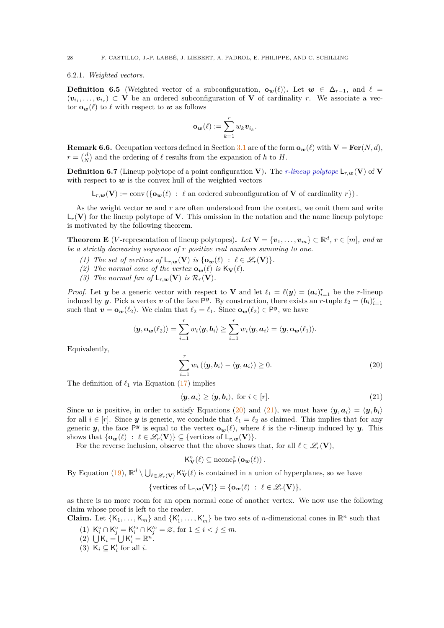### 6.2.1. *Weighted vectors.*

**Definition 6.5** (Weighted vector of a subconfiguration,  $\mathbf{o}_w(\ell)$ ). Let  $w \in \Delta_{r-1}$ , and  $\ell =$  $(v_{i_1}, \ldots, v_{i_r}) \subset V$  be an ordered subconfiguration of V of cardinality *r*. We associate a vector  $\mathbf{o}_w(\ell)$  to  $\ell$  with respect to  $w$  as follows

$$
\mathbf{o}_{\mathbf{w}}(\ell) := \sum_{k=1}^r w_k \mathbf{v}_{i_k}.
$$

**Remark 6.6.** Occupation vectors defined in Section [3.1](#page-16-1) are of the form  $\mathbf{o}_w(\ell)$  with  $\mathbf{V} = \mathbf{Fer}(N, d)$ ,  $r = \begin{pmatrix} d \\ N \end{pmatrix}$  and the ordering of  $\ell$  results from the expansion of *h* to *H*.

<span id="page-29-3"></span>**Definition 6.7** (Lineup polytope of a point configuration **V**). The *r-lineup polytope*  $\mathsf{L}_{r,\bm{w}}(\mathbf{V})$  of **V** with respect to  $w$  is the convex hull of the weighted vectors

 $\mathsf{L}_{r,w}(\mathbf{V}) := \text{conv}\left(\{\mathbf{o}_w(\ell) : \ell \text{ an ordered subconfiguration of } \mathbf{V} \text{ of cardinality } r\}\right).$ 

As the weight vector  $w$  and  $r$  are often understood from the context, we omit them and write  $\mathsf{L}_r(\mathbf{V})$  for the lineup polytope of **V**. This omission in the notation and the name lineup polytope is motivated by the following theorem.

<span id="page-29-0"></span>**Theorem E** (*V*-representation of lineup polytopes). Let  $\mathbf{V} = {\mathbf{v}_1, \dots, \mathbf{v}_m} \subset \mathbb{R}^d, r \in [m]$ , and  $\mathbf{w}$ *be a strictly decreasing sequence of r positive real numbers summing to one.*

- *(1)* The set of vertices of  $\mathsf{L}_{r,w}(\mathbf{V})$  is  $\{\mathbf{o}_w(\ell) : \ell \in \mathscr{L}_r(\mathbf{V})\}.$
- *(2)* The normal cone of the vertex  $\mathbf{o}_w(\ell)$  is  $K_v(\ell)$ .
- *(3)* The normal fan of  $\mathsf{L}_{r,w}(\mathbf{V})$  *is*  $\mathcal{R}_r(\mathbf{V})$ *.*

*Proof.* Let *y* be a generic vector with respect to **V** and let  $\ell_1 = \ell(y) = (a_i)_{i=1}^r$  be the *r*-lineup induced by *y*. Pick a vertex *v* of the face  $P^y$ . By construction, there exists an *r*-tuple  $\ell_2 = (b_i)_{i=1}^r$ such that  $\mathbf{v} = \mathbf{o}_\mathbf{w}(\ell_2)$ . We claim that  $\ell_2 = \ell_1$ . Since  $\mathbf{o}_\mathbf{w}(\ell_2) \in \mathsf{P}^{\mathbf{y}}$ , we have

$$
\langle \boldsymbol{y}, \mathbf{o_w}(\ell_2) \rangle = \sum_{i=1}^r w_i \langle \boldsymbol{y}, \boldsymbol{b}_i \rangle \geq \sum_{i=1}^r w_i \langle \boldsymbol{y}, \boldsymbol{a}_i \rangle = \langle \boldsymbol{y}, \mathbf{o_w}(\ell_1) \rangle.
$$

Equivalently,

<span id="page-29-1"></span>
$$
\sum_{i=1}^{r} w_i (\langle \boldsymbol{y}, \boldsymbol{b}_i \rangle - \langle \boldsymbol{y}, \boldsymbol{a}_i \rangle) \ge 0.
$$
 (20)

The definition of  $\ell_1$  via Equation [\(17\)](#page-27-3) implies

<span id="page-29-2"></span>
$$
\langle \mathbf{y}, \mathbf{a}_i \rangle \ge \langle \mathbf{y}, \mathbf{b}_i \rangle, \text{ for } i \in [r]. \tag{21}
$$

Since *w* is positive, in order to satisfy Equations [\(20\)](#page-29-1) and [\(21\)](#page-29-2), we must have  $\langle y, a_i \rangle = \langle y, b_i \rangle$ for all  $i \in [r]$ . Since *y* is generic, we conclude that  $\ell_1 = \ell_2$  as claimed. This implies that for any generic *y*, the face  $P^y$  is equal to the vertex  $\mathbf{o}_w(\ell)$ , where  $\ell$  is the *r*-lineup induced by *y*. This shows that  $\{\mathbf{o}_w(\ell) : \ell \in \mathcal{L}_r(\mathbf{V})\} \subseteq \{\text{vertices of } \mathsf{L}_{r,w}(\mathbf{V})\}.$ 

For the reverse inclusion, observe that the above shows that, for all  $\ell \in \mathscr{L}_r(\mathbf{V})$ ,

 $\mathsf{K}_{\mathbf{V}}^{\circ}(\ell) \subseteq \operatorname{ncone}_{\mathsf{P}}^{\circ}(\mathbf{o}_{\mathbf{w}}(\ell)).$ 

By Equation [\(19\)](#page-28-3),  $\mathbb{R}^d \setminus \bigcup_{\ell \in \mathscr{L}_r(\mathbf{V})} \mathsf{K}_\mathbf{V}^\circ(\ell)$  is contained in a union of hyperplanes, so we have

{vertices of 
$$
L_{r,\mathbf{w}}(\mathbf{V})
$$
} = { $\mathbf{o}_{\mathbf{w}}(\ell) : \ell \in \mathcal{L}_r(\mathbf{V})$ },

as there is no more room for an open normal cone of another vertex. We now use the following claim whose proof is left to the reader.

**Claim.** Let  $\{K_1, \ldots, K_m\}$  and  $\{K'_1, \ldots, K'_m\}$  be two sets of *n*-dimensional cones in  $\mathbb{R}^n$  such that

- (1)  $K_i^{\circ} \cap K_j^{\circ} = K_i'^{\circ} \cap K_j'^{\circ} = \emptyset$ , for  $1 \le i < j \le m$ .
- (2)  $\bigcup K_i = \bigcup K'_i = \mathbb{R}^n$ .
- (3)  $K_i \subseteq K'_i$  for all *i*.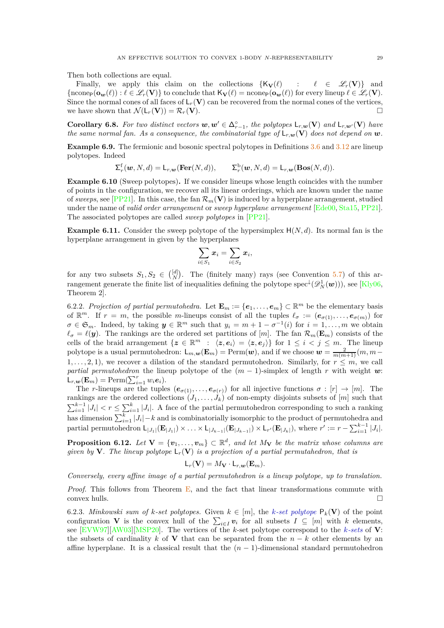Then both collections are equal.

Finally, we apply this claim on the collections  $\{K_{\mathbf{V}}(\ell) : \ell \in \mathcal{L}_r(\mathbf{V})\}$  and  ${\rm (ncone}_P(\mathbf{o}_w(\ell)) : \ell \in \mathscr{L}_r(\mathbf{V})$  to conclude that  $\mathsf{K}_{\mathbf{V}}(\ell) = \text{ncone}_P(\mathbf{o}_w(\ell))$  for every lineup  $\ell \in \mathscr{L}_r(\mathbf{V})$ . Since the normal cones of all faces of  $\mathsf{L}_r(\mathbf{V})$  can be recovered from the normal cones of the vertices, we have shown that  $\mathcal{N}(\mathsf{L}_r(\mathbf{V})) = \mathcal{R}_r(\mathbf{V}).$ 

<span id="page-30-0"></span>**Corollary 6.8.** For two distinct vectors  $w, w' \in \Delta_{r-1}^{\circ}$ , the polytopes  $\mathsf{L}_{r,w}(\mathbf{V})$  and  $\mathsf{L}_{r,w'}(\mathbf{V})$  have *the same normal fan. As a consequence, the combinatorial type of*  $\mathsf{L}_{r,w}(\mathbf{V})$  does not depend on  $w$ .

<span id="page-30-1"></span>**Example 6.9.** The fermionic and bosonic spectral polytopes in Definitions [3.6](#page-18-2) and [3.12](#page-21-2) are lineup polytopes. Indeed

$$
\Sigma_r^{\text{f}}(\boldsymbol{w},N,d) = \mathsf{L}_{r,\boldsymbol{w}}(\text{Fer}(N,d)), \qquad \Sigma_r^{\text{b}}(\boldsymbol{w},N,d) = \mathsf{L}_{r,\boldsymbol{w}}(\text{Bos}(N,d)).
$$

**Example 6.10** (Sweep polytopes)**.** If we consider lineups whose length coincides with the number of points in the configuration, we recover all its linear orderings, which are known under the name of *sweeps*, see [\[PP21\]](#page-54-11). In this case, the fan  $\mathcal{R}_m(\mathbf{V})$  is induced by a hyperplane arrangement, studied under the name of *valid order arrangement* or *sweep hyperplane arrangement* [\[Ede00,](#page-53-28) [Sta15,](#page-55-10) [PP21\]](#page-54-11). The associated polytopes are called *sweep polytopes* in [\[PP21\]](#page-54-11).

**Example 6.11.** Consider the sweep polytope of the hypersimplex  $H(N, d)$ . Its normal fan is the hyperplane arrangement in given by the hyperplanes

$$
\sum_{i\in S_1} \boldsymbol{x}_i = \sum_{i\in S_2} \boldsymbol{x}_i,
$$

for any two subsets  $S_1, S_2 \in \binom{[d]}{N}$ . The (finitely many) rays (see Convention [5.7\)](#page-25-1) of this arrangement generate the finite list of inequalities defining the polytope spec<sup>↓</sup>( $\mathscr{D}^1_N(\bm{w})$ )), see [\[Kly06,](#page-53-8) Theorem 2].

6.2.2. *Projection of partial permutohedra.* Let  $\mathbf{E}_m := \{e_1, \ldots, e_m\} \subset \mathbb{R}^m$  be the elementary basis of  $\mathbb{R}^m$ . If  $r = m$ , the possible *m*-lineups consist of all the tuples  $\ell_{\sigma} := (e_{\sigma(1)}, \ldots, e_{\sigma(m)})$  for  $\sigma \in \mathfrak{S}_m$ . Indeed, by taking  $y \in \mathbb{R}^m$  such that  $y_i = m + 1 - \sigma^{-1}(i)$  for  $i = 1, \ldots, m$  we obtain  $\ell_{\sigma} = \ell(\mathbf{y})$ . The rankings are the ordered set partitions of [*m*]. The fan  $\mathcal{R}_{m}(\mathbf{E}_{m})$  consists of the cells of the braid arrangement  $\{z \in \mathbb{R}^m : \langle z, e_i \rangle = \langle z, e_j \rangle\}$  for  $1 \leq i < j \leq m$ . The lineup polytope is a usual permutohedron:  $\mathsf{L}_{m,\mathbf{w}}(\mathbf{E}_m) = \text{Perm}(\mathbf{w})$ , and if we choose  $\mathbf{w} = \frac{2}{m(m+1)} (m, m -$ 1,..., 2, 1), we recover a dilation of the standard permutohedron. Similarly, for  $r \leq m$ , we call *partial permutohedron* the lineup polytope of the  $(m - 1)$ -simplex of length *r* with weight *w*:  $\mathsf{L}_{r,\mathbf{w}}(\mathbf{E}_m) = \text{Perm}(\sum_{i=1}^r w_i \mathbf{e}_i).$ 

The *r*-lineups are the tuples  $(e_{\sigma(1)},...,e_{\sigma(r)})$  for all injective functions  $\sigma: [r] \to [m]$ . The rankings are the ordered collections  $(J_1, \ldots, J_k)$  of non-empty disjoints subsets of  $[m]$  such that  $\sum_{i=1}^{k-1} |J_i| < r \le \sum_{i=1}^k |J_i|$ . A face of the partial permutohedron corresponding to such a ranking has dimension  $\sum_{i=1}^{k} |J_i| - k$  and is combinatorially isomorphic to the product of permutohedra and partial permutohedron  $\mathsf{L}_{|J_1|}(\mathbf{E}_{|J_1|}) \times \ldots \times \mathsf{L}_{|J_{k-1}|}(\mathbf{E}_{|J_{k-1}|}) \times \mathsf{L}_{r'}(\mathbf{E}_{|J_k|})$ , where  $r' := r - \sum_{i=1}^{k-1} |J_i|$ .

**Proposition 6.12.** *Let*  $V = \{v_1, \ldots, v_m\} \subset \mathbb{R}^d$ , and let  $M_V$  be the matrix whose columns are *given by* **V***. The lineup polytope*  $\mathsf{L}_r(\mathbf{V})$  *is a projection of a partial permutahedron, that is* 

$$
\mathsf{L}_r(\mathbf{V}) = M_{\mathbf{V}} \cdot \mathsf{L}_{r,\mathbf{w}}(\mathbf{E}_m).
$$

*Conversely, every affine image of a partial permutohedron is a lineup polytope, up to translation.*

*Proof.* This follows from Theorem [E,](#page-29-0) and the fact that linear transformations commute with  $\Box$ convex hulls.

6.2.3. *Minkowski sum of k-set polytopes.* Given  $k \in [m]$ , the *k-set polytope*  $P_k(\mathbf{V})$  of the point configuration **V** is the convex hull of the  $\sum_{i\in I} v_i$  for all subsets  $I \subseteq [m]$  with *k* elements, see [\[EVW97\]](#page-53-29)[\[AW03\]](#page-52-27)[\[MSP20\]](#page-54-28). The vertices of the *k*-set polytope correspond to the *k-sets* of **V**: the subsets of cardinality  $k$  of **V** that can be separated from the  $n - k$  other elements by an affine hyperplane. It is a classical result that the  $(n-1)$ -dimensional standard permutohedron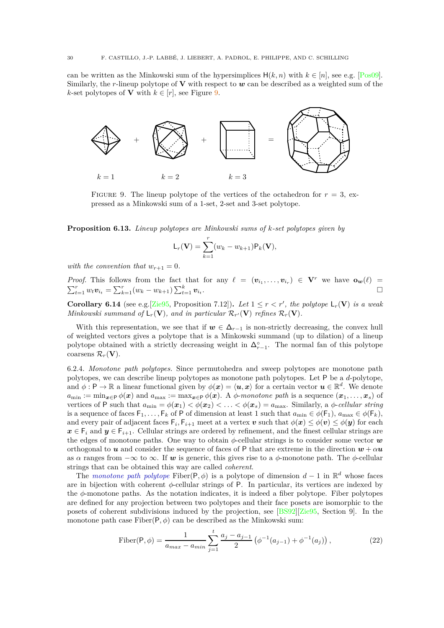can be written as the Minkowski sum of the hypersimplices  $H(k, n)$  with  $k \in [n]$ , see e.g. [\[Pos09\]](#page-54-27). Similarly, the *r*-lineup polytope of **V** with respect to *w* can be described as a weighted sum of the *k*-set polytopes of **V** with  $k \in [r]$ , see Figure [9.](#page-31-1)

<span id="page-31-1"></span>

FIGURE 9. The lineup polytope of the vertices of the octahedron for  $r = 3$ , expressed as a Minkowski sum of a 1-set, 2-set and 3-set polytope.

<span id="page-31-0"></span>**Proposition 6.13.** *Lineup polytopes are Minkowski sums of k-set polytopes given by*

$$
\mathsf{L}_r(\mathbf{V}) = \sum_{k=1}^r (w_k - w_{k+1}) \mathsf{P}_k(\mathbf{V}),
$$

*with the convention that*  $w_{r+1} = 0$ .

*Proof.* This follows from the fact that for any  $\ell = (\mathbf{v}_{i_1}, \dots, \mathbf{v}_{i_r}) \in \mathbf{V}^r$  we have  $\mathbf{o}_w(\ell)$  =  $\sum_{t=1}^{r} w_t \mathbf{v}_{i_t} = \sum_{k=1}^{r} (w_k - w_{k+1}) \sum_{t=1}^{k} \mathbf{v}_{i_t}.$ 

<span id="page-31-3"></span>**Corollary 6.14** (see e.g. [\[Zie95,](#page-55-5) Proposition 7.12]). Let  $1 \leq r < r'$ , the polytope  $\mathsf{L}_r(\mathbf{V})$  is a weak *Minkowski summand of*  $\mathsf{L}_r(\mathbf{V})$ *, and in particular*  $\mathcal{R}_{r'}(\mathbf{V})$  *refines*  $\mathcal{R}_r(\mathbf{V})$ *.* 

With this representation, we see that if  $w \in \Delta_{r-1}$  is non-strictly decreasing, the convex hull of weighted vectors gives a polytope that is a Minkowski summand (up to dilation) of a lineup polytope obtained with a strictly decreasing weight in  $\Delta_{r-1}^{\circ}$ . The normal fan of this polytope coarsens  $\mathcal{R}_r(\mathbf{V})$ .

6.2.4. *Monotone path polytopes.* Since permutohedra and sweep polytopes are monotone path polytopes, we can describe lineup polytopes as monotone path polytopes. Let P be a *d*-polytope, and  $\phi: \mathsf{P} \to \mathbb{R}$  a linear functional given by  $\phi(\bm{x}) = \langle \bm{u}, \bm{x} \rangle$  for a certain vector  $\bm{u} \in \mathbb{R}^d$ . We denote  $a_{\min} := \min_{\mathbf{x} \in \mathcal{P}} \phi(\mathbf{x})$  and  $a_{\max} := \max_{\mathbf{x} \in \mathcal{P}} \phi(\mathbf{x})$ . A  $\phi$ -*monotone path* is a sequence  $(\mathbf{x}_1, \dots, \mathbf{x}_s)$  of vertices of P such that  $a_{\min} = \phi(\mathbf{x}_1) < \phi(\mathbf{x}_2) < \ldots < \phi(\mathbf{x}_s) = a_{\max}$ . Similarly, a  $\phi$ -*cellular string* is a sequence of faces  $F_1, \ldots, F_k$  of P of dimension at least 1 such that  $a_{\min} \in \phi(F_1), a_{\max} \in \phi(F_k)$ , and every pair of adjacent faces  $\mathsf{F}_i$ ,  $\mathsf{F}_{i+1}$  meet at a vertex  $v$  such that  $\phi(\bm{x}) \leq \phi(\bm{v}) \leq \phi(\bm{y})$  for each  $x \in F_i$  and  $y \in F_{i+1}$ . Cellular strings are ordered by refinement, and the finest cellular strings are the edges of monotone paths. One way to obtain  $\phi$ -cellular strings is to consider some vector  $w$ orthogonal to *u* and consider the sequence of faces of P that are extreme in the direction  $w + \alpha u$ as  $\alpha$  ranges from  $-\infty$  to  $\infty$ . If w is generic, this gives rise to a  $\phi$ -monotone path. The  $\phi$ -cellular strings that can be obtained this way are called *coherent*.

The *monotone path polytope* Fiber( $P, \phi$ ) is a polytope of dimension  $d-1$  in  $\mathbb{R}^d$  whose faces are in bijection with coherent *φ*-cellular strings of P. In particular, its vertices are indexed by the *φ*-monotone paths. As the notation indicates, it is indeed a fiber polytope. Fiber polytopes are defined for any projection between two polytopes and their face posets are isomorphic to the posets of coherent subdivisions induced by the projection, see [\[BS92\]](#page-52-28)[\[Zie95,](#page-55-5) Section 9]. In the monotone path case  $Fiber(P, \phi)$  can be described as the Minkowski sum:

<span id="page-31-2"></span>Fiber
$$
(P, \phi) = \frac{1}{a_{max} - a_{min}} \sum_{j=1}^{t} \frac{a_j - a_{j-1}}{2} \left( \phi^{-1}(a_{j-1}) + \phi^{-1}(a_j) \right),
$$
 (22)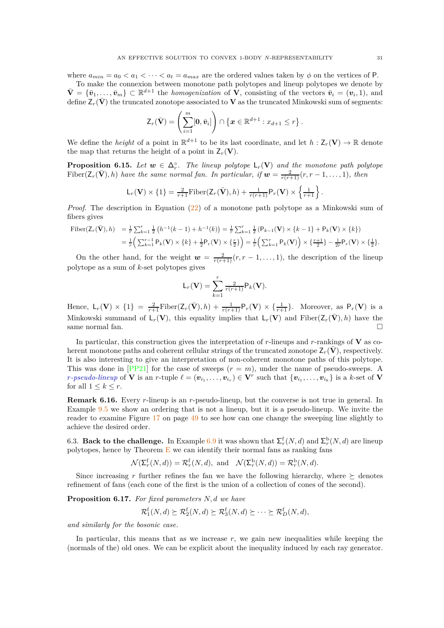where  $a_{min} = a_0 < a_1 < \cdots < a_t = a_{max}$  are the ordered values taken by  $\phi$  on the vertices of P.

To make the connexion between monotone path polytopes and lineup polytopes we denote by  $\bar{\mathbf{V}} = {\bar{v}_1, \ldots, \bar{v}_m} \subset \mathbb{R}^{d+1}$  the *homogenization* of **V**, consisting of the vectors  $\bar{v}_i = (v_i, 1)$ , and define  $Z_r(\bar{V})$  the truncated zonotope associated to V as the truncated Minkowski sum of segments:

$$
\mathsf{Z}_r(\bar{\mathbf{V}})=\left(\sum_{i=1}^m[\mathbf{0},\bar{\mathbf{v}}_i]\right)\cap\left\{\mathbf{x}\in\mathbb{R}^{d+1}:x_{d+1}\leq r\right\}.
$$

We define the *height* of a point in  $\mathbb{R}^{d+1}$  to be its last coordinate, and let  $h: \mathsf{Z}_r(\mathbf{V}) \to \mathbb{R}$  denote the map that returns the height of a point in  $Z_r(\mathbf{V})$ .

**Proposition 6.15.** Let  $w \in \Delta_r^{\circ}$ . The lineup polytope  $\mathsf{L}_r(\mathbf{V})$  and the monotone path polytope  $Fiber(\mathsf{Z}_r(\bar{\mathbf{V}}), h)$  *have the same normal fan. In particular, if*  $\mathbf{w} = \frac{2}{r(r+1)}(r, r-1, \ldots, 1)$ *, then* 

$$
\mathsf{L}_r(\mathbf{V}) \times \{1\} = \frac{2}{r+1} \mathrm{Fiber}(\mathsf{Z}_r(\bar{\mathbf{V}}), h) + \frac{1}{r(r+1)} \mathsf{P}_r(\mathbf{V}) \times \left\{\frac{1}{r+1}\right\}.
$$

*Proof.* The description in Equation [\(22\)](#page-31-2) of a monotone path polytope as a Minkowski sum of fibers gives

Fiber
$$
(\mathbf{Z}_r(\bar{\mathbf{V}}), h)
$$
 =  $\frac{1}{r} \sum_{k=1}^r \frac{1}{2} (h^{-1}(k-1) + h^{-1}(k)) = \frac{1}{r} \sum_{k=1}^r \frac{1}{2} (P_{k-1}(\mathbf{V}) \times \{k-1\} + P_k(\mathbf{V}) \times \{k\})$   
 =  $\frac{1}{r} (\sum_{k=1}^{r-1} P_k(\mathbf{V}) \times \{k\} + \frac{1}{2} P_r(\mathbf{V}) \times \{\frac{r}{2}\}) = \frac{1}{r} (\sum_{k=1}^{r} P_k(\mathbf{V})) \times \{\frac{r+1}{2}\} - \frac{1}{2r} P_r(\mathbf{V}) \times \{\frac{1}{2}\}.$ 

On the other hand, for the weight  $w = \frac{2}{r(r+1)}(r, r-1, \ldots, 1)$ , the description of the lineup polytope as a sum of *k*-set polytopes gives

$$
L_r(\mathbf{V}) = \sum_{k=1}^r \frac{2}{r(r+1)} P_k(\mathbf{V}).
$$

Hence,  $L_r(\mathbf{V}) \times \{1\} = \frac{2}{r+1} \text{Fiber}(\mathbf{Z}_r(\bar{\mathbf{V}}), h) + \frac{1}{r(r+1)} \mathsf{P}_r(\mathbf{V}) \times \{\frac{1}{r+1}\}.$  Moreover, as  $\mathsf{P}_r(\mathbf{V})$  is a Minkowski summand of  $L_r(\mathbf{V})$ , this equality implies that  $L_r(\mathbf{V})$  and Fiber( $Z_r(\bar{\mathbf{V}})$ , h) have the same normal fan.

In particular, this construction gives the interpretation of *r*-lineups and *r*-rankings of **V** as coherent monotone paths and coherent cellular strings of the truncated zonotope  $Z_r(\mathbf{V})$ , respectively. It is also interesting to give an interpretation of non-coherent monotone paths of this polytope. This was done in  $[PP21]$  for the case of sweeps  $(r = m)$ , under the name of pseudo-sweeps. A *r*-pseudo-lineup of **V** is an *r*-tuple  $\ell = (\boldsymbol{v}_{i_1}, \dots, \boldsymbol{v}_{i_r}) \in \mathbf{V}^r$  such that  $\{\boldsymbol{v}_{i_1}, \dots, \boldsymbol{v}_{i_k}\}$  is a *k*-set of **V** for all  $1 \leq k \leq r$ .

<span id="page-32-2"></span>**Remark 6.16.** Every *r*-lineup is an *r*-pseudo-lineup, but the converse is not true in general. In Example [9.5](#page-50-0) we show an ordering that is not a lineup, but it is a pseudo-lineup. We invite the reader to examine Figure [17](#page-50-1) on page [49](#page-50-1) to see how can one change the sweeping line slightly to achieve the desired order.

<span id="page-32-1"></span>6.3. **Back to the challenge.** In Example [6.9](#page-30-1) it was shown that  $\Sigma_r^{\text{f}}(N, d)$  and  $\Sigma_r^{\text{b}}(N, d)$  are lineup polytopes, hence by Theorem  $E$  we can identify their normal fans as ranking fans

$$
\mathcal{N}(\Sigma_r^{\mathrm{f}}(N,d)) = \mathcal{R}_r^{\mathrm{f}}(N,d), \text{ and } \mathcal{N}(\Sigma_r^{\mathrm{b}}(N,d)) = \mathcal{R}_r^{\mathrm{b}}(N,d).
$$

Since increasing r further refines the fan we have the following hierarchy, where  $\succeq$  denotes refinement of fans (each cone of the first is the union of a collection of cones of the second).

<span id="page-32-0"></span>**Proposition 6.17.** *For fixed parameters N, d we have*

$$
\mathcal{R}_1^{\mathrm{f}}(N,d) \succeq \mathcal{R}_2^{\mathrm{f}}(N,d) \succeq \mathcal{R}_3^{\mathrm{f}}(N,d) \succeq \cdots \succeq \mathcal{R}_D^{\mathrm{f}}(N,d),
$$

*and similarly for the bosonic case.*

In particular, this means that as we increase  $r$ , we gain new inequalities while keeping the (normals of the) old ones. We can be explicit about the inequality induced by each ray generator.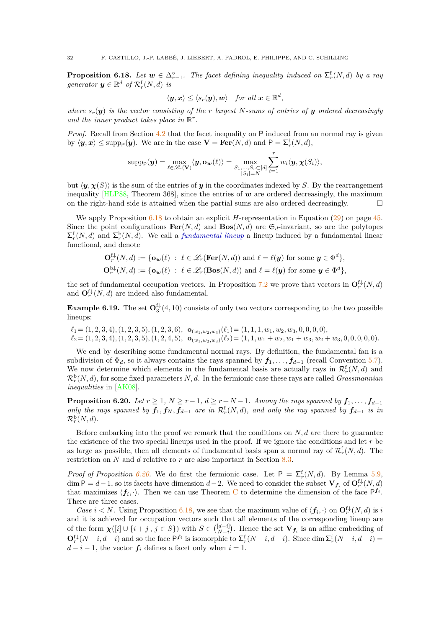<span id="page-33-0"></span>**Proposition 6.18.** Let  $w \in \Delta_{r-1}^{\circ}$ . The facet defining inequality induced on  $\Sigma_r^{\text{f}}(N,d)$  by a ray *generator*  $y \in \mathbb{R}^d$  *of*  $\mathcal{R}_r^{\text{f}}(N,d)$  *is* 

$$
\langle \boldsymbol{y}, \boldsymbol{x}\rangle \leq \langle s_r(\boldsymbol{y}), \boldsymbol{w}\rangle \quad \textit{for all } \boldsymbol{x} \in \mathbb{R}^d,
$$

*where*  $s_r(y)$  *is the vector consisting of the r largest N-sums of entries of y ordered decreasingly* and the inner product takes place in  $\mathbb{R}^r$ .

*Proof.* Recall from Section [4.2](#page-23-0) that the facet inequality on P induced from an normal ray is given by  $\langle y, x \rangle \le \text{supp}_{P}(y)$ . We are in the case  $V = \text{Fer}(N, d)$  and  $P = \sum_{r}^{f}(N, d)$ ,

$$
\text{supp}_{\mathsf{P}}(\boldsymbol{y}) = \max_{\ell \in \mathscr{L}_r(\mathbf{V})} \langle \boldsymbol{y}, \mathbf{o}_{\boldsymbol{w}}(\ell) \rangle = \max_{\substack{S_1, \dots, S_r \subset [d] \\ |S_i| = N}} \sum_{i=1}^r w_i \langle \boldsymbol{y}, \boldsymbol{\chi}(S_i) \rangle,
$$

but  $\langle y, \chi(S) \rangle$  is the sum of the entries of *y* in the coordinates indexed by *S*. By the rearrangement inequality [\[HLP88,](#page-53-27) Theorem 368], since the entries of  $w$  are ordered decreasingly, the maximum on the right-hand side is attained when the partial sums are also ordered decreasingly.  $\Box$ 

We apply Proposition [6.18](#page-33-0) to obtain an explicit *H*-representation in Equation [\(29\)](#page-46-2) on page [45.](#page-46-2) Since the point configurations  $\textbf{Fer}(N, d)$  and  $\textbf{Bos}(N, d)$  are  $\mathfrak{S}_d$ -invariant, so are the polytopes  $\sum_{r}^{f}(N, d)$  and  $\sum_{r}^{b}(N, d)$ . We call a *fundamental lineup* a lineup induced by a fundamental linear functional, and denote

$$
\mathbf{O}_{r}^{\{\downarrow\}}(N,d) := \{ \mathbf{o}_{\mathbf{w}}(\ell) \ : \ \ell \in \mathcal{L}_{r}(\mathbf{Fer}(N,d)) \text{ and } \ell = \ell(\mathbf{y}) \text{ for some } \mathbf{y} \in \Phi^{d} \},
$$
  

$$
\mathbf{O}_{r}^{\mathrm{b}\downarrow}(N,d) := \{ \mathbf{o}_{\mathbf{w}}(\ell) \ : \ \ell \in \mathcal{L}_{r}(\mathbf{Bos}(N,d)) \text{ and } \ell = \ell(\mathbf{y}) \text{ for some } \mathbf{y} \in \Phi^{d} \},
$$

the set of fundamental occupation vectors. In Proposition [7.2](#page-34-2) we prove that vectors in  $\mathbf{O}_r^{\mathrm{f}\downarrow}(N,d)$ and  $\mathbf{O}_r^{\{ \downarrow \}}(N,d)$  are indeed also fundamental.

<span id="page-33-2"></span>**Example 6.19.** The set  $\mathbf{O}_3^{\{1\}}(4,10)$  consists of only two vectors corresponding to the two possible lineups:

 $\ell_1 = (1, 2, 3, 4), (1, 2, 3, 5), (1, 2, 3, 6), \mathbf{o}_{(w_1, w_2, w_3)}(\ell_1) = (1, 1, 1, w_1, w_2, w_3, 0, 0, 0, 0),$  $\ell_2 = (1, 2, 3, 4), (1, 2, 3, 5), (1, 2, 4, 5), \quad \mathbf{o}_{(w_1, w_2, w_3)}(\ell_2) = (1, 1, w_1 + w_2, w_1 + w_3, w_2 + w_3, 0, 0, 0, 0, 0).$ 

We end by describing some fundamental normal rays. By definition, the fundamental fan is a subdivision of  $\Phi_d$ , so it always contains the rays spanned by  $f_1, \ldots, f_{d-1}$  (recall Convention [5.7\)](#page-25-1). We now determine which elements in the fundamental basis are actually rays in  $\mathcal{R}_r^{\text{f}}(N,d)$  and  $\mathcal{R}_r^{\rm b}(N,d)$ , for some fixed parameters  $N,d$ . In the fermionic case these rays are called *Grassmannian inequalities* in [\[AK08\]](#page-52-12).

<span id="page-33-1"></span>**Proposition 6.20.** *Let*  $r \geq 1$ ,  $N \geq r-1$ ,  $d \geq r+N-1$ . Among the rays spanned by  $f_1, \ldots, f_{d-1}$ *only the rays spanned by*  $f_1, f_N, f_{d-1}$  *are in*  $\mathcal{R}_r^{\text{f}}(N,d)$ *, and only the ray spanned by*  $f_{d-1}$  *is in*  $\mathcal{R}_r^{\rm b}(N,d)$ .

Before embarking into the proof we remark that the conditions on *N, d* are there to guarantee the existence of the two special lineups used in the proof. If we ignore the conditions and let *r* be as large as possible, then all elements of fundamental basis span a normal ray of  $\mathcal{R}_r^{\text{f}}(N,d)$ . The restriction on *N* and *d* relative ro *r* are also important in Section [8.3.](#page-39-0)

*Proof of Proposition [6.20.](#page-33-1)* We do first the fermionic case. Let  $P = \sum_{r}^{f} (N, d)$ . By Lemma [5.9,](#page-26-1) dim  $P = d - 1$ , so its facets have dimension  $d - 2$ . We need to consider the subset  $V_{f_i}$  of  $O_r^{\{t\}}(N, d)$ that maximizes  $\langle f_i, \cdot \rangle$ . Then we can use Theorem [C](#page-26-0) to determine the dimension of the face  $P^{f_i}$ . There are three cases.

*Case*  $i < N$ . Using Proposition [6.18,](#page-33-0) we see that the maximum value of  $\langle f_i, \cdot \rangle$  on  $\mathbf{O}_r^{\{ \downarrow \}}(N, d)$  is *i* and it is achieved for occupation vectors such that all elements of the corresponding lineup are of the form  $\chi([i] \cup \{i + j, j \in S\})$  with  $S \in \binom{[d-i]}{N-i}$ . Hence the set  $V_{f_i}$  is an affine embedding of  $\mathbf{O}_{r}^{\{f\}}(N-i, d-i)$  and so the face  $\mathsf{P}^{\{f\}}$  is isomorphic to  $\mathsf{\Sigma}_{r}^{\{f\}}(N-i, d-i)$ . Since dim  $\mathsf{\Sigma}_{r}^{\{f\}}(N-i, d-i)$  $d - i - 1$ , the vector  $f_i$  defines a facet only when  $i = 1$ .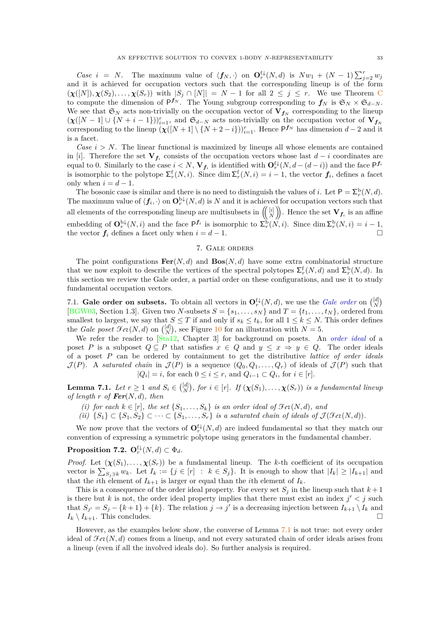*Case i* = *N*. The maximum value of  $\langle f_N, \cdot \rangle$  on  $\mathbf{O}_r^{\{ \downarrow \}}(N, d)$  is  $Nw_1 + (N - 1)\sum_{j=2}^r w_j$ and it is achieved for occupation vectors such that the corresponding lineup is of the form  $(\chi([N]), \chi(S_2), \ldots, \chi(S_r))$  with  $|S_j \cap [N]| = N - 1$  for all  $2 \leq j \leq r$ . We use Theorem [C](#page-26-0) to compute the dimension of  $P^{f_N}$ . The Young subgroup corresponding to  $f_N$  is  $\mathfrak{S}_N \times \mathfrak{S}_{d-N}$ . We see that  $\mathfrak{S}_N$  acts non-trivially on the occupation vector of  $\mathbf{V}_{f_N}$  corresponding to the lineup  $(\chi([N-1] \cup \{N+i-1\}))_{i=1}^r$ , and  $\mathfrak{S}_{d-N}$  acts non-trivially on the occupation vector of  $\mathbf{V}_{f_N}$ corresponding to the lineup  $(\chi([N+1] \setminus \{N+2-i\}))_{i=1}^r$ . Hence  $P^{f_N}$  has dimension  $d-2$  and it is a facet.

*Case*  $i > N$ . The linear functional is maximized by lineups all whose elements are contained in [*i*]. Therefore the set  $V_{f_i}$  consists of the occupation vectors whose last  $d-i$  coordinates are equal to 0. Similarly to the case  $i < N$ ,  $V_{f_i}$  is identified with  $\mathbf{O}_r^{\{ \downarrow}(N, d - (d - i))}$  and the face  $\mathsf{P}^{f_i}$ is isomorphic to the polytope  $\sum_{r}^{f}(N, i)$ . Since dim  $\sum_{r}^{f}(N, i) = i - 1$ , the vector  $f_i$ , defines a facet only when  $i = d - 1$ .

The bosonic case is similar and there is no need to distinguish the values of *i*. Let  $P = \sum_{r}^{b} (N, d)$ . The maximum value of  $\langle f_i, \cdot \rangle$  on  $\mathbf{O}_r^{b\downarrow}(N, d)$  is  $N$  and it is achieved for occupation vectors such that all elements of the corresponding lineup are multisubsets in  $\left(\begin{pmatrix} [i] \\ N \end{pmatrix}\right)$ . Hence the set  $\mathbf{V}_{f_i}$  is an affine embedding of  $\mathbf{O}_r^{\mathbf{b}\downarrow}(N,i)$  and the face  $\mathsf{P}^{\mathbf{f}_i}$  is isomorphic to  $\sum_r^{\mathbf{b}}(N,i)$ . Since  $\dim \mathsf{\Sigma}_r^{\mathbf{b}}(N,i) = i - 1$ , the vector  $f_i$  defines a facet only when  $i = d - 1$ .

### 7. Gale orders

<span id="page-34-0"></span>The point configurations  $\textbf{Fer}(N, d)$  and  $\textbf{Bos}(N, d)$  have some extra combinatorial structure that we now exploit to describe the vertices of the spectral polytopes  $\sum_{r}^{f}(N, d)$  and  $\sum_{r}^{b}(N, d)$ . In this section we review the Gale order, a partial order on these configurations, and use it to study fundamental occupation vectors.

<span id="page-34-1"></span>7.1. **Gale order on subsets.** To obtain all vectors in  $\mathbf{O}_r^{f\downarrow}(N,d)$ , we use the *Gale order* on  $\begin{pmatrix} [d] \\ N \end{pmatrix}$ [\[BGW03,](#page-52-29) Section 1.3]. Given two *N*-subsets  $S = \{s_1, \ldots, s_N\}$  and  $T = \{t_1, \ldots, t_N\}$ , ordered from smallest to largest, we say that  $S \leq T$  if and only if  $s_k \leq t_k$ , for all  $1 \leq k \leq N$ . This order defines the *Gale poset*  $\mathcal{F}et(N, d)$  on  $\binom{[d]}{N}$ , see Figure [10](#page-35-0) for an illustration with  $N = 5$ .

We refer the reader to [\[Sta12,](#page-55-11) Chapter 3] for background on posets. An *order ideal* of a poset *P* is a subposet  $Q \subseteq P$  that satisfies  $x \in Q$  and  $y \leq x \Rightarrow y \in Q$ . The order ideals of a poset *P* can be ordered by containment to get the distributive *lattice of order ideals*  $\mathcal{J}(P)$ . A *saturated chain* in  $\mathcal{J}(P)$  is a sequence  $(Q_0, Q_1, \ldots, Q_r)$  of ideals of  $\mathcal{J}(P)$  such that  $|Q_i| = i$ , for each  $0 \le i \le r$ , and  $Q_{i-1} \subset Q_i$ , for  $i \in [r]$ .

<span id="page-34-3"></span>**Lemma 7.1.** Let  $r \geq 1$  and  $S_i \in \binom{[d]}{N}$ , for  $i \in [r]$ . If  $(\chi(S_1), \ldots, \chi(S_r))$  is a fundamental lineup *of length*  $r$  *of*  $\text{Fer}(N, d)$ *, then* 

- *(i) for each*  $k \in [r]$ *, the set*  $\{S_1, \ldots, S_k\}$  *is an order ideal of*  $\mathcal{F}et(N, d)$ *, and*
- *(ii)*  ${S_1}$  ⊂  ${S_1, S_2}$  ⊂ · · · ⊂  ${S_1, \ldots, S_r}$  *is a saturated chain of ideals of*  $\mathcal{J}(\mathcal{F}et(N, d))$ *.*

We now prove that the vectors of  $\mathbf{O}_r^{\{ \downarrow \}}(N, d)$  are indeed fundamental so that they match our convention of expressing a symmetric polytope using generators in the fundamental chamber.

### <span id="page-34-2"></span>**Proposition 7.2.**  $\mathbf{O}_r^{\mathrm{f}\downarrow}(N,d) \subset \Phi_d$ .

*Proof.* Let  $(\chi(S_1), \ldots, \chi(S_r))$  be a fundamental lineup. The *k*-th coefficient of its occupation vector is  $\sum_{S_j \ni k} w_k$ . Let  $I_k := \{j \in [r] : k \in S_j\}$ . It is enough to show that  $|I_k| \geq |I_{k+1}|$  and that the *i*th element of  $I_{k+1}$  is larger or equal than the *i*th element of  $I_k$ .

This is a consequence of the order ideal property. For every set  $S_j$  in the lineup such that  $k+1$ is there but *k* is not, the order ideal property implies that there must exist an index  $j' < j$  such that  $S_{j'} = S_j - \{k+1\} + \{k\}$ . The relation  $j \to j'$  is a decreasing injection between  $I_{k+1} \setminus I_k$  and  $I_k \setminus I_{k+1}$ . This concludes.

However, as the examples below show, the converse of Lemma [7.1](#page-34-3) is not true: not every order ideal of  $\mathcal{F}et(N, d)$  comes from a lineup, and not every saturated chain of order ideals arises from a lineup (even if all the involved ideals do). So further analysis is required.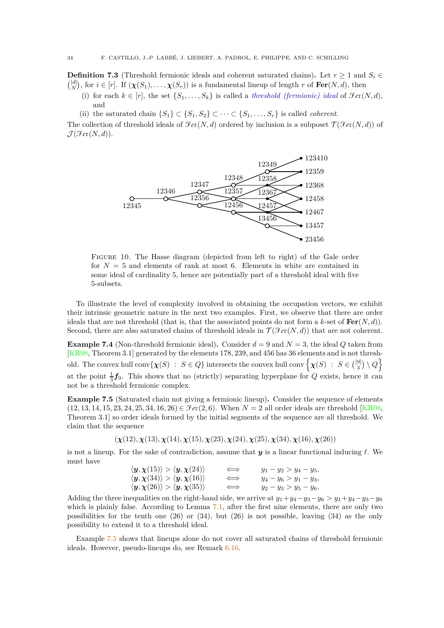<span id="page-35-3"></span>**Definition 7.3** (Threshold fermionic ideals and coherent saturated chains). Let  $r \geq 1$  and  $S_i \in$  $\binom{[d]}{N}$ , for  $i \in [r]$ . If  $(\chi(S_1), \ldots, \chi(S_r))$  is a fundamental lineup of length *r* of **Fer**(*N, d*), then

- (i) for each  $k \in [r]$ , the set  $\{S_1, \ldots, S_k\}$  is called a *threshold (fermionic) ideal* of  $\mathcal{F}et(N, d)$ , and
- (ii) the saturated chain  $\{S_1\} \subset \{S_1, S_2\} \subset \cdots \subset \{S_1, \ldots, S_r\}$  is called *coherent*.

<span id="page-35-0"></span>The collection of threshold ideals of  $\mathcal{F}et(N, d)$  ordered by inclusion is a subposet  $\mathcal{T}(\mathcal{F}et(N, d))$  of  $\mathcal{J}(\mathcal{F}et(N,d)).$ 



Figure 10. The Hasse diagram (depicted from left to right) of the Gale order for  $N = 5$  and elements of rank at most 6. Elements in white are contained in some ideal of cardinality 5, hence are potentially part of a threshold ideal with five 5-subsets.

To illustrate the level of complexity involved in obtaining the occupation vectors, we exhibit their intrinsic geometric nature in the next two examples. First, we observe that there are order ideals that are not threshold (that is, that the associated points do not form a  $k$ -set of  $\text{Fer}(N, d)$ ). Second, there are also saturated chains of threshold ideals in  $\mathcal{T}(\mathcal{F}et(N,d))$  that are not coherent.

<span id="page-35-2"></span>**Example 7.4** (Non-threshold fermionic ideal). Consider  $d = 9$  and  $N = 3$ , the ideal *Q* taken from [\[KR08,](#page-53-30) Theorem 3.1] generated by the elements 178*,* 239, and 456 has 36 elements and is not threshold. The convex hull conv $\{\chi(S) : S \in Q\}$  intersects the convex hull conv $\left\{\chi(S) : S \in \binom{[9]}{3} \setminus Q\right\}$ at the point  $\frac{1}{3}f_9$ . This shows that no (strictly) separating hyperplane for *Q* exists, hence it can not be a threshold fermionic complex.

<span id="page-35-1"></span>**Example 7.5** (Saturated chain not giving a fermionic lineup)**.** Consider the sequence of elements  $(12, 13, 14, 15, 23, 24, 25, 34, 16, 26) \in \mathcal{F}et(2, 6)$ . When  $N = 2$  all order ideals are threshold [\[KR08,](#page-53-30)] Theorem 3.1] so order ideals formed by the initial segments of the sequence are all threshold. We claim that the sequence

 $(\chi(12), \chi(13), \chi(14), \chi(15), \chi(23), \chi(24), \chi(25), \chi(34), \chi(16), \chi(26))$ 

is not a lineup. For the sake of contradiction, assume that *y* is a linear functional inducing *ℓ*. We must have

| $\langle y, \chi(15) \rangle > \langle y, \chi(24) \rangle$ | $\iff$ | $y_1 - y_2 > y_4 - y_5$   |
|-------------------------------------------------------------|--------|---------------------------|
| $\langle y, \chi(34) \rangle > \langle y, \chi(16) \rangle$ | $\iff$ | $y_4 - y_6 > y_1 - y_3$   |
| $\langle y, \chi(26) \rangle > \langle y, \chi(35) \rangle$ | $\iff$ | $y_2 - y_3 > y_5 - y_6$ . |

Adding the three inequalities on the right-hand side, we arrive at  $y_1 + y_4 - y_3 - y_6 > y_1 + y_4 - y_3 - y_6$ which is plainly false. According to Lemma [7.1,](#page-34-3) after the first nine elements, there are only two possibilities for the tenth one (26) or (34), but (26) is not possible, leaving (34) as the only possibility to extend it to a threshold ideal.

Example [7.5](#page-35-1) shows that lineups alone do not cover all saturated chains of threshold fermionic ideals. However, pseudo-lineups do, see Remark [6.16.](#page-32-2)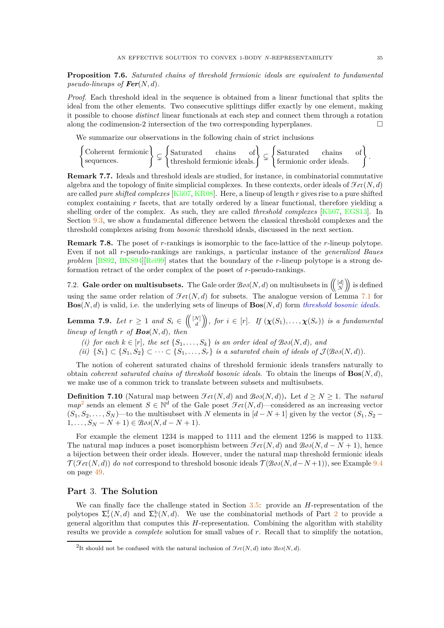**Proposition 7.6.** *Saturated chains of threshold fermionic ideals are equivalent to fundamental pseudo-lineups of*  $\text{Fer}(N, d)$ *.* 

*Proof.* Each threshold ideal in the sequence is obtained from a linear functional that splits the ideal from the other elements. Two consecutive splittings differ exactly by one element, making it possible to choose *distinct* linear functionals at each step and connect them through a rotation along the codimension-2 intersection of the two corresponding hyperplanes.  $\Box$ 

We summarize our observations in the following chain of strict inclusions

$$
\begin{Bmatrix}\n\text{Coherent fermionic} \\
\text{sequences.} \\
\end{Bmatrix}\n\subset \begin{Bmatrix}\n\text{Saturated} & \text{chains} \\
\text{threshold fermionic ideals.} \\
\end{Bmatrix}\n\subset \begin{Bmatrix}\n\text{Saturated} & \text{chains} \\
\text{fermionic order ideals.} \\
\end{Bmatrix}.
$$

**Remark 7.7.** Ideals and threshold ideals are studied, for instance, in combinatorial commutative algebra and the topology of finite simplicial complexes. In these contexts, order ideals of  $\mathcal{F}et(N, d)$ are called *pure shifted complexes* [\[Kli07,](#page-53-12) [KR08\]](#page-53-30). Here, a lineup of length *r* gives rise to a pure shifted complex containing *r* facets, that are totally ordered by a linear functional, therefore yielding a shelling order of the complex. As such, they are called *threshold complexes* [\[Kli07,](#page-53-12) [EGS13\]](#page-53-13). In Section [9.3,](#page-49-0) we show a fundamental difference between the classical threshold complexes and the threshold complexes arising from *bosonic* threshold ideals, discussed in the next section.

**Remark 7.8.** The poset of *r*-rankings is isomorphic to the face-lattice of the *r*-lineup polytope. Even if not all *r*-pseudo-rankings are rankings, a particular instance of the *generalized Baues problem* [\[BS92,](#page-52-28) [BKS94\]](#page-52-30)[\[Rei99\]](#page-54-29) states that the boundary of the *r*-lineup polytope is a strong deformation retract of the order complex of the poset of *r*-pseudo-rankings.

<span id="page-36-1"></span>7.2. **Gale order on multisubsets.** The Gale order  $\mathcal{B}oo(N, d)$  on multisubsets in  $\left(\begin{pmatrix} [d] \ N \end{pmatrix}\right)$  is defined using the same order relation of  $\mathcal{F}e\zeta(N,d)$  for subsets. The analogue version of Lemma [7.1](#page-34-3) for **Bos** $(N, d)$  is valid, i.e. the underlying sets of lineups of  $\textbf{Bos}(N, d)$  form *threshold bosonic ideals*.

<span id="page-36-3"></span>**Lemma 7.9.** Let  $r \geq 1$  and  $S_i \in \left(\begin{pmatrix} [N] \ d \end{pmatrix}\right)$ , for  $i \in [r]$ . If  $(\chi(S_1), \ldots, \chi(S_r))$  is a fundamental *lineup of length r of Bos*(*N, d*)*, then*

- (*i*) for each  $k \in [r]$ , the set  $\{S_1, \ldots, S_k\}$  is an order ideal of  $\mathcal{B}os(N, d)$ , and
- *(ii)*  ${S_1}$  ⊂  ${S_1, S_2}$  ⊂ · · · ⊂  ${S_1, \ldots, S_r}$  *is a saturated chain of ideals of*  $\mathcal{J}(\mathcal{B}os(N, d))$ *.*

The notion of coherent saturated chains of threshold fermionic ideals transfers naturally to obtain *coherent saturated chains of threshold bosonic ideals*. To obtain the lineups of **Bos**(*N, d*), we make use of a common trick to translate between subsets and multisubsets.

**Definition 7.10** (Natural map between  $\mathcal{F}et(N, d)$  and  $\mathcal{B}o\mathcal{A}(N, d)$ ). Let  $d \geq N \geq 1$ . The *natural*  $map^2$  $map^2$  sends an element  $S \in \mathbb{N}^d$  of the Gale poset  $\mathcal{F}et(N, d)$ —considered as an increasing vector  $(S_1, S_2, \ldots, S_N)$ —to the multisubset with *N* elements in  $[d - N + 1]$  given by the vector  $(S_1, S_2 -$ 1, . . . ,  $S_N - N + 1$ ) ∈  $B \circ \mathcal{A}(N, d - N + 1)$ .

For example the element 1234 is mapped to 1111 and the element 1256 is mapped to 1133. The natural map induces a poset isomorphism between  $\mathcal{F}et(N, d)$  and  $\mathcal{B}ot(N, d - N + 1)$ , hence a bijection between their order ideals. However, under the natural map threshold fermionic ideals  $\mathcal{T}(\mathcal{F}et(N,d))$  *do not* correspond to threshold bosonic ideals  $\mathcal{T}(\mathcal{B}ot(N,d-N+1))$ , see Example [9.4](#page-50-2) on page [49.](#page-50-2)

### <span id="page-36-0"></span>**Part** 3. **The Solution**

We can finally face the challenge stated in Section [3.5:](#page-22-2) provide an *H*-representation of the polytopes  $\Sigma_r^{\text{f}}(N,d)$  and  $\Sigma_r^{\text{b}}(N,d)$ . We use the combinatorial methods of Part [2](#page-22-0) to provide a general algorithm that computes this *H*-representation. Combining the algorithm with stability results we provide a *complete* solution for small values of *r*. Recall that to simplify the notation,

<span id="page-36-2"></span><sup>&</sup>lt;sup>2</sup>It should not be confused with the natural inclusion of  $\mathcal{F}e^{i}(N, d)$  into  $\mathcal{B}o^{j}(N, d)$ .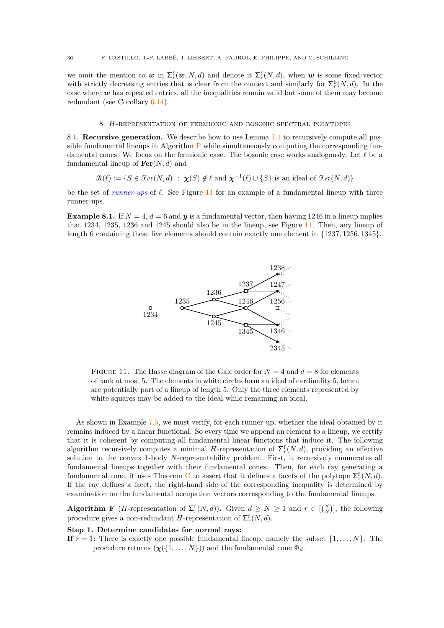we omit the mention to  $w$  in  $\Sigma_r^f(w, N, d)$  and denote it  $\Sigma_r^f(N, d)$ , when  $w$  is some fixed vector with strictly decreasing entries that is clear from the context and similarly for  $\Sigma_r^{\text{b}}(N, d)$ . In the case where *w* has repeated entries, all the inequalities remain valid but some of them may become redundant (see Corollary [6.14\)](#page-31-3).

### 8. *H*-representation of fermionic and bosonic spectral polytopes

<span id="page-37-2"></span><span id="page-37-1"></span>8.1. **Recursive generation.** We describe how to use Lemma [7.1](#page-34-3) to recursively compute all possible fundamental lineups in Algorithm  $\bf{F}$  $\bf{F}$  $\bf{F}$  while simultaneously computing the corresponding fundamental cones. We focus on the fermionic case. The bosonic case works analogously. Let *ℓ* be a fundamental lineup of **Fer**(*N, d*) and

$$
\mathcal{R}(\ell) := \{ S \in \mathcal{F}ev(N, d) \ : \ \chi(S) \notin \ell \text{ and } \chi^{-1}(\ell) \cup \{ S \} \text{ is an ideal of } \mathcal{F}ev(N, d) \}
$$

be the set of *runner-ups* of *ℓ*. See Figure [11](#page-37-3) for an example of a fundamental lineup with three runner-ups.

<span id="page-37-3"></span>**Example 8.1.** If  $N = 4$ ,  $d = 6$  and  $y$  is a fundamental vector, then having 1246 in a lineup implies that 1234, 1235, 1236 and 1245 should also be in the lineup, see Figure [11.](#page-37-3) Then, any lineup of length 6 containing these five elements should contain exactly one element in {1237*,* 1256*,* 1345}.



FIGURE 11. The Hasse diagram of the Gale order for  $N = 4$  and  $d = 8$  for elements of rank at most 5. The elements in white circles form an ideal of cardinality 5, hence are potentially part of a lineup of length 5. Only the three elements represented by white squares may be added to the ideal while remaining an ideal.

As shown in Example [7.5,](#page-35-1) we must verify, for each runner-up, whether the ideal obtained by it remains induced by a linear functional. So every time we append an element to a lineup, we certify that it is coherent by computing all fundamental linear functions that induce it. The following algorithm recursively computes a minimal *H*-representation of  $\Sigma_r^{\text{f}}(N,d)$ , providing an effective solution to the convex 1-body *N*-representability problem. First, it recursively enumerates all fundamental lineups together with their fundamental cones. Then, for each ray generating a fundamental cone, it uses Theorem [C](#page-26-0) to assert that it defines a facets of the polytope  $\Sigma_r^{\text{f}}(N,d)$ . If the ray defines a facet, the right-hand side of the corresponding inequality is determined by examination on the fundamental occupation vectors corresponding to the fundamental lineups.

<span id="page-37-0"></span>**Algorithm F** (*H*-representation of  $\Sigma_r^{\text{f}}(N,d)$ ). Given  $d \geq N \geq 1$  and  $r \in \binom{d}{N}$ , the following procedure gives a non-redundant *H*-representation of  $\sum_{r}^{f}(N, d)$ .

### **Step 1. Determine candidates for normal rays:**

**If**  $r = 1$ **:** There is exactly one possible fundamental lineup, namely the subset  $\{1, \ldots, N\}$ . The procedure returns  $(\chi(\{1,\ldots,N\}))$  and the fundamental cone  $\Phi_d$ .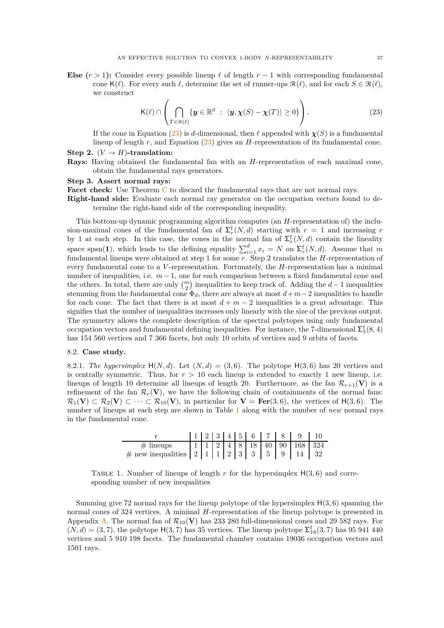**Else**  $(r > 1)$ : Consider every possible lineup  $\ell$  of length  $r - 1$  with corresponding fundamental cone  $\mathsf{K}(\ell)$ . For every such  $\ell$ , determine the set of runner-ups  $\mathcal{R}(\ell)$ , and for each  $S \in \mathcal{R}(\ell)$ , we construct

<span id="page-38-1"></span>
$$
\mathsf{K}(\ell) \cap \left( \bigcap_{T \in \mathcal{R}(\ell)} \{ \mathbf{y} \in \mathbb{R}^d \ : \ \langle \mathbf{y}, \boldsymbol{\chi}(S) - \boldsymbol{\chi}(T) \rangle \ge 0 \} \right). \tag{23}
$$

If the cone in Equation [\(23\)](#page-38-1) is *d*-dimensional, then  $\ell$  appended with  $\chi(S)$  is a fundamental lineup of length *r*, and Equation [\(23\)](#page-38-1) gives an *H*-representation of its fundamental cone. **Step 2.**  $(V \rightarrow H)$ **-translation:** 

**Rays:** Having obtained the fundamental fan with an *H*-representation of each maximal cone, obtain the fundamental rays generators.

### **Step 3. Assert normal rays:**

**Facet check:** Use Theorem [C](#page-26-0) to discard the fundamental rays that are not normal rays.

**Right-hand side:** Evaluate each normal ray generator on the occupation vectors found to determine the right-hand side of the corresponding inequality.

This bottom-up dynamic programming algorithm computes (an *H*-representation of) the inclusion-maximal cones of the fundamental fan of  $\Sigma_r^{\text{f}}(N,d)$  starting with  $r = 1$  and increasing r by 1 at each step. In this case, the cones in the normal fan of  $\Sigma_r^{\text{f}}(N,d)$  contain the lineality space span(1), which leads to the defining equality  $\sum_{i=1}^{d} x_i = N$  on  $\sum_{r=1}^{f} (N, d)$ . Assume that *m* fundamental lineups were obtained at step 1 for some *r*. Step 2 translates the *H*-representation of every fundamental cone to a *V* -representation. Fortunately, the *H*-representation has a minimal number of inequalities, i.e.  $m-1$ , one for each comparison between a fixed fundamental cone and the others. In total, there are only  $\binom{m}{2}$  inequalities to keep track of. Adding the *d* − 1 inequalities stemming from the fundamental cone  $\Phi_d$ , there are always at most  $d+m-2$  inequalities to handle for each cone. The fact that there is at most  $d + m - 2$  inequalities is a great advantage. This signifies that the number of inequalities increases only linearly with the size of the previous output. The symmetry allows the complete description of the spectral polytopes using only fundamental occupation vectors and fundamental defining inequalities. For instance, the 7-dimensional  $\Sigma_5^{\rm f}(8,4)$ has 154 560 vertices and 7 366 facets, but only 10 orbits of vertices and 9 orbits of facets.

### <span id="page-38-0"></span>8.2. **Case study.**

8.2.1. *The hypersimplex*  $H(N, d)$ . Let  $(N, d) = (3, 6)$ . The polytope  $H(3, 6)$  has 20 vertices and is centrally symmetric. Thus, for  $r > 10$  each lineup is extended to exactly 1 new lineup, i.e. lineups of length 10 determine all lineups of length 20. Furthermore, as the fan  $\mathcal{R}_{r+1}(\mathbf{V})$  is a refinement of the fan  $\mathcal{R}_r(\mathbf{V})$ , we have the following chain of containments of the normal fans:  $\mathcal{R}_1(\mathbf{V}) \subset \mathcal{R}_2(\mathbf{V}) \subset \cdots \subset \mathcal{R}_{10}(\mathbf{V})$ , in particular for  $\mathbf{V} = \textbf{Fer}(3,6)$ , the vertices of  $H(3,6)$ . The number of lineups at each step are shown in Table [1](#page-38-2) along with the number of *new* normal rays in the fundamental cone.

|             |  |  |  |  | $1 \mid 2 \mid 3 \mid 4 \mid 5 \mid 6 \mid 7 \mid 8 \mid 9 \mid 10$ |  |
|-------------|--|--|--|--|---------------------------------------------------------------------|--|
| $#$ lineups |  |  |  |  | $11   1   2   4   8   18   40   90   168   324$                     |  |
|             |  |  |  |  |                                                                     |  |

<span id="page-38-2"></span>TABLE 1. Number of lineups of length  $r$  for the hypersimplex  $H(3, 6)$  and corresponding number of new inequalities

Summing give 72 normal rays for the lineup polytope of the hypersimplex H(3*,* 6) spanning the normal cones of 324 vertices. A minimal *H*-representation of the lineup polytope is presented in Appendix [A.](#page-56-0) The normal fan of  $\mathcal{R}_{10}(\mathbf{V})$  has 233 280 full-dimensional cones and 29 582 rays. For  $(N, d) = (3, 7)$ , the polytope H(3, 7) has 35 vertices. The lineup polytope  $\Sigma_{18}^{f}(3, 7)$  has 95 941 440 vertices and 5 910 198 facets. The fundamental chamber contains 19036 occupation vectors and 1501 rays.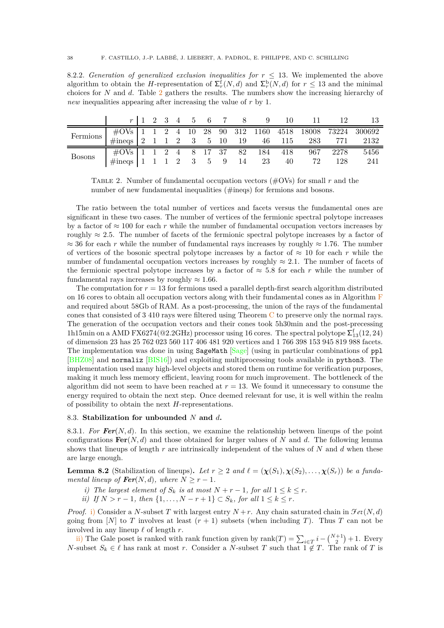8.2.2. *Generation of generalized exclusion inequalities for*  $r \leq 13$ . We implemented the above algorithm to obtain the *H*-representation of  $\sum_{r}^{f}(N, d)$  and  $\sum_{r}^{b}(N, d)$  for  $r \leq 13$  and the minimal choices for *N* and *d*. Table [2](#page-39-1) gathers the results. The numbers show the increasing hierarchy of *new* inequalities appearing after increasing the value of *r* by 1.

<span id="page-39-1"></span>

|                 |                                              |  |  |  |  |    | $r \mid 1 \quad 2 \quad 3 \quad 4 \quad 5 \quad 6 \quad 7 \quad 8 \quad 9 \quad 10 \quad 11$ | 12      |                                                              |
|-----------------|----------------------------------------------|--|--|--|--|----|----------------------------------------------------------------------------------------------|---------|--------------------------------------------------------------|
| <b>Fermions</b> |                                              |  |  |  |  |    |                                                                                              |         | $\#$ OVs   1 1 2 4 10 28 90 312 1160 4518 18008 73224 300692 |
|                 | $\#\text{ineqs}$   2 1 1 2 3 5 10 19 46 115  |  |  |  |  |    |                                                                                              | 283 771 | 2132                                                         |
| <b>Bosons</b>   | $\#$ OVs 1 1 2 4 8 17 37 82 184 418 967 2278 |  |  |  |  |    |                                                                                              |         | 5456                                                         |
|                 | $\#$ ineqs 1 1 1 2 3 5 9 14 23               |  |  |  |  | 40 | 72                                                                                           | 128     | 241                                                          |

Table 2. Number of fundamental occupation vectors (#OVs) for small *r* and the number of new fundamental inequalities (#ineqs) for fermions and bosons.

The ratio between the total number of vertices and facets versus the fundamental ones are significant in these two cases. The number of vertices of the fermionic spectral polytope increases by a factor of  $\approx 100$  for each *r* while the number of fundamental occupation vectors increases by roughly  $\approx 2.5$ . The number of facets of the fermionic spectral polytope increases by a factor of  $\approx$  36 for each *r* while the number of fundamental rays increases by roughly  $\approx$  1.76. The number of vertices of the bosonic spectral polytope increases by a factor of  $\approx 10$  for each *r* while the number of fundamental occupation vectors increases by roughly  $\approx 2.1$ . The number of facets of the fermionic spectral polytope increases by a factor of  $\approx$  5.8 for each *r* while the number of fundamental rays increases by roughly  $\approx 1.66$ .

The computation for  $r = 13$  for fermions used a parallel depth-first search algorithm distributed on 16 cores to obtain all occupation vectors along with their fundamental cones as in Algorithm [F](#page-37-0) and required about 58Gb of RAM. As a post-processing, the union of the rays of the fundamental cones that consisted of 3 410 rays were filtered using Theorem [C](#page-26-0) to preserve only the normal rays. The generation of the occupation vectors and their cones took 5h30min and the post-precessing 1h15min on a AMD FX6274(@2.2GHz) processor using 16 cores. The spectral polytope  $\Sigma^\text{f}_{13}(12,24)$ of dimension 23 has 25 762 023 560 117 406 481 920 vertices and 1 766 398 153 945 819 988 facets. The implementation was done in using SageMath [\[Sage\]](#page-55-3) (using in particular combinations of ppl [\[BHZ08\]](#page-52-26) and normaliz [\[BIS16\]](#page-52-24)) and exploiting multiprocessing tools available in python3. The implementation used many high-level objects and stored them on runtime for verification purposes, making it much less memory efficient, leaving room for much improvement. The bottleneck of the algorithm did not seem to have been reached at  $r = 13$ . We found it unnecessary to consume the energy required to obtain the next step. Once deemed relevant for use, it is well within the realm of possibility to obtain the next *H*-representations.

#### <span id="page-39-0"></span>8.3. **Stabilization for unbounded** *N* **and** *d***.**

8.3.1. *For Fer*(*N, d*)*.* In this section, we examine the relationship between lineups of the point configurations  $\mathbf{Fer}(N, d)$  and those obtained for larger values of N and d. The following lemma shows that lineups of length *r* are intrinsically independent of the values of *N* and *d* when these are large enough.

<span id="page-39-4"></span><span id="page-39-2"></span>**Lemma 8.2** (Stabilization of lineups). Let  $r \geq 2$  and  $\ell = (\chi(S_1), \chi(S_2), \ldots, \chi(S_r))$  be a funda*mental lineup of*  $\text{Fer}(N, d)$ *, where*  $N \geq r - 1$ *.* 

- <span id="page-39-3"></span>*i)* The largest element of  $S_k$  *is at most*  $N + r - 1$ *, for all*  $1 \leq k \leq r$ *.*
- *ii*) *If*  $N > r 1$ *, then*  $\{1, ..., N r + 1\}$  ⊂  $S_k$ *, for all*  $1 \leq k \leq r$ *.*

*Proof.* [i\)](#page-39-2) Consider a *N*-subset *T* with largest entry  $N+r$ . Any chain saturated chain in  $\mathcal{F}et(N,d)$ going from [N] to T involves at least  $(r + 1)$  subsets (when including T). Thus T can not be involved in any lineup *ℓ* of length *r*.

[ii\)](#page-39-3) The Gale poset is ranked with rank function given by  $\text{rank}(T) = \sum_{i \in T} i - {N+1 \choose 2} + 1$ . Every *N*-subset  $S_k \in \ell$  has rank at most *r*. Consider a *N*-subset *T* such that  $1 \notin T$ . The rank of *T* is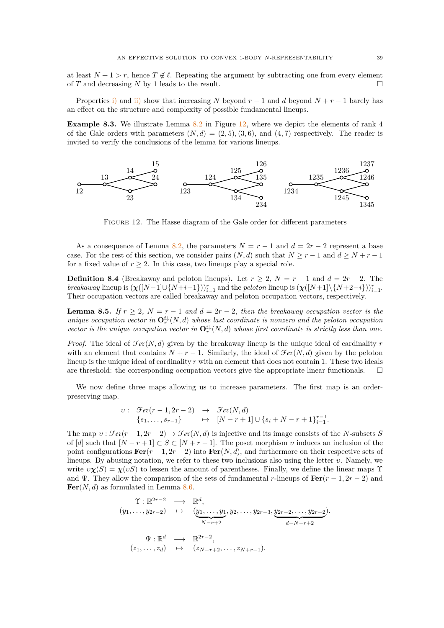at least  $N+1 > r$ , hence  $T \notin \ell$ . Repeating the argument by subtracting one from every element of *T* and decreasing *N* by 1 leads to the result.

Properties [i\)](#page-39-2) and [ii\)](#page-39-3) show that increasing *N* beyond  $r-1$  and *d* beyond  $N+r-1$  barely has an effect on the structure and complexity of possible fundamental lineups.

**Example 8.3.** We illustrate Lemma [8.2](#page-39-4) in Figure [12,](#page-40-0) where we depict the elements of rank 4 of the Gale orders with parameters  $(N, d) = (2, 5), (3, 6),$  and  $(4, 7)$  respectively. The reader is invited to verify the conclusions of the lemma for various lineups.

<span id="page-40-0"></span>

Figure 12. The Hasse diagram of the Gale order for different parameters

As a consequence of Lemma [8.2,](#page-39-4) the parameters  $N = r - 1$  and  $d = 2r - 2$  represent a base case. For the rest of this section, we consider pairs  $(N, d)$  such that  $N \ge r - 1$  and  $d \ge N + r - 1$ for a fixed value of  $r > 2$ . In this case, two lineups play a special role.

**Definition 8.4** (Breakaway and peloton lineups). Let  $r \geq 2$ ,  $N = r - 1$  and  $d = 2r - 2$ . The *breakaway* lineup is  $(\chi([N-1] \cup \{N+i-1\}))_{i=1}^r$  and the *peloton* lineup is  $(\chi([N+1] \setminus \{N+2-i\}))_{i=1}^r$ . Their occupation vectors are called breakaway and peloton occupation vectors, respectively.

<span id="page-40-1"></span>**Lemma 8.5.** *If*  $r \geq 2$ *,*  $N = r - 1$  *and*  $d = 2r - 2$ *, then the breakaway occupation vector is the unique occupation vector in*  $\mathbf{O}_r^{\{L\}}(N, d)$  *whose last coordinate is nonzero and the peloton occupation vector is the unique occupation vector in*  $\mathbf{O}_r^{\{ \downarrow \}}(N, d)$  *whose first coordinate is strictly less than one.* 

*Proof.* The ideal of  $\mathcal{F}et(N, d)$  given by the breakaway lineup is the unique ideal of cardinality  $r$ with an element that contains  $N + r - 1$ . Similarly, the ideal of  $\mathcal{F}et(N, d)$  given by the peloton lineup is the unique ideal of cardinality *r* with an element that does not contain 1. These two ideals are threshold: the corresponding occupation vectors give the appropriate linear functionals.  $\square$ 

We now define three maps allowing us to increase parameters. The first map is an orderpreserving map.

$$
v: \quad \mathcal{F}et(r-1,2r-2) \rightarrow \mathcal{F}et(N,d)
$$
  

$$
\{s_1,\ldots,s_{r-1}\} \rightarrow [N-r+1] \cup \{s_i+N-r+1\}_{i=1}^{r-1}.
$$

The map  $v : \mathcal{F}et(r-1, 2r-2) \rightarrow \mathcal{F}et(N, d)$  is injective and its image consists of the *N*-subsets *S* of  $d$  such that  $[N - r + 1] \subset S \subset [N + r - 1]$ . The poset morphism *v* induces an inclusion of the point configurations  $\text{Fer}(r-1, 2r-2)$  into  $\text{Fer}(N, d)$ , and furthermore on their respective sets of lineups. By abusing notation, we refer to these two inclusions also using the letter *υ*. Namely, we write  $\nu\chi(S) = \chi(\nu S)$  to lessen the amount of parentheses. Finally, we define the linear maps  $\Upsilon$ and  $\Psi$ . They allow the comparison of the sets of fundamental *r*-lineups of  $\text{Fer}(r-1, 2r-2)$  and  $\text{Fer}(N, d)$  as formulated in Lemma [8.6.](#page-41-1)

$$
\begin{array}{rcl}\n\Upsilon: \mathbb{R}^{2r-2} & \longrightarrow & \mathbb{R}^d, \\
(y_1, \dots, y_{2r-2}) & \mapsto & \underbrace{(y_1, \dots, y_1)}_{N-r+2}, y_2, \dots, y_{2r-3}, \underbrace{y_{2r-2}, \dots, y_{2r-2}}_{d-N-r+2}\n\end{array}
$$
\n
$$
\Psi: \mathbb{R}^d \longrightarrow \mathbb{R}^{2r-2}, \\
(z_1, \dots, z_d) \longrightarrow (z_{N-r+2}, \dots, z_{N+r-1}).
$$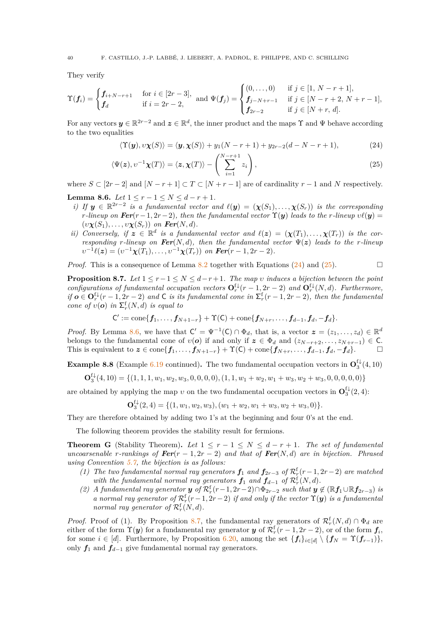They verify

$$
\Upsilon(\mathbf{f}_i) = \begin{cases} \mathbf{f}_{i+N-r+1} & \text{for } i \in [2r-3], \\ \mathbf{f}_d & \text{if } i = 2r-2, \end{cases} \text{ and } \Psi(\mathbf{f}_j) = \begin{cases} (0, \dots, 0) & \text{if } j \in [1, N-r+1], \\ \mathbf{f}_{j-N+r-1} & \text{if } j \in [N-r+2, N+r-1], \\ \mathbf{f}_{2r-2} & \text{if } j \in [N+r, d]. \end{cases}
$$

For any vectors  $y \in \mathbb{R}^{2r-2}$  and  $z \in \mathbb{R}^d$ , the inner product and the maps  $\Upsilon$  and  $\Psi$  behave according to the two equalities

<span id="page-41-3"></span><span id="page-41-2"></span>
$$
\langle \Upsilon(\mathbf{y}), v\chi(S) \rangle = \langle \mathbf{y}, \chi(S) \rangle + y_1(N - r + 1) + y_{2r-2}(d - N - r + 1), \tag{24}
$$

$$
\langle \Psi(z), v^{-1}\chi(T) \rangle = \langle z, \chi(T) \rangle - \left( \sum_{i=1}^{N-r+1} z_i \right), \tag{25}
$$

where  $S \subset [2r-2]$  and  $[N-r+1] \subset T \subset [N+r-1]$  are of cardinality  $r-1$  and  $N$  respectively.

<span id="page-41-1"></span>**Lemma 8.6.** *Let*  $1 \leq r - 1 \leq N \leq d - r + 1$ *.* 

- *i)* If  $y \in \mathbb{R}^{2r-2}$  *is a fundamental vector and*  $\ell(y) = (\chi(S_1), \ldots, \chi(S_r))$  *is the corresponding r*<sup>-lineup on **Fer**( $r$  -1, 2 $r$  -2)*, then the fundamental vector*  $\Upsilon(y)$  *leads to the r-lineup*  $v\ell(y)$  =</sup>  $(v\chi(S_1), \ldots, v\chi(S_r))$  on **Fer**(N, d).
- *ii)* Conversely, if  $z \in \mathbb{R}^d$  is a fundamental vector and  $\ell(z) = (\chi(T_1), \ldots, \chi(T_r))$  is the cor*responding r-lineup on Fer*(*N,d*)*, then the fundamental vector*  $\Psi(z)$  *leads to the r-lineup*  $v^{-1}\ell(z) = (v^{-1}\chi(T_1), \ldots, v^{-1}\chi(T_r))$  on **Fer**(*r* − 1*,* 2*r* − 2)*.*

*Proof.* This is a consequence of Lemma [8.2](#page-39-4) together with Equations  $(24)$  and  $(25)$ .

<span id="page-41-4"></span>**Proposition 8.7.** *Let*  $1 \leq r-1 \leq N \leq d-r+1$ *. The map v induces a bijection between the point configurations of fundamental occupation vectors*  $\mathbf{O}_r^{\mathrm{f}\downarrow}(r-1,2r-2)$  *and*  $\mathbf{O}_r^{\mathrm{f}\downarrow}(N,d)$ *. Furthermore, if*  $o \in \mathbf{O}_r^{\mathfrak{f}\downarrow}(r-1,2r-2)$  and  $\mathsf{C}$  *is its fundamental cone in*  $\Sigma_r^{\mathfrak{f}}(r-1,2r-2)$ *, then the fundamental cone of*  $v(\boldsymbol{o})$  *in*  $\Sigma_r^{\text{f}}(N,d)$  *is equal to* 

$$
C':=\mathrm{cone}\{f_1,\ldots,f_{N+1-r}\}+\Upsilon(C)+\mathrm{cone}\{f_{N+r},\ldots,f_{d-1},f_d,-f_d\}.
$$

*Proof.* By Lemma [8.6,](#page-41-1) we have that  $C' = \Psi^{-1}(C) \cap \Phi_d$ , that is, a vector  $\mathbf{z} = (z_1, \ldots, z_d) \in \mathbb{R}^d$ belongs to the fundamental cone of  $v(\boldsymbol{o})$  if and only if  $z \in \Phi_d$  and  $(z_{N-r+2}, \ldots, z_{N+r-1}) \in \mathbb{C}$ . This is equivalent to  $z \in \text{cone}\{f_1, \ldots, f_{N+1-r}\} + \Upsilon(C) + \text{cone}\{f_{N+r}, \ldots, f_{d-1}, f_d, -f_d\}.$ 

<span id="page-41-5"></span>**Example 8.8** (Example [6.19](#page-33-2) continued). The two fundamental occupation vectors in  $\mathbf{O}_3^{\{ \downarrow}(4,10)}$ 

 $\mathbf{O}_{3}^{\mathrm{f}\downarrow}(4,10)=\{(1,1,1,w_1,w_2,w_3,0,0,0,0),(1,1,w_1+w_2,w_1+w_3,w_2+w_3,0,0,0,0,0)\}$ 

are obtained by applying the map  $v$  on the two fundamental occupation vectors in  $\mathbf{O}_3^{\mathbf{f}\downarrow}(2,4)$ :

$$
\mathbf{O}_{3}^{\mathrm{f}\downarrow}(2,4) = \{ (1, w_1, w_2, w_3), (w_1 + w_2, w_1 + w_3, w_2 + w_3, 0) \}.
$$

They are therefore obtained by adding two 1's at the beginning and four 0's at the end.

The following theorem provides the stability result for fermions.

<span id="page-41-0"></span>**Theorem G** (Stability Theorem). Let  $1 \leq r-1 \leq N \leq d-r+1$ . The set of fundamental *uncoarsenable r*-rankings of  $\text{Fer}(r-1, 2r-2)$  and that of  $\text{Fer}(N, d)$  are in bijection. Phrased *using Convention [5.7,](#page-25-1) the bijection is as follows:*

- *(1)* The two fundamental normal ray generators  $f_1$  and  $f_{2r-3}$  of  $\mathcal{R}_r^f(r-1, 2r-2)$  are matched *with the fundamental normal ray generators*  $f_1$  *and*  $f_{d-1}$  *of*  $\mathcal{R}_r^{\text{f}}(N,d)$ *.*
- (2) A fundamental ray generator **y** of  $\mathcal{R}_r^{\text{f}}(r-1, 2r-2) \cap \Phi_{2r-2}$  such that  $y \notin (\mathbb{R}f_1 \cup \mathbb{R}f_{2r-3})$  is *a* normal ray generator of  $\mathcal{R}_r^{\text{f}}(r-1, 2r-2)$  if and only if the vector  $\Upsilon(\mathbf{y})$  is a fundamental *normal ray generator of*  $\mathcal{R}_r^{\text{f}}(N,d)$ *.*

*Proof.* Proof of (1). By Proposition [8.7,](#page-41-4) the fundamental ray generators of  $\mathcal{R}_r^{\text{f}}(N,d) \cap \Phi_d$  are either of the form  $\Upsilon(y)$  for a fundamental ray generator  $y$  of  $\mathcal{R}_r^{\text{f}}(r-1, 2r-2)$ , or of the form  $f_i$ , for some  $i \in [d]$ . Furthermore, by Proposition [6.20,](#page-33-1) among the set  $\{f_i\}_{i \in [d]} \setminus \{f_N = \Upsilon(f_{r-1})\},\$ only *f*<sup>1</sup> and *f<sup>d</sup>*−<sup>1</sup> give fundamental normal ray generators.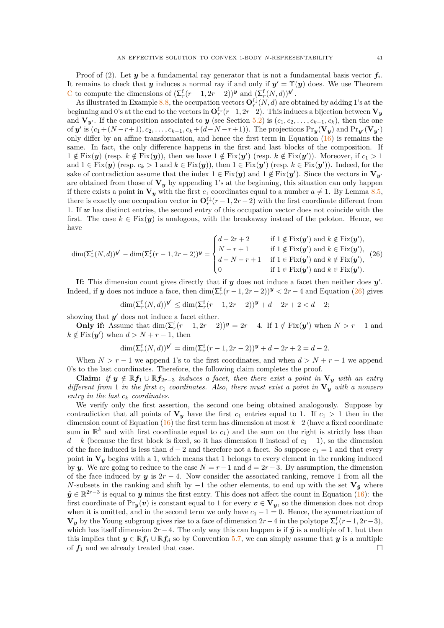Proof of (2). Let  $y$  be a fundamental ray generator that is not a fundamental basis vector  $f_i$ . It remains to check that *y* induces a normal ray if and only if  $y' = \Upsilon(y)$  does. We use Theorem [C](#page-26-0) to compute the dimensions of  $(\Sigma_r^f(r-1, 2r-2))^y$  and  $(\Sigma_r^f(N, d))^y'$ .

As illustrated in Example [8.8,](#page-41-5) the occupation vectors  $\mathbf{O}_r^{\{ \downarrow \}}(N, d)$  are obtained by adding 1's at the beginning and 0's at the end to the vectors in  $\mathbf{O}_r^{\mathrm{f}\downarrow}(r-1,2r-2)$ . This induces a bijection between  $\mathbf{V}_y$ and  $V_{y'}$ . If the composition associated to *y* (see Section [5.2\)](#page-25-0) is  $(c_1, c_2, \ldots, c_{k-1}, c_k)$ , then the one of y' is  $(c_1+(N-r+1),c_2,\ldots,c_{k-1},c_k+(d-N-r+1))$ . The projections  $Pr_{y}(\mathbf{V}_y)$  and  $Pr_{y'}(\mathbf{V}_{y'})$ only differ by an affine transformation, and hence the first term in Equation [\(16\)](#page-26-2) is remains the same. In fact, the only difference happens in the first and last blocks of the composition. If  $1 \notin Fix(y)$  (resp.  $k \notin Fix(y)$ ), then we have  $1 \notin Fix(y')$  (resp.  $k \notin Fix(y')$ ). Moreover, if  $c_1 > 1$ and  $1 \in Fix(\mathbf{y})$  (resp.  $c_k > 1$  and  $k \in Fix(\mathbf{y})$ ), then  $1 \in Fix(\mathbf{y}')$  (resp.  $k \in Fix(\mathbf{y}')$ ). Indeed, for the sake of contradiction assume that the index  $1 \in Fix(y)$  and  $1 \notin Fix(y')$ . Since the vectors in  $V_{y'}$ are obtained from those of  $V_y$  by appending 1's at the beginning, this situation can only happen if there exists a point in  $V_y$  with the first  $c_1$  coordinates equal to a number  $a \neq 1$ . By Lemma [8.5,](#page-40-1) there is exactly one occupation vector in  $\mathbf{O}_r^{\{ \downarrow \}}(r-1, 2r-2)$  with the first coordinate different from 1. If *w* has distinct entries, the second entry of this occupation vector does not coincide with the first. The case  $k \in Fix(\mathbf{y})$  is analogous, with the breakaway instead of the peloton. Hence, we have

<span id="page-42-0"></span>
$$
\dim(\Sigma_r^{\mathsf{f}}(N,d))\mathbf{v}' - \dim(\Sigma_r^{\mathsf{f}}(r-1,2r-2))\mathbf{v} = \begin{cases} d-2r+2 & \text{if } 1 \notin \text{Fix}(\mathbf{y}') \text{ and } k \notin \text{Fix}(\mathbf{y}'),\\ N-r+1 & \text{if } 1 \notin \text{Fix}(\mathbf{y}') \text{ and } k \in \text{Fix}(\mathbf{y}'),\\ d-N-r+1 & \text{if } 1 \in \text{Fix}(\mathbf{y}') \text{ and } k \notin \text{Fix}(\mathbf{y}'), \end{cases} (26)
$$
\n
$$
\text{if } 1 \in \text{Fix}(\mathbf{y}') \text{ and } k \notin \text{Fix}(\mathbf{y}'),
$$

**If:** This dimension count gives directly that if *y* does not induce a facet then neither does *y'*. Indeed, if *y* does not induce a face, then  $\dim(\Sigma_r^{\{r\}}(r-1, 2r-2))^y < 2r-4$  and Equation [\(26\)](#page-42-0) gives

$$
\dim(\Sigma_r^{\rm f}(N,d))^{\mathbf{y}'} \leq \dim(\Sigma_r^{\rm f}(r-1,2r-2))^{\mathbf{y}} + d - 2r + 2 < d - 2;
$$

showing that  $y'$  does not induce a facet either.

**Only if:** Assume that  $\dim(\Sigma_r^{\{r\}}(r-1,2r-2))^y = 2r-4$ . If  $1 \notin \text{Fix}(y')$  when  $N > r-1$  and  $k \notin \text{Fix}(\mathbf{y}')$  when  $d > N + r - 1$ , then

$$
\dim(\Sigma_r^{\{f\}}(N,d))^{\mathbf{y}'} = \dim(\Sigma_r^{\{f\}}(r-1,2r-2))^{\mathbf{y}} + d - 2r + 2 = d - 2.
$$

When  $N > r - 1$  we append 1's to the first coordinates, and when  $d > N + r - 1$  we append 0's to the last coordinates. Therefore, the following claim completes the proof.

**Claim:** *if*  $y \notin \mathbb{R}$ *f*<sub>1</sub> ∪  $\mathbb{R}$ *f*<sub>2*r*−3</sub> *induces a facet, then there exist a point in*  $V_y$  *with an entry different from* 1 *in the first c*<sup>1</sup> *coordinates. Also, there must exist a point in* **V***<sup>y</sup> with a nonzero entry in the last c<sup>k</sup> coordinates.*

We verify only the first assertion, the second one being obtained analogously. Suppose by contradiction that all points of  $V_y$  have the first  $c_1$  entries equal to 1. If  $c_1 > 1$  then in the dimension count of Equation [\(16\)](#page-26-2) the first term has dimension at most *k*−2 (have a fixed coordinate sum in  $\mathbb{R}^k$  and with first coordinate equal to  $c_1$ ) and the sum on the right is strictly less than  $d - k$  (because the first block is fixed, so it has dimension 0 instead of  $c_1 - 1$ ), so the dimension of the face induced is less than  $d-2$  and therefore not a facet. So suppose  $c_1 = 1$  and that every point in  $V_y$  begins with a 1, which means that 1 belongs to every element in the ranking induced by *y*. We are going to reduce to the case  $N = r - 1$  and  $d = 2r - 3$ . By assumption, the dimension of the face induced by  $y$  is  $2r - 4$ . Now consider the associated ranking, remove 1 from all the *N*-subsets in the ranking and shift by  $-1$  the other elements, to end up with the set  $V_{\tilde{y}}$  where  $\tilde{y}$  ∈  $\mathbb{R}^{2r-3}$  is equal to *y* minus the first entry. This does not affect the count in Equation [\(16\)](#page-26-2): the first coordinate of  $Pr_y(v)$  is constant equal to 1 for every  $v \in V_y$ , so the dimension does not drop when it is omitted, and in the second term we only have  $c_1 - 1 = 0$ . Hence, the symmetrization of **V**<sub>y</sub><sup> $\bf{v}$ </sup> by the Young subgroup gives rise to a face of dimension 2*r*−4 in the polytope  $\sum_{r}^{f}$  (*r*−1*,* 2*r*−3)*,* which has itself dimension  $2r-4$ . The only way this can happen is if  $\tilde{y}$  is a multiple of **1**, but then this implies that  $y \in \mathbb{R} f_1 \cup \mathbb{R} f_d$  so by Convention [5.7,](#page-25-1) we can simply assume that *y* is a multiple of  $f_1$  and we already treated that case.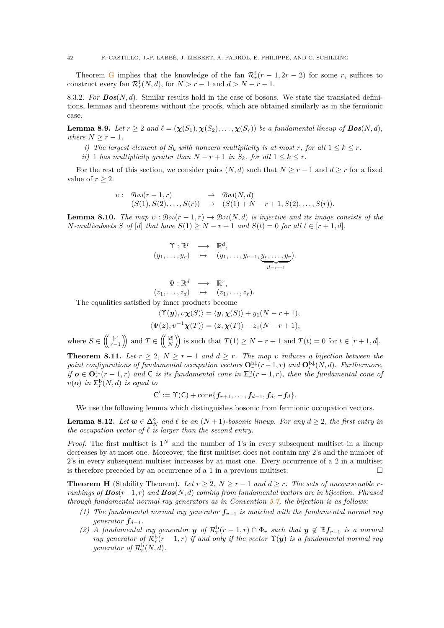Theorem [G](#page-41-0) implies that the knowledge of the fan  $\mathcal{R}_r^f(r-1, 2r-2)$  for some *r*, suffices to construct every fan  $\mathcal{R}_r^{\text{f}}(N, d)$ , for  $N > r - 1$  and  $d > N + r - 1$ .

8.3.2. *For Bos*(*N, d*)*.* Similar results hold in the case of bosons. We state the translated definitions, lemmas and theorems without the proofs, which are obtained similarly as in the fermionic case.

**Lemma 8.9.** *Let*  $r \geq 2$  *and*  $\ell = (\chi(S_1), \chi(S_2), \ldots, \chi(S_r))$  *be a fundamental lineup of*  $\text{Bos}(N, d)$ *, where*  $N \geq r - 1$ *.* 

*i*) The largest element of  $S_k$  with nonzero multiplicity is at most r, for all  $1 \leq k \leq r$ .

*ii*) 1 *has multiplicity greater than*  $N - r + 1$  *in*  $S_k$ *, for all*  $1 \leq k \leq r$ *.* 

For the rest of this section, we consider pairs  $(N, d)$  such that  $N \geq r - 1$  and  $d \geq r$  for a fixed value of  $r \geq 2$ .

$$
v: \mathcal{B}os(r-1,r) \rightarrow \mathcal{B}os(N,d)
$$
  

$$
(S(1), S(2), \ldots, S(r)) \rightarrow (S(1) + N - r + 1, S(2), \ldots, S(r)).
$$

**Lemma 8.10.** *The map*  $v : \text{Bos}(r-1,r) \rightarrow \text{Bos}(N,d)$  *is injective and its image consists of the N*-multisubsets *S* of [*d*] that have  $S(1) \geq N - r + 1$  and  $S(t) = 0$  for all  $t \in [r + 1, d]$ .

$$
\begin{array}{rcl}\n\Upsilon: \mathbb{R}^r & \longrightarrow & \mathbb{R}^d, \\
(y_1, \ldots, y_r) & \mapsto & (y_1, \ldots, y_{r-1}, \underbrace{y_r, \ldots, y_r}_{d-r+1}).\n\end{array}
$$

$$
\Psi : \mathbb{R}^d \longrightarrow \mathbb{R}^r, (z_1, \ldots, z_d) \mapsto (z_1, \ldots, z_r).
$$

The equalities satisfied by inner products become

$$
\langle \Upsilon(\mathbf{y}), v\chi(S) \rangle = \langle \mathbf{y}, \chi(S) \rangle + y_1(N - r + 1),
$$
  

$$
\langle \Psi(\mathbf{z}), v^{-1}\chi(T) \rangle = \langle \mathbf{z}, \chi(T) \rangle - z_1(N - r + 1),
$$

where  $S \in \left(\left(\begin{array}{c} [r] \\ \frac{r}{r-1} \end{array}\right)$  $\binom{[r]}{r-1}$  and  $T \in \left(\binom{[d]}{N}\right)$  is such that  $T(1) \geq N - r + 1$  and  $T(t) = 0$  for  $t \in [r + 1, d]$ .

**Theorem 8.11.** *Let*  $r \geq 2$ ,  $N \geq r - 1$  *and*  $d \geq r$ *. The map v induces a bijection between the point configurations of fundamental occupation vectors*  $\mathbf{O}_r^{\mathrm{b}\downarrow}(r-1,r)$  *and*  $\mathbf{O}_r^{\mathrm{b}\downarrow}(N,d)$ *. Furthermore, if*  $o \in \mathbf{O}_r^{\{ \downarrow \}}(r-1,r)$  and  $\mathsf{C}$  *is its fundamental cone in*  $\Sigma_r^{\{ \!\!\!\ p \ \!\!\!\}}(r-1,r)$ *, then the fundamental cone of*  $v(\boldsymbol{o})$  *in*  $\Sigma_r^{\text{b}}(N, d)$  *is equal to* 

$$
C':=\Upsilon(C)+\mathrm{cone}\{f_{r+1},\ldots,f_{d-1},f_d,-f_d\}.
$$

We use the following lemma which distinguishes bosonic from fermionic occupation vectors.

<span id="page-43-1"></span>**Lemma 8.12.** *Let*  $w \in \Delta_N^{\circ}$  *and*  $\ell$  *be an*  $(N+1)$ *-bosonic lineup. For any*  $d \geq 2$ *, the first entry in the occupation vector of ℓ is larger than the second entry.*

*Proof.* The first multiset is  $1^N$  and the number of 1's in every subsequent multiset in a lineup decreases by at most one. Moreover, the first multiset does not contain any 2's and the number of 2's in every subsequent multiset increases by at most one. Every occurrence of a 2 in a multiset is therefore preceded by an occurrence of a 1 in a previous multiset.  $\Box$ 

<span id="page-43-0"></span>**Theorem H** (Stability Theorem). Let  $r \geq 2$ ,  $N \geq r - 1$  and  $d \geq r$ . The sets of uncoarsenable *rrankings of Bos*(*r*−1*, r*) *and Bos*(*N, d*) *coming from fundamental vectors are in bijection. Phrased through fundamental normal ray generators as in Convention [5.7,](#page-25-1) the bijection is as follows:*

- *(1) The fundamental normal ray generator fr*−<sup>1</sup> *is matched with the fundamental normal ray generator*  $f_{d-1}$ *.*
- (2) A fundamental ray generator **y** of  $\mathcal{R}_r^{\text{b}}(r-1,r) \cap \Phi_r$  such that  $y \notin \mathbb{R}$  *f*<sub>*r*-1</sub> *is a normal ray generator of*  $\mathcal{R}_r^{\text{b}}(r-1,r)$  *if and only if the vector*  $\Upsilon(\bm{y})$  *is a fundamental normal ray generator of*  $\mathcal{R}_r^{\mathrm{b}}(N, d)$ *.*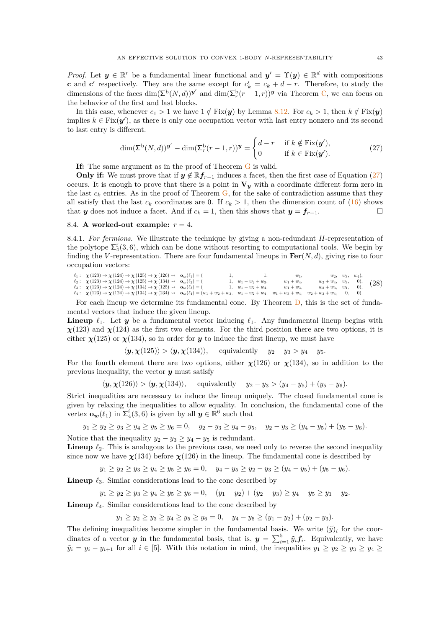*Proof.* Let  $y \in \mathbb{R}^r$  be a fundamental linear functional and  $y' = \Upsilon(y) \in \mathbb{R}^d$  with compositions **c** and **c**' respectively. They are the same except for  $c'_{k} = c_{k} + d - r$ . Therefore, to study the dimensions of the faces  $\dim(\Sigma^{\mathbf{b}}(N,d))^{\mathbf{y}'}$  and  $\dim(\Sigma_r^{\mathbf{b}}(r-1,r))^{\mathbf{y}}$  via Theorem [C,](#page-26-0) we can focus on the behavior of the first and last blocks.

In this case, whenever  $c_1 > 1$  we have  $1 \notin Fix(y)$  by Lemma [8.12.](#page-43-1) For  $c_k > 1$ , then  $k \notin Fix(y)$ implies  $k \in Fix(\mathbf{y}')$ , as there is only one occupation vector with last entry nonzero and its second to last entry is different.

<span id="page-44-1"></span>
$$
\dim(\Sigma^{\mathbf{b}}(N,d))^{\mathbf{y}'} - \dim(\Sigma_r^{\mathbf{b}}(r-1,r))^{\mathbf{y}} = \begin{cases} d-r & \text{if } k \notin \text{Fix}(\mathbf{y}'),\\ 0 & \text{if } k \in \text{Fix}(\mathbf{y}'). \end{cases}
$$
(27)

**If:** The same argument as in the proof of Theorem [G](#page-41-0) is valid.

**Only if:** We must prove that if  $y \notin \mathbb{R}$  *f*<sub>*r*</sub>−1</sub> induces a facet, then the first case of Equation [\(27\)](#page-44-1) occurs. It is enough to prove that there is a point in  $V_y$  with a coordinate different form zero in the last  $c_k$  entries. As in the proof of Theorem  $G$ , for the sake of contradiction assume that they all satisfy that the last  $c_k$  coordinates are 0. If  $c_k > 1$ , then the dimension count of [\(16\)](#page-26-2) shows that *y* does not induce a facet. And if  $c_k = 1$ , then this shows that  $y = f_{r-1}$ .

### <span id="page-44-0"></span>8.4. **A** worked-out example:  $r = 4$ .

8.4.1. *For fermions.* We illustrate the technique by giving a non-redundant *H*-representation of the polytope  $\Sigma_4^f(3,6)$ , which can be done without resorting to computational tools. We begin by finding the *V*-representation. There are four fundamental lineups in  $\text{Fer}(N, d)$ , giving rise to four occupation vectors:

<span id="page-44-2"></span> $\begin{array}{ll} \ell_1: & \chi \left(123\right) \rightarrow \chi \left(124\right) \rightarrow \chi \left(125\right) \rightarrow \chi \left(126\right) \rightsquigarrow \\ \ell_2: & \chi \left(123\right) \rightarrow \chi \left(124\right) \rightarrow \chi \left(125\right) \rightarrow \chi \left(134\right) \rightsquigarrow \\ \ell_3: & \chi \left(123\right) \rightarrow \chi \left(124\right) \rightarrow \chi \left(134\right) \rightarrow \chi \left(125\right) \rightsquigarrow \\ \ell_4: & \chi \left(123\right) \rightarrow \chi \left(124$ **o***w*(*ℓ*1) = ( 1*,* 1*, w*1*, w*2*, w*3*, w*4)*,* **o***w*(*ℓ*2) = ( 1*, w*<sup>1</sup> + *w*<sup>2</sup> + *w*3*, w*<sup>1</sup> + *w*4*, w*<sup>2</sup> + *w*4*, w*3*,* 0)*,* **o***w*(*ℓ*3) = ( 1*, w*<sup>1</sup> + *w*<sup>2</sup> + *w*4*, w*<sup>1</sup> + *w*3*, w*<sup>2</sup> + *w*3*, w*4*,* 0)*,* **o***w*(*ℓ*4) = (*w*<sup>1</sup> + *w*<sup>2</sup> + *w*3*, w*<sup>1</sup> + *w*<sup>2</sup> + *w*4*, w*<sup>1</sup> + *w*<sup>3</sup> + *w*4*, w*<sup>2</sup> + *w*<sup>3</sup> + *w*4*,* 0*,* 0)*.* (28)

For each lineup we determine its fundamental cone. By Theorem [D,](#page-28-0) this is the set of fundamental vectors that induce the given lineup.

**Lineup**  $\ell_1$ . Let *y* be a fundamental vector inducing  $\ell_1$ . Any fundamental lineup begins with  $\chi(123)$  and  $\chi(124)$  as the first two elements. For the third position there are two options, it is either  $\chi(125)$  or  $\chi(134)$ , so in order for *y* to induce the first lineup, we must have

 $\langle y, \chi(125) \rangle > \langle y, \chi(134) \rangle$ , equivalently  $y_2 - y_3 > y_4 - y_5$ .

For the fourth element there are two options, either  $\chi(126)$  or  $\chi(134)$ , so in addition to the previous inequality, the vector *y* must satisfy

 $\langle y, \chi(126) \rangle > \langle y, \chi(134) \rangle$ , equivalently  $y_2 - y_3 > (y_4 - y_5) + (y_5 - y_6)$ .

Strict inequalities are necessary to induce the lineup uniquely. The closed fundamental cone is given by relaxing the inequalities to allow equality. In conclusion, the fundamental cone of the vertex  $\mathbf{o}_w(\ell_1)$  in  $\Sigma_4^{\mathsf{f}}(3,6)$  is given by all  $y \in \mathbb{R}^6$  such that

$$
y_1 \ge y_2 \ge y_3 \ge y_4 \ge y_5 \ge y_6 = 0
$$
,  $y_2 - y_3 \ge y_4 - y_5$ ,  $y_2 - y_3 \ge (y_4 - y_5) + (y_5 - y_6)$ .

Notice that the inequality  $y_2 - y_3 \ge y_4 - y_5$  is redundant.

**Lineup**  $\ell_2$ . This is analogous to the previous case, we need only to reverse the second inequality since now we have  $\chi(134)$  before  $\chi(126)$  in the lineup. The fundamental cone is described by

 $y_1 \ge y_2 \ge y_3 \ge y_4 \ge y_5 \ge y_6 = 0$ ,  $y_4 - y_5 \ge y_2 - y_3 \ge (y_4 - y_5) + (y_5 - y_6)$ .

**Lineup** *ℓ*3. Similar considerations lead to the cone described by

 $y_1 \ge y_2 \ge y_3 \ge y_4 \ge y_5 \ge y_6 = 0$ ,  $(y_1 - y_2) + (y_2 - y_3) \ge y_4 - y_5 \ge y_1 - y_2$ .

**Lineup**  $\ell_4$ . Similar considerations lead to the cone described by

 $y_1 \ge y_2 \ge y_3 \ge y_4 \ge y_5 \ge y_6 = 0$ ,  $y_4 - y_5 \ge (y_1 - y_2) + (y_2 - y_3)$ .

The defining inequalities become simpler in the fundamental basis. We write  $(\tilde{\mathbf{y}})_i$  for the coordinates of a vector *y* in the fundamental basis, that is,  $y = \sum_{i=1}^{5} \tilde{y}_i f_i$ . Equivalently, we have  $\tilde{y}_i = y_i - y_{i+1}$  for all  $i \in [5]$ . With this notation in mind, the inequalities  $y_1 \ge y_2 \ge y_3 \ge y_4 \ge$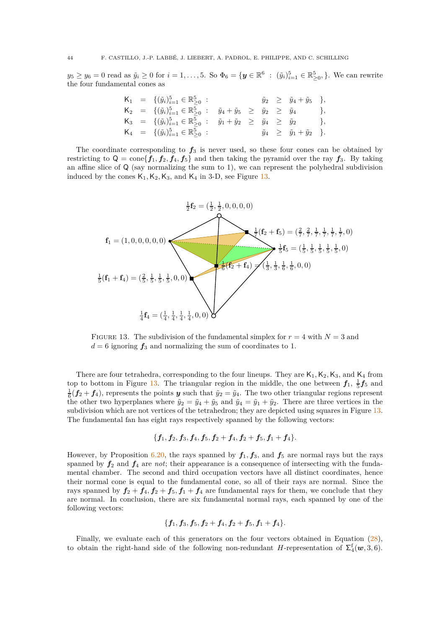$y_5 \ge y_6 = 0$  read as  $\tilde{y}_i \ge 0$  for  $i = 1, ..., 5$ . So  $\Phi_6 = \{ \mathbf{y} \in \mathbb{R}^6 : (\tilde{y}_i)_{i=1}^5 \in \mathbb{R}^5_{\ge 0}, \}$ . We can rewrite the four fundamental cones as

$$
\begin{array}{rcl}\nK_1 & = & \{(\tilde{y}_i)_{i=1}^5 \in \mathbb{R}_{\geq 0}^5 : & \tilde{y}_2 \geq \tilde{y}_4 + \tilde{y}_5 \}, \\
K_2 & = & \{(\tilde{y}_i)_{i=1}^5 \in \mathbb{R}_{\geq 0}^5 : & \tilde{y}_4 + \tilde{y}_5 \geq \tilde{y}_2 \geq \tilde{y}_4 \}, \\
K_3 & = & \{(\tilde{y}_i)_{i=1}^5 \in \mathbb{R}_{\geq 0}^5 : & \tilde{y}_1 + \tilde{y}_2 \geq \tilde{y}_4 \geq \tilde{y}_2 \}, \\
K_4 & = & \{(\tilde{y}_i)_{i=1}^5 \in \mathbb{R}_{\geq 0}^5 : & \tilde{y}_4 \geq \tilde{y}_1 + \tilde{y}_2 \}.\n\end{array}
$$

The coordinate corresponding to  $f_3$  is never used, so these four cones can be obtained by restricting to  $Q = \text{cone}\lbrace f_1, f_2, f_4, f_5 \rbrace$  and then taking the pyramid over the ray  $f_3$ . By taking an affine slice of Q (say normalizing the sum to 1), we can represent the polyhedral subdivision induced by the cones  $\mathsf{K}_1,\mathsf{K}_2,\mathsf{K}_3,$  and  $\mathsf{K}_4$  in 3-D, see Figure [13.](#page-45-0)

<span id="page-45-0"></span>

FIGURE 13. The subdivision of the fundamental simplex for  $r = 4$  with  $N = 3$  and  $d = 6$  ignoring  $f_3$  and normalizing the sum of coordinates to 1.

There are four tetrahedra, corresponding to the four lineups. They are  $K_1, K_2, K_3$ , and  $K_4$  from top to bottom in Figure [13.](#page-45-0) The triangular region in the middle, the one between  $f_1$ ,  $\frac{1}{5}f_5$  and  $\frac{1}{6}$  ( $f_2 + f_4$ ), represents the points *y* such that  $\tilde{y}_2 = \tilde{y}_4$ . The two other triangular regions represent the other two hyperplanes where  $\tilde{y}_2 = \tilde{y}_4 + \tilde{y}_5$  and  $\tilde{y}_4 = \tilde{y}_1 + \tilde{y}_2$ . There are three vertices in the subdivision which are not vertices of the tetrahedron; they are depicted using squares in Figure [13.](#page-45-0) The fundamental fan has eight rays respectively spanned by the following vectors:

$$
\{ \pmb{f_1}, \pmb{f_2}, \pmb{f_3}, \pmb{f_4}, \pmb{f_5}, \pmb{f_2}+\pmb{f_4}, \pmb{f_2}+\pmb{f_5}, \pmb{f_1}+\pmb{f_4} \}.
$$

However, by Proposition [6.20,](#page-33-1) the rays spanned by  $f_1, f_3$ , and  $f_5$  are normal rays but the rays spanned by  $f_2$  and  $f_4$  are *not*; their appearance is a consequence of intersecting with the fundamental chamber. The second and third occupation vectors have all distinct coordinates, hence their normal cone is equal to the fundamental cone, so all of their rays are normal. Since the rays spanned by  $f_2 + f_4$ ,  $f_2 + f_5$ ,  $f_1 + f_4$  are fundamental rays for them, we conclude that they are normal. In conclusion, there are six fundamental normal rays, each spanned by one of the following vectors:

### ${f_1, f_3, f_5, f_2 + f_4, f_2 + f_5, f_1 + f_4}.$

Finally, we evaluate each of this generators on the four vectors obtained in Equation [\(28\)](#page-44-2), to obtain the right-hand side of the following non-redundant *H*-representation of  $\Sigma_4^{\rm f}({\bf w},3,6)$ .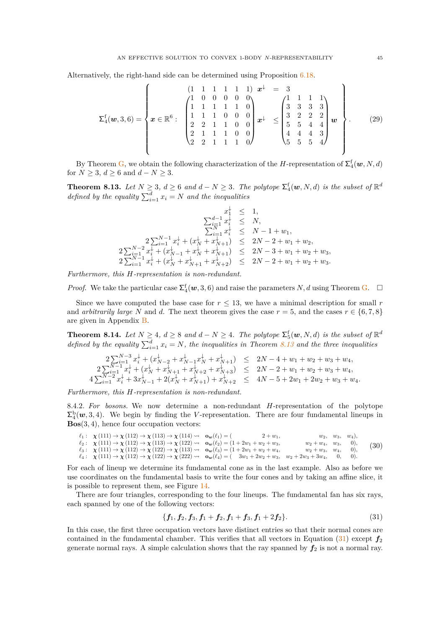Alternatively, the right-hand side can be determined using Proposition [6.18.](#page-33-0)

<span id="page-46-2"></span>
$$
\Sigma_4^{\rm f}(\boldsymbol{w},3,6) = \left\{ \boldsymbol{x} \in \mathbb{R}^6 : \begin{pmatrix} 1 & 1 & 1 & 1 & 1 & 1 \\ 1 & 0 & 0 & 0 & 0 & 0 \\ 1 & 1 & 1 & 1 & 1 & 0 \\ 2 & 2 & 1 & 1 & 0 & 0 \\ 2 & 2 & 1 & 1 & 1 & 0 \end{pmatrix} \boldsymbol{x}^{\downarrow} \right\} \le \left\{ \begin{pmatrix} 1 & 1 & 1 & 1 & 1 \\ 3 & 3 & 3 & 3 & 3 \\ 3 & 2 & 2 & 2 & 2 \\ 5 & 5 & 4 & 4 & 4 \\ 4 & 4 & 4 & 3 & 4 \end{pmatrix} \boldsymbol{w} \right\}.
$$
 (29)

By Theorem [G,](#page-41-0) we obtain the following characterization of the *H*-representation of  $\Sigma_4^{\rm f}({\bm w},N,d)$ for  $N \geq 3$ ,  $d \geq 6$  and  $d - N \geq 3$ .

<span id="page-46-0"></span>**Theorem 8.13.** Let  $N \geq 3$ ,  $d \geq 6$  and  $d - N \geq 3$ . The polytope  $\sum_{4}^{f}(\boldsymbol{w}, N, d)$  is the subset of  $\mathbb{R}^d$ *defined by the equality*  $\sum_{i=1}^{d} x_i = N$  *and the inequalities* 

$$
x_1^{\downarrow} \leq 1,
$$
  
\n
$$
\sum_{i=1}^{d-1} x_i^{\downarrow} \leq N,
$$
  
\n
$$
\sum_{i=1}^{d-1} x_i^{\downarrow} \leq N,
$$
  
\n
$$
2 \sum_{i=1}^{N-1} x_i^{\downarrow} + (x_N^{\downarrow} + x_{N+1}^{\downarrow}) \leq 2N - 2 + w_1 + w_2,
$$
  
\n
$$
2 \sum_{i=1}^{N-2} x_i^{\downarrow} + (x_{N-1}^{\downarrow} + x_N^{\downarrow} + x_{N+1}^{\downarrow}) \leq 2N - 3 + w_1 + w_2 + w_3,
$$
  
\n
$$
2 \sum_{i=1}^{N-1} x_i^{\downarrow} + (x_N^{\downarrow} + x_{N+1}^{\downarrow} + x_{N+2}^{\downarrow}) \leq 2N - 2 + w_1 + w_2 + w_3.
$$

*Furthermore, this H-representation is non-redundant.*

*Proof.* We take the particular case  $\Sigma_4^f(w,3,6)$  and raise the parameters *N*, *d* using Theorem [G.](#page-41-0)  $\Box$ 

Since we have computed the base case for  $r \leq 13$ , we have a minimal description for small r and *arbitrarily large N* and *d*. The next theorem gives the case  $r = 5$ , and the cases  $r \in \{6, 7, 8\}$ are given in Appendix [B.](#page-57-0)

<span id="page-46-1"></span>**Theorem 8.14.** *Let*  $N \geq 4$ ,  $d \geq 8$  *and*  $d - N \geq 4$ *. The polytope*  $\Sigma_5^{\text{f}}(\boldsymbol{w}, N, d)$  *is the subset of*  $\mathbb{R}^d$ *defined by the equality*  $\sum_{i=1}^{d} x_i = N$ *, the inequalities in Theorem* [8.13](#page-46-0) *and the three inequalities* 

$$
\begin{array}{ccccccccc} & 2\sum_{i=1}^{N-3} x_i^{\downarrow} + (x_{N-2}^{\downarrow} + x_{N-1}^{\downarrow} x_N^{\downarrow} + x_{N+1}^{\downarrow}) & \le & 2N-4+w_1+w_2+w_3+w_4, \\ & & 2\sum_{i=1}^{N-1} x_i^{\downarrow} + (x_N^{\downarrow} + x_{N+1}^{\downarrow} + x_{N+2}^{\downarrow} + x_{N+3}^{\downarrow}) & \le & 2N-2+w_1+w_2+w_3+w_4, \\ & & 4\sum_{i=1}^{N-2} x_i^{\downarrow} + 3x_{N-1}^{\downarrow} + 2(x_N^{\downarrow} + x_{N+1}^{\downarrow}) + x_{N+2}^{\downarrow} & \le & 4N-5+2w_1+2w_2+w_3+w_4. \end{array}
$$

*Furthermore, this H-representation is non-redundant.*

8.4.2. *For bosons.* We now determine a non-redundant *H*-representation of the polytope  $\Sigma_4^b(w,3,4)$ . We begin by finding the *V*-representation. There are four fundamental lineups in **Bos**(3*,* 4), hence four occupation vectors:

<span id="page-46-4"></span> $\ell_1: \quad \chi(111) \to \chi(112) \to \chi(113) \to \chi(114) \rightsquigarrow$  $\ell_1: \ \ \chi(111) \to \chi(112) \to \chi(113) \to \chi(114) \rightsquigarrow \ \ \mathbf{o_w}(\ell_1) = ( \qquad 2+w_1, \qquad w_2, \quad w_3, \quad w_4),$ <br>  $\ell_2: \ \ \chi(111) \to \chi(112) \to \chi(113) \to \chi(122) \rightsquigarrow \ \ \mathbf{o_w}(\ell_2) = (1+2w_1+w_2+w_3, \qquad \qquad w_2+w_4, \quad w_3, \quad 0),$  $\ell_3: \ \ \chi(111) \to \chi(112) \to \chi(122) \to \chi(113) \rightsquigarrow$  $\ell_3$ :  $\chi(111) \to \chi(112) \to \chi(122) \to \chi(113) \rightsquigarrow$   $\mathbf{o}_w(\ell_3) = (1 + 2w_1 + w_2 + w_4, w_2 + w_3, w_4, 0),$ <br>  $\ell_4$ :  $\chi(111) \to \chi(112) \to \chi(122) \to \chi(222) \rightsquigarrow$   $\mathbf{o}_w(\ell_4) = (3w_1 + 2w_2 + w_3, w_2 + 2w_3 + 3w_4, 0, 0).$  $\mathbf{o}_w(\ell_2) = (1 + 2w_1 + w_2 + w_3, \qquad w_2 + w_4, \quad w_3, \qquad 0),$  $\mathbf{o}_w(\ell_4) = (3w_1 + 2w_2 + w_3, w_2 + 2w_3 + 3w_4, 0, 0).$ (30)

For each of lineup we determine its fundamental cone as in the last example. Also as before we use coordinates on the fundamental basis to write the four cones and by taking an affine slice, it is possible to represent them, see Figure [14.](#page-47-2)

There are four triangles, corresponding to the four lineups. The fundamental fan has six rays, each spanned by one of the following vectors:

<span id="page-46-3"></span>
$$
\{f_1, f_2, f_3, f_1+f_2, f_1+f_3, f_1+2f_2\}.\tag{31}
$$

In this case, the first three occupation vectors have distinct entries so that their normal cones are contained in the fundamental chamber. This verifies that all vectors in Equation  $(31)$  except  $f_2$ generate normal rays. A simple calculation shows that the ray spanned by *f*<sup>2</sup> is not a normal ray.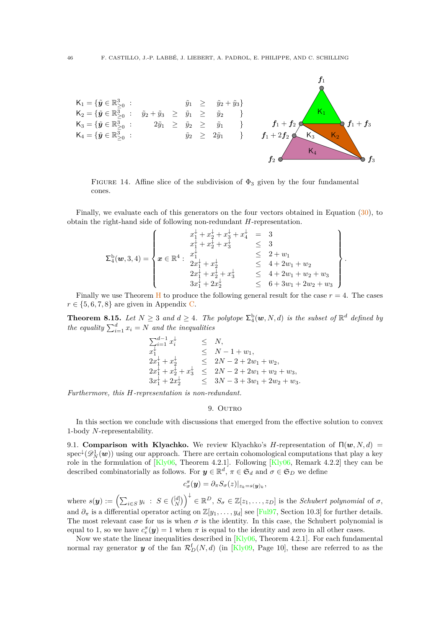<span id="page-47-2"></span>

FIGURE 14. Affine slice of the subdivision of  $\Phi_3$  given by the four fundamental cones.

Finally, we evaluate each of this generators on the four vectors obtained in Equation [\(30\)](#page-46-4), to obtain the right-hand side of following non-redundant *H*-representation.

$$
\Sigma_4^{\mathrm{b}}(w,3,4) = \left\{\n\begin{array}{c}\nx_1^{\mathrm{b}} + x_2^{\mathrm{b}} + x_3^{\mathrm{b}} + x_4^{\mathrm{b}} &= 3 \\
x_1^{\mathrm{b}} + x_2^{\mathrm{b}} + x_3^{\mathrm{b}} & \leq 3 \\
x_1^{\mathrm{c}} + x_2^{\mathrm{b}} + x_3^{\mathrm{b}} & \leq 3 \\
2x_1^{\mathrm{b}} + x_2^{\mathrm{b}} & \leq 4 + 2w_1 + w_2 \\
2x_1^{\mathrm{b}} + x_2^{\mathrm{b}} + x_3^{\mathrm{b}} & \leq 4 + 2w_1 + w_2 + w_3 \\
2x_1^{\mathrm{b}} + x_2^{\mathrm{b}} + x_3^{\mathrm{b}} & \leq 4 + 2w_1 + w_2 + w_3 \\
3x_1^{\mathrm{b}} + 2x_2^{\mathrm{b}} & \leq 6 + 3w_1 + 2w_2 + w_3\n\end{array}\n\right\}
$$

*.*

Finally we use Theorem [H](#page-43-0) to produce the following general result for the case  $r = 4$ . The cases  $r \in \{5, 6, 7, 8\}$  are given in Appendix [C.](#page-58-0)

**Theorem 8.15.** Let  $N \geq 3$  and  $d \geq 4$ . The polytope  $\sum_{i=1}^{6} (\boldsymbol{w}, N, d)$  is the subset of  $\mathbb{R}^d$  defined by *the equality*  $\sum_{i=1}^{d} x_i = N$  *and the inequalities* 

$$
\begin{array}{llll}\n\sum_{i=1}^{d-1} x_i^{\downarrow} & \leq & N, \\
x_1^{\downarrow} & \leq & N-1+w_1, \\
2x_1^{\downarrow} + x_2^{\downarrow} & \leq & 2N-2+2w_1+w_2, \\
2x_1^{\downarrow} + x_2^{\downarrow} + x_3^{\downarrow} & \leq & 2N-2+2w_1+w_2+w_3, \\
3x_1^{\downarrow} + 2x_2^{\downarrow} & \leq & 3N-3+3w_1+2w_2+w_3.\n\end{array}
$$

<span id="page-47-1"></span>*Furthermore, this H-representation is non-redundant.*

### 9. OUTRO

In this section we conclude with discussions that emerged from the effective solution to convex 1-body *N*-representability.

<span id="page-47-0"></span>9.1. **Comparison with Klyachko.** We review Klyachko's *H*-representation of  $\Pi(\mathbf{w}, N, d)$  =  ${\rm spec}^{\downarrow}(\mathscr{D}^1_N(\boldsymbol{w}))$  using our approach. There are certain cohomological computations that play a key role in the formulation of  $[Kly06, Theorem 4.2.1]$ . Following  $[Kly06, Remark 4.2.2]$  they can be described combinatorially as follows. For  $y \in \mathbb{R}^d$ ,  $\pi \in \mathfrak{S}_d$  and  $\sigma \in \mathfrak{S}_D$  we define

$$
c_{\sigma}^{\pi}(\mathbf{y})=\partial_{\pi}S_{\sigma}(z)|_{z_k=s(\mathbf{y})_k},
$$

 $\mathbf{w} = \left( \sum_{i \in S} y_i : S \in \binom{[d]}{N} \right)^{\downarrow} \in \mathbb{R}^D, S_{\sigma} \in \mathbb{Z}[z_1, \ldots, z_D]$  is the *Schubert polynomial* of  $\sigma$ , and  $\partial_{\pi}$  is a differential operator acting on  $\mathbb{Z}[y_1,\ldots,y_d]$  see [\[Ful97,](#page-53-31) Section 10.3] for further details. The most relevant case for us is when  $\sigma$  is the identity. In this case, the Schubert polynomial is equal to 1, so we have  $c_e^{\pi}(\mathbf{y}) = 1$  when  $\pi$  is equal to the identity and zero in all other cases.

Now we state the linear inequalities described in [\[Kly06,](#page-53-8) Theorem 4.2.1]. For each fundamental normal ray generator  $y$  of the fan  $\mathcal{R}_D^{\text{f}}(N,d)$  (in [\[Kly09,](#page-53-18) Page 10], these are referred to as the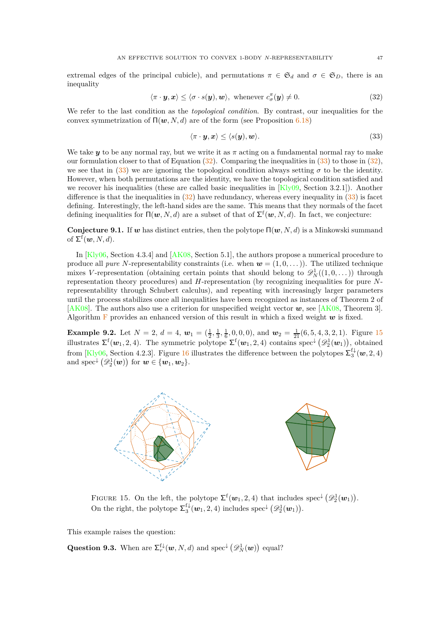extremal edges of the principal cubicle), and permutations  $\pi \in \mathfrak{S}_d$  and  $\sigma \in \mathfrak{S}_D$ , there is an inequality

<span id="page-48-0"></span>
$$
\langle \pi \cdot \mathbf{y}, \mathbf{x} \rangle \le \langle \sigma \cdot s(\mathbf{y}), \mathbf{w} \rangle, \text{ whenever } c^{\pi}_{\sigma}(\mathbf{y}) \ne 0.
$$
 (32)

We refer to the last condition as the *topological condition*. By contrast, our inequalities for the convex symmetrization of  $\Pi(\boldsymbol{w}, N, d)$  are of the form (see Proposition [6.18\)](#page-33-0)

<span id="page-48-1"></span>
$$
\langle \pi \cdot \bm{y}, \bm{x} \rangle \le \langle s(\bm{y}), \bm{w} \rangle. \tag{33}
$$

We take *y* to be any normal ray, but we write it as  $\pi$  acting on a fundamental normal ray to make our formulation closer to that of Equation  $(32)$ . Comparing the inequalities in  $(33)$  to those in  $(32)$ , we see that in  $(33)$  we are ignoring the topological condition always setting  $\sigma$  to be the identity. However, when both permutations are the identity, we have the topological condition satisfied and we recover his inequalities (these are called basic inequalities in  $[Kly09, Section 3.2.1]$ ). Another difference is that the inequalities in  $(32)$  have redundancy, whereas every inequality in  $(33)$  is facet defining. Interestingly, the left-hand sides are the same. This means that they normals of the facet defining inequalities for  $\Pi(w, N, d)$  are a subset of that of  $\Sigma^{\text{f}}(w, N, d)$ . In fact, we conjecture:

**Conjecture 9.1.** If *w* has distinct entries, then the polytope Π(*w, N, d*) is a Minkowski summand of  $\Sigma^{\text{f}}(\boldsymbol{w},N,d)$ .

In [\[Kly06,](#page-53-8) Section 4.3.4] and [\[AK08,](#page-52-12) Section 5.1], the authors propose a numerical procedure to produce all *pure N*-representability constraints (i.e. when  $w = (1, 0, ...)$ ). The utilized technique mixes *V*-representation (obtaining certain points that should belong to  $\mathscr{D}_N^1((1,0,\ldots))$  through representation theory procedures) and *H*-representation (by recognizing inequalities for pure *N*representability through Schubert calculus), and repeating with increasingly larger parameters until the process stabilizes once all inequalities have been recognized as instances of Theorem 2 of [\[AK08\]](#page-52-12). The authors also use a criterion for unspecified weight vector *w*, see [\[AK08,](#page-52-12) Theorem 3]. Algorithm  $\bf{F}$  $\bf{F}$  $\bf{F}$  provides an enhanced version of this result in which a fixed weight  $\bf{w}$  is fixed.

**Example 9.2.** Let  $N = 2$ ,  $d = 4$ ,  $w_1 = (\frac{1}{2}, \frac{1}{3}, \frac{1}{6}, 0, 0, 0)$ , and  $w_2 = \frac{1}{21}(6, 5, 4, 3, 2, 1)$ . Figure [15](#page-48-2) illustrates  $\Sigma^{\text{f}}(\boldsymbol{w}_1, 2, 4)$ . The symmetric polytope  $\Sigma^{\text{f}}(\boldsymbol{w}_1, 2, 4)$  contains spec<sup> $\downarrow$ </sup>  $(\mathscr{D}_2^1(\boldsymbol{w}_1))$ , obtained from [\[Kly06,](#page-53-8) Section 4.2.3]. Figure [16](#page-49-2) illustrates the difference between the polytopes  $\Sigma_3^{\mathrm{f}\downarrow}(\bm{w},2,4)$ and  $\operatorname{spec}^{\downarrow}(\mathscr{D}_2^1(\boldsymbol{w}))$  for  $\boldsymbol{w} \in {\boldsymbol{w}_1, \boldsymbol{w}_2}.$ 

<span id="page-48-2"></span>

FIGURE 15. On the left, the polytope  $\Sigma^{\text{f}}(\boldsymbol{w}_1, 2, 4)$  that includes spec<sup> $\downarrow$ </sup>  $(\mathscr{D}_2^1(\boldsymbol{w}_1))$ . On the right, the polytope  $\Sigma_3^{\mathrm{f}\downarrow}(\boldsymbol{w}_1, 2, 4)$  includes spec<sup> $\downarrow$ </sup>  $(\mathscr{D}_2^1(\boldsymbol{w}_1))$ .

This example raises the question:

Question 9.3. When are  $\Sigma_r^{\{ \downarrow \}}(\boldsymbol{w},N,d)$  and spec<sup> $\downarrow$ </sup>  $(\mathscr{D}_N^1(\boldsymbol{w}))$  equal?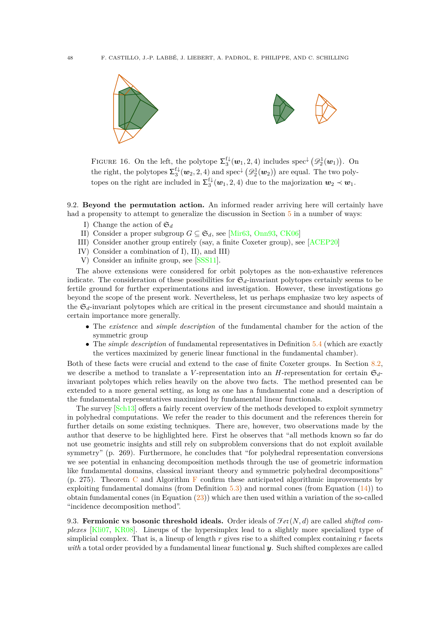

FIGURE 16. On the left, the polytope  $\Sigma_3^{\mathrm{f}\downarrow}(\mathbf{w}_1, 2, 4)$  includes spec<sup> $\downarrow$ </sup>  $(\mathscr{D}_2^1(\mathbf{w}_1))$ . On the right, the polytopes  $\Sigma_3^{\mathrm{f}\downarrow}(w_2, 2, 4)$  and  $\mathrm{spec}^{\downarrow}(\mathscr{D}_2^1(w_2))$  are equal. The two polytopes on the right are included in  $\Sigma_3^{\mathrm{f}\downarrow}(\mathbf{w}_1, 2, 4)$  due to the majorization  $\mathbf{w}_2 \prec \mathbf{w}_1$ .

<span id="page-49-1"></span>9.2. **Beyond the permutation action.** An informed reader arriving here will certainly have had a propensity to attempt to generalize the discussion in Section  $5$  in a number of ways:

- I) Change the action of  $\mathfrak{S}_d$
- II) Consider a proper subgroup  $G \subseteq \mathfrak{S}_d$ , see [\[Mir63,](#page-54-30) [Onn93,](#page-54-15) [CK06\]](#page-52-31)
- III) Consider another group entirely (say, a finite Coxeter group), see [\[ACEP20\]](#page-52-32)
- IV) Consider a combination of I), II), and III)
- V) Consider an infinite group, see [\[SSS11\]](#page-54-12).

The above extensions were considered for orbit polytopes as the non-exhaustive references indicate. The consideration of these possibilities for  $\mathfrak{S}_d$ -invariant polytopes certainly seems to be fertile ground for further experimentations and investigation. However, these investigations go beyond the scope of the present work. Nevertheless, let us perhaps emphasize two key aspects of the  $\mathfrak{S}_d$ -invariant polytopes which are critical in the present circumstance and should maintain a certain importance more generally.

- The *existence* and *simple description* of the fundamental chamber for the action of the symmetric group
- The *simple description* of fundamental representatives in Definition [5.4](#page-25-2) (which are exactly the vertices maximized by generic linear functional in the fundamental chamber).

Both of these facts were crucial and extend to the case of finite Coxeter groups. In Section [8.2,](#page-38-0) we describe a method to translate a *V*-representation into an *H*-representation for certain  $\mathfrak{S}_{d}$ invariant polytopes which relies heavily on the above two facts. The method presented can be extended to a more general setting, as long as one has a fundamental cone and a description of the fundamental representatives maximized by fundamental linear functionals.

The survey [\[Sch13\]](#page-55-12) offers a fairly recent overview of the methods developed to exploit symmetry in polyhedral computations. We refer the reader to this document and the references therein for further details on some existing techniques. There are, however, two observations made by the author that deserve to be highlighted here. First he observes that "all methods known so far do not use geometric insights and still rely on subproblem conversions that do not exploit available symmetry" (p. 269). Furthermore, he concludes that "for polyhedral representation conversions we see potential in enhancing decomposition methods through the use of geometric information like fundamental domains, classical invariant theory and symmetric polyhedral decompositions"  $(p. 275)$ . Theorem [C](#page-26-0) and Algorithm [F](#page-37-0) confirm these anticipated algorithmic improvements by exploiting fundamental domains (from Definition  $5.3$ ) and normal cones (from Equation  $(14)$ ) to obtain fundamental cones (in Equation  $(23)$ ) which are then used within a variation of the so-called "incidence decomposition method".

<span id="page-49-0"></span>9.3. **Fermionic vs bosonic threshold ideals.** Order ideals of  $\mathcal{F}et(N,d)$  are called *shifted complexes* [\[Kli07,](#page-53-12) [KR08\]](#page-53-30). Lineups of the hypersimplex lead to a slightly more specialized type of simplicial complex. That is, a lineup of length *r* gives rise to a shifted complex containing *r* facets *with* a total order provided by a fundamental linear functional *y*. Such shifted complexes are called

<span id="page-49-2"></span>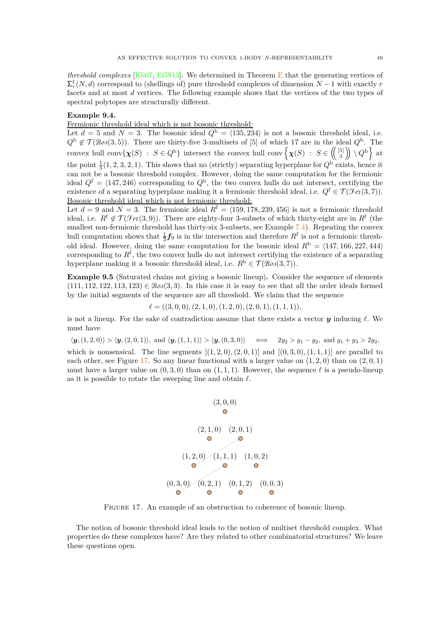*threshold complexes* [\[Kli07,](#page-53-12) [EGS13\]](#page-53-13). We determined in Theorem [E](#page-29-0) that the generating vertices of  $\sum_{r}^{f}(N, d)$  correspond to (shellings of) pure threshold complexes of dimension *N* − 1 with exactly *r* facets and at most *d* vertices. The following example shows that the vertices of the two types of spectral polytopes are structurally different.

### <span id="page-50-2"></span>**Example 9.4.**

Fermionic threshold ideal which is not bosonic threshold:

Let  $d = 5$  and  $N = 3$ . The bosonic ideal  $Q^b = \langle 135, 234 \rangle$  is not a bosonic threshold ideal, i.e.  $Q^{\rm b} \notin \mathcal{T}(\mathcal{B} \circ \mathcal{A}(3,5))$ . There are thirty-five 3-multisets of [5] of which 17 are in the ideal  $Q^{\rm b}$ . The convex hull conv $\left\{\chi(S) : S \in Q^{\text{b}}\right\}$  intersect the convex hull conv $\left\{\chi(S) : S \in \left(\begin{pmatrix} 5 \\ 3 \end{pmatrix}\right) \setminus Q^{\text{b}}\right\}$  at the point  $\frac{1}{3}(1, 2, 3, 2, 1)$ . This shows that no (strictly) separating hyperplane for  $Q^{\text{b}}$  exists, hence it can not be a bosonic threshold complex. However, doing the same computation for the fermionic ideal  $Q^f = \langle 147, 246 \rangle$  corresponding to  $Q^b$ , the two convex hulls do not intersect, certifying the existence of a separating hyperplane making it a fermionic threshold ideal, i.e.  $Q^f \in \mathcal{T}(\mathcal{F}_{e\ell}(3,7))$ . Bosonic threshold ideal which is not fermionic threshold:

Let  $d = 9$  and  $N = 3$ . The fermionic ideal  $R^f = \langle 159, 178, 239, 456 \rangle$  is not a fermionic threshold ideal, i.e.  $R^f \notin \mathcal{T}(\mathcal{F}et(3,9))$ . There are eighty-four 3-subsets of which thirty-eight are in  $R^f$  (the smallest non-fermionic threshold has thirty-six 3-subsets, see Example [7.4\)](#page-35-2). Repeating the convex hull computation shows that  $\frac{1}{3}f_9$  is in the intersection and therefore  $R^f$  is not a fermionic threshold ideal. However, doing the same computation for the bosonic ideal  $R^{\rm b} = \langle 147, 166, 227, 444 \rangle$ corresponding to *R*<sup>f</sup> , the two convex hulls do not intersect certifying the existence of a separating hyperplane making it a bosonic threshold ideal, i.e.  $R^b \in \mathcal{T}(\mathcal{B}os(3,7))$ .

<span id="page-50-0"></span>**Example 9.5** (Saturated chains not giving a bosonic lineup)**.** Consider the sequence of elements  $(111, 112, 122, 113, 123) \in \mathcal{B}oo(3,3)$ . In this case it is easy to see that all the order ideals formed by the initial segments of the sequence are all threshold. We claim that the sequence

$$
\ell = ((3,0,0), (2,1,0), (1,2,0), (2,0,1), (1,1,1)),
$$

is not a lineup. For the sake of contradiction assume that there exists a vector *y* inducing *ℓ*. We must have

 $\langle y, (1,2,0) \rangle > \langle y, (2,0,1) \rangle$ , and  $\langle y, (1,1,1) \rangle > \langle y, (0,3,0) \rangle$   $\iff$   $2y_2 > y_1 - y_2$ , and  $y_1 + y_3 > 2y_2$ .

<span id="page-50-1"></span>which is nonsensical. The line segments  $[(1, 2, 0), (2, 0, 1)]$  and  $[(0, 3, 0), (1, 1, 1)]$  are parallel to each other, see Figure [17.](#page-50-1) So any linear functional with a larger value on (1*,* 2*,* 0) than on (2*,* 0*,* 1) must have a larger value on  $(0,3,0)$  than on  $(1,1,1)$ . However, the sequence  $\ell$  is a pseudo-lineup as it is possible to rotate the sweeping line and obtain *ℓ*.



Figure 17. An example of an obstruction to coherence of bosonic lineup.

The notion of bosonic threshold ideal leads to the notion of multiset threshold complex. What properties do these complexes have? Are they related to other combinatorial structures? We leave these questions open.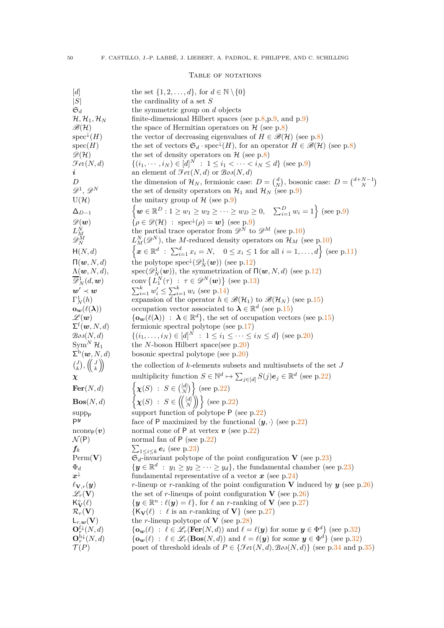### <span id="page-51-0"></span>TABLE OF NOTATIONS

| [d]                                                                               | the set $\{1, 2, \ldots, d\}$ , for $d \in \mathbb{N} \setminus \{0\}$                                                                                                  |
|-----------------------------------------------------------------------------------|-------------------------------------------------------------------------------------------------------------------------------------------------------------------------|
| S                                                                                 | the cardinality of a set $S$                                                                                                                                            |
| $\mathfrak{S}_d$                                                                  | the symmetric group on $d$ objects                                                                                                                                      |
| $\mathcal{H},\mathcal{H}_1,\mathcal{H}_N$                                         | finite-dimensional Hilbert spaces (see $p.8, p.9,$ and $p.9$ )                                                                                                          |
| $\mathscr{B}(\mathcal{H})$                                                        | the space of Hermitian operators on $\mathcal{H}$ (see p.8)                                                                                                             |
| $spec^{\downarrow}(H)$                                                            | the vector of decreasing eigenvalues of $H \in \mathcal{B}(\mathcal{H})$ (see p.8)                                                                                      |
| spec(H)                                                                           | the set of vectors $\mathfrak{S}_d \cdot \text{spec}^{\downarrow}(H)$ , for an operator $H \in \mathscr{B}(\mathcal{H})$ (see p.8)                                      |
| $\mathscr{D}(\mathcal{H})$                                                        | the set of density operators on $H$ (see p.8)                                                                                                                           |
| $\mathcal{F}ev(N,d)$                                                              | $\{(i_1, \dots, i_N) \in [d]^N : 1 \leq i_1 < \dots < i_N \leq d\}$ (see p.9)                                                                                           |
| $\imath$                                                                          | an element of $\mathcal{F}e\mathcal{E}(N,d)$ or $\mathcal{B}o\mathcal{S}(N,d)$                                                                                          |
| D                                                                                 | the dimension of $\mathcal{H}_N$ , fermionic case: $D = \begin{pmatrix} d \\ N \end{pmatrix}$ , bosonic case: $D = \begin{pmatrix} d+N-1 \\ N \end{pmatrix}$            |
| $\mathscr{D}^1, \mathscr{D}^N$                                                    | the set of density operators on $\mathcal{H}_1$ and $\mathcal{H}_N$ (see p.9)                                                                                           |
| $U(\mathcal{H})$                                                                  | the unitary group of $H$ (see p.9)                                                                                                                                      |
| $\Delta_{D-1}$                                                                    | $\{ \boldsymbol{w} \in \mathbb{R}^D : 1 \geq w_1 \geq w_2 \geq \cdots \geq w_D \geq 0, \quad \sum_{i=1}^D w_i = 1 \}$ (see p.9)                                         |
| $\mathscr{D}(\boldsymbol{w})$                                                     | $\{\rho \in \mathscr{D}(\mathcal{H}) : \text{spec}^{\downarrow}(\rho) = \mathbf{w}\}\$ (see p.9)                                                                        |
| $\frac{L_M^{\grave{N}}}{\mathscr{D}_N^M}$                                         | the partial trace operator from $\mathscr{D}^N$ to $\mathscr{D}^M$ (see p.10)                                                                                           |
|                                                                                   | $L_M^N(\mathscr{D}^N)$ , the M-reduced density operators on $\mathcal{H}_M$ (see p.10)                                                                                  |
| H(N, d)                                                                           | $\left\{x \in \mathbb{R}^d : \sum_{i=1}^d x_i = N, \ 0 \leq x_i \leq 1 \text{ for all } i = 1, , d\right\}$ (see p.11)                                                  |
| $\Pi(\boldsymbol{w},N,d)$                                                         | the polytope spec <sup><math>\downarrow</math></sup> ( $\mathscr{D}_{N}^{1}(\boldsymbol{w})$ ) (see p.12)                                                               |
| $\Lambda(\boldsymbol{w},N,d),$                                                    | spec $(\mathscr{D}_{N}^{1}(\boldsymbol{w}))$ , the symmetrization of $\Pi(\boldsymbol{w},N,d)$ (see p.12)                                                               |
| $\overline{\mathscr{D}}_N^1(d, \boldsymbol{w})$                                   | conv $\{L_1^N(\tau) : \tau \in \mathscr{D}^N(\boldsymbol{w})\}$ (see p.13)                                                                                              |
| $\bm{w}' \prec \bm{w}$                                                            | $\sum_{i=1}^{k} w'_i \leq \sum_{i=1}^{k} w_i$ (see p.14)                                                                                                                |
| $\Gamma_N^1(h)$                                                                   | expansion of the operator $h \in \mathcal{B}(\mathcal{H}_1)$ to $\mathcal{B}(\mathcal{H}_N)$ (see p.15)                                                                 |
| $\mathbf{o}_{\boldsymbol{w}}(\ell(\boldsymbol{\lambda}))$                         | occupation vector associated to $\lambda \in \mathbb{R}^d$ (see p.15)                                                                                                   |
| $\mathscr{L}(\bm{w})$                                                             | $\{\mathbf{o}_w(\ell(\lambda)) : \lambda \in \mathbb{R}^d\}$ , the set of occupation vectors (see p.15)                                                                 |
| $\Sigma^{\text{t}}(\boldsymbol{w},N,d)$                                           | fermionic spectral polytope (see $p.17$ )                                                                                                                               |
| $\mathcal{B}os(N,d)$                                                              | $\{(i_1,\ldots,i_N)\in [d]^N \;:\; 1\leq i_1\leq \cdots \leq i_N\leq d\}$ (see p.20)                                                                                    |
| $Sym^N \mathcal{H}_1$                                                             | the N-boson Hilbert space(see $p.20$ )                                                                                                                                  |
| $\Sigma^{\text{b}}(\boldsymbol{w},N,d)$                                           | bosonic spectral polytope (see $p.20$ )                                                                                                                                 |
| $\binom{J}{k}, \left(\!\!\left(\begin{array}{c}J\\k\end{array}\right)\!\!\right)$ | the collection of k-elements subsets and multisubsets of the set $J$                                                                                                    |
| $\chi$                                                                            | multiplicity function $S \in \mathbb{N}^d \mapsto \sum_{j \in [d]} S(j) e_j \in \mathbb{R}^d$ (see p.22)                                                                |
| $\mathbf{Fer}(N,d)$                                                               | $\left\{ \chi(S) : S \in \binom{[d]}{N} \right\}$ (see p.22)                                                                                                            |
| $\mathbf{Bos}(N,d)$                                                               | $\left\{ \chi(S) \; : \; S \in \left( \begin{pmatrix} [d] \\ N \end{pmatrix} \right) \right\}$ (see p.22)                                                               |
| $supp_{P}$                                                                        | support function of polytope $P$ (see p.22)                                                                                                                             |
| P <sup>y</sup>                                                                    | face of P maximized by the functional $\langle y, \cdot \rangle$ (see p.22)                                                                                             |
| $\text{ncone}_{P}(v)$                                                             | normal cone of P at vertex $v$ (see p.22)                                                                                                                               |
| $\mathcal{N}(P)$                                                                  | normal fan of $P$ (see p.22)                                                                                                                                            |
| $\bm{f}_k$                                                                        | $\sum_{1 \leq i \leq k} e_i$ (see p.23)                                                                                                                                 |
| $\text{Perm}(\mathbf{V})$                                                         | $\mathfrak{S}_d$ -invariant polytope of the point configuration <b>V</b> (see p.23)                                                                                     |
| $\Phi_d$                                                                          | $\{y \in \mathbb{R}^d : y_1 \geq y_2 \geq \cdots \geq y_d\}$ , the fundamental chamber (see p.23)                                                                       |
| $x^{\downarrow}$                                                                  | fundamental representative of a vector $x$ (see p.24)                                                                                                                   |
| $\ell_{\mathbf{V},r}(\boldsymbol{y})$                                             | <i>r</i> -lineup or <i>r</i> -ranking of the point configuration V induced by $y$ (see p.26)                                                                            |
| $\mathscr{L}_r(\mathbf{V})$                                                       | the set of r-lineups of point configuration V (see $p.26$ )                                                                                                             |
| $K^{\circ}_{\mathbf{V}}(\ell)$                                                    | $\{y \in \mathbb{R}^n : \ell(y) = \ell\},\$ for $\ell$ an r-ranking of <b>V</b> (see p.27)                                                                              |
| $\mathcal{R}_r(\mathbf{V})$                                                       | $\{K_{\mathbf{V}}(\ell)\ :\ \ell\ {\rm is\ an\ r\text{-ranking of}\ \mathbf{V}}\}$ (see p.27)                                                                           |
| $\mathsf{L}_{r, \bm{w}}(\mathbf{V})$                                              | the <i>r</i> -lineup polytope of <b>V</b> (see p.28)                                                                                                                    |
| $\mathbf{O}_r^{\mathrm{f}\downarrow}(N,d)$                                        | $\{\mathbf{o}_{\mathbf{w}}(\ell) : \ell \in \mathscr{L}_r(\mathbf{Fer}(N,d)) \text{ and } \ell = \ell(\mathbf{y}) \text{ for some } \mathbf{y} \in \Phi^d\}$ (see p.32) |
| $\mathbf{O}_r^{\mathrm{b}\downarrow}(N,d)$                                        | $\{\mathbf{o}_{\mathbf{w}}(\ell) : \ell \in \mathcal{L}_r(\textbf{Bos}(N,d)) \text{ and } \ell = \ell(\mathbf{y}) \text{ for some } \mathbf{y} \in \Phi^d\}$ (see p.32) |
| $\mathcal{T}(P)$                                                                  | poset of threshold ideals of $P \in \{ \mathcal{F}ev(N,d), \mathcal{B}os(N,d) \}$ (see p.34 and p.35)                                                                   |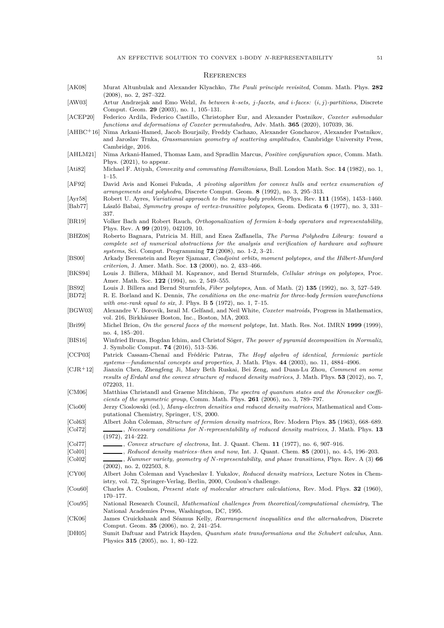#### <span id="page-52-19"></span>**REFERENCES**

- <span id="page-52-12"></span>[AK08] Murat Altunbulak and Alexander Klyachko, *The Pauli principle revisited*, Comm. Math. Phys. **282** (2008), no. 2, 287–322.
- <span id="page-52-27"></span>[AW03] Artur Andrzejak and Emo Welzl, *In between k-sets, j-facets, and i-faces:* (*i, j*)*-partitions*, Discrete Comput. Geom. **29** (2003), no. 1, 105–131.
- <span id="page-52-32"></span>[ACEP20] Federico Ardila, Federico Castillo, Christopher Eur, and Alexander Postnikov, *Coxeter submodular functions and deformations of Coxeter permutahedra*, Adv. Math. **365** (2020), 107039, 36.
- <span id="page-52-0"></span>[AHBC+16] Nima Arkani-Hamed, Jacob Bourjaily, Freddy Cachazo, Alexander Goncharov, Alexander Postnikov, and Jaroslav Trnka, *Grassmannian geometry of scattering amplitudes*, Cambridge University Press, Cambridge, 2016.
- <span id="page-52-1"></span>[AHLM21] Nima Arkani-Hamed, Thomas Lam, and Spradlin Marcus, *Positive configuration space*, Comm. Math. Phys. (2021), to appear.
- <span id="page-52-23"></span>[Ati82] Michael F. Atiyah, *Convexity and commuting Hamiltonians*, Bull. London Math. Soc. **14** (1982), no. 1, 1–15.
- <span id="page-52-25"></span>[AF92] David Avis and Komei Fukuda, *A pivoting algorithm for convex hulls and vertex enumeration of arrangements and polyhedra*, Discrete Comput. Geom. **8** (1992), no. 3, 295–313.
- <span id="page-52-16"></span>[Ayr58] Robert U. Ayres, *Variational approach to the many-body problem*, Phys. Rev. **111** (1958), 1453–1460.
- <span id="page-52-18"></span>[Bab77] László Babai, *Symmetry groups of vertex-transitive polytopes*, Geom. Dedicata **6** (1977), no. 3, 331– 337.
- <span id="page-52-22"></span>[BR19] Volker Bach and Robert Rauch, *Orthogonalization of fermion k-body operators and representability*, Phys. Rev. A **99** (2019), 042109, 10.
- <span id="page-52-26"></span>[BHZ08] Roberto Bagnara, Patricia M. Hill, and Enea Zaffanella, *The Parma Polyhedra Library: toward a complete set of numerical abstractions for the analysis and verification of hardware and software systems*, Sci. Comput. Programming **72** (2008), no. 1-2, 3–21.
- <span id="page-52-11"></span>[BS00] Arkady Berenstein and Reyer Sjamaar, *Coadjoint orbits, moment polytopes, and the Hilbert-Mumford criterion*, J. Amer. Math. Soc. **13** (2000), no. 2, 433–466.
- <span id="page-52-30"></span>[BKS94] Louis J. Billera, Mikhail M. Kapranov, and Bernd Sturmfels, *Cellular strings on polytopes*, Proc. Amer. Math. Soc. **122** (1994), no. 2, 549–555.
- <span id="page-52-28"></span>[BS92] Louis J. Billera and Bernd Sturmfels, *Fiber polytopes*, Ann. of Math. (2) **135** (1992), no. 3, 527–549.
- <span id="page-52-10"></span>[BD72] R. E. Borland and K. Dennis, *The conditions on the one-matrix for three-body fermion wavefunctions with one-rank equal to six*, J. Phys. B **5** (1972), no. 1, 7–15.
- <span id="page-52-29"></span>[BGW03] Alexandre V. Borovik, Israil M. Gelfand, and Neil White, *Coxeter matroids*, Progress in Mathematics, vol. 216, Birkhäuser Boston, Inc., Boston, MA, 2003.
- <span id="page-52-17"></span>[Bri99] Michel Brion, *On the general faces of the moment polytope*, Int. Math. Res. Not. IMRN **1999** (1999), no. 4, 185–201.
- <span id="page-52-24"></span>[BIS16] Winfried Bruns, Bogdan Ichim, and Christof Söger, *The power of pyramid decomposition in Normaliz*, J. Symbolic Comput. **74** (2016), 513–536.
- <span id="page-52-20"></span>[CCP03] Patrick Cassam-Chenaï and Frédéric Patras, *The Hopf algebra of identical, fermionic particle systems—fundamental concepts and properties*, J. Math. Phys. **44** (2003), no. 11, 4884–4906.
- <span id="page-52-8"></span>[CJR+12] Jianxin Chen, Zhengfeng Ji, Mary Beth Ruskai, Bei Zeng, and Duan-Lu Zhou, *Comment on some results of Erdahl and the convex structure of reduced density matrices*, J. Math. Phys. **53** (2012), no. 7, 072203, 11.
- <span id="page-52-15"></span>[CM06] Matthias Christandl and Graeme Mitchison, *The spectra of quantum states and the Kronecker coefficients of the symmetric group*, Comm. Math. Phys. **261** (2006), no. 3, 789–797.
- <span id="page-52-4"></span>[Cio00] Jerzy Cioslowski (ed.), *Many-electron densities and reduced density matrices*, Mathematical and Computational Chemistry, Springer, US, 2000.
- <span id="page-52-21"></span><span id="page-52-9"></span>[Col63] Albert John Coleman, *Structure of fermion density matrices*, Rev. Modern Phys. **35** (1963), 668–689. [Col72] , *Necessary conditions for N-representability of reduced density matrices*, J. Math. Phys. **13** (1972), 214–222.
- <span id="page-52-2"></span>[Col77] , *Convex structure of electrons*, Int. J. Quant. Chem. **11** (1977), no. 6, 907–916.
- <span id="page-52-5"></span>[Col01] , *Reduced density matrices–then and now*, Int. J. Quant. Chem. **85** (2001), no. 4-5, 196–203.
- <span id="page-52-13"></span>[Col02] , *Kummer variety, geometry of N-representability, and phase transitions*, Phys. Rev. A (3) **66** (2002), no. 2, 022503, 8.
- <span id="page-52-3"></span>[CY00] Albert John Coleman and Vyacheslav I. Yukalov, *Reduced density matrices*, Lecture Notes in Chemistry, vol. 72, Springer-Verlag, Berlin, 2000, Coulson's challenge.
- <span id="page-52-6"></span>[Cou60] Charles A. Coulson, *Present state of molecular structure calculations*, Rev. Mod. Phys. **32** (1960), 170–177.
- <span id="page-52-7"></span>[Cou95] National Research Council, *Mathematical challenges from theoretical/computational chemistry*, The National Academies Press, Washington, DC, 1995.
- <span id="page-52-31"></span>[CK06] James Cruickshank and Séamus Kelly, *Rearrangement inequalities and the alternahedron*, Discrete Comput. Geom. **35** (2006), no. 2, 241–254.
- <span id="page-52-14"></span>[DH05] Sumit Daftuar and Patrick Hayden, *Quantum state transformations and the Schubert calculus*, Ann. Physics **315** (2005), no. 1, 80–122.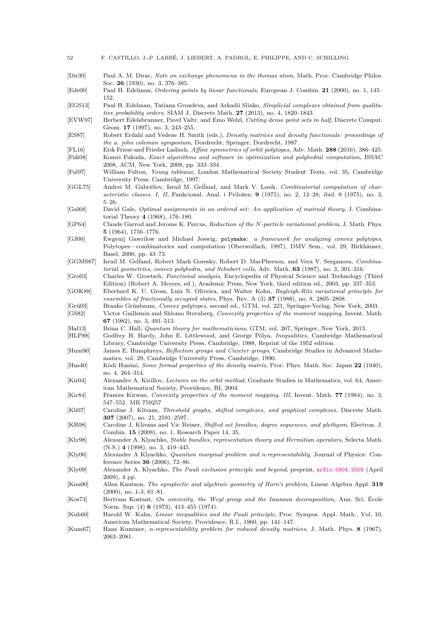<span id="page-53-31"></span><span id="page-53-30"></span><span id="page-53-29"></span><span id="page-53-28"></span><span id="page-53-27"></span><span id="page-53-26"></span><span id="page-53-25"></span><span id="page-53-24"></span><span id="page-53-23"></span><span id="page-53-22"></span><span id="page-53-21"></span><span id="page-53-20"></span><span id="page-53-19"></span><span id="page-53-18"></span><span id="page-53-17"></span><span id="page-53-16"></span><span id="page-53-15"></span><span id="page-53-14"></span><span id="page-53-13"></span><span id="page-53-12"></span><span id="page-53-11"></span><span id="page-53-10"></span><span id="page-53-9"></span><span id="page-53-8"></span><span id="page-53-7"></span><span id="page-53-6"></span><span id="page-53-5"></span><span id="page-53-4"></span><span id="page-53-3"></span><span id="page-53-2"></span><span id="page-53-1"></span><span id="page-53-0"></span>

| 52               | F. CASTILLO, J.-P. LABBÉ, J. LIEBERT, A. PADROL, E. PHILIPPE, AND C. SCHILLING                                                                                                                                                                                                   |
|------------------|----------------------------------------------------------------------------------------------------------------------------------------------------------------------------------------------------------------------------------------------------------------------------------|
| Dir30            | Paul A. M. Dirac, Note on exchange phenomena in the thomas atom, Math. Proc. Cambridge Philos.<br>Soc. 26 (1930), no. 3, 376-385.                                                                                                                                                |
| [Ede00]          | Paul H. Edelman, <i>Ordering points by linear functionals</i> , European J. Combin. 21 (2000), no. 1, 145–<br>152.                                                                                                                                                               |
| EGS13            | Paul H. Edelman, Tatiana Gvozdeva, and Arkadii Slinko, Simplicial complexes obtained from qualita-<br><i>tive probability orders</i> , SIAM J. Discrete Math. 27 (2013), no. 4, 1820–1843.                                                                                       |
| EVW97            | Herbert Edelsbrunner, Pavel Valtr, and Emo Welzl, Cutting dense point sets in half, Discrete Comput.<br>Geom. 17 (1997), no. 3, 243–255.                                                                                                                                         |
| [ES87]           | Robert Erdahl and Vedene H. Smith (eds.), <i>Density matrices and density functionals: proceedings of</i><br>the a. john coleman symposium, Dordrecht, Springer, Dordrecht, 1987.                                                                                                |
| [FL16]<br>Fuk08  | Erik Friese and Frieder Ladisch, Affine symmetries of orbit polytopes, Adv. Math. 288 (2016), 386-425.<br>Komei Fukuda, Exact algorithms and software in optimization and polyhedral computation, ISSAC<br>2008, ACM, New York, 2008, pp. 333–334.                               |
| $ {\rm Ful97} $  | William Fulton, Young tableaux, London Mathematical Society Student Texts, vol. 35, Cambridge<br>University Press, Cambridge, 1997.                                                                                                                                              |
| [GGL75]          | Andrei M. Gabrièlov, Israil M. Gelfand, and Mark V. Losik, Combinatorial computation of char-<br>acteristic classes. I, II, Funkcional. Anal. i Priložen. 9 (1975), no. 2, 12-28; ibid. 9 (1975), no. 3,<br>$5 - 26.$                                                            |
| [Ga168]          | David Gale, <i>Optimal assignments in an ordered set: An application of matroid theory</i> , J. Combina-<br>torial Theory 4 $(1968)$ , 176-180.                                                                                                                                  |
| [GP64]           | Claude Garrod and Jerome K. Percus, Reduction of the N-particle variational problem, J. Math. Phys.<br>$5(1964), 1756-1776.$                                                                                                                                                     |
| [GJ00]           | Ewgenij Gawrilow and Michael Joswig, polymake: a framework for analyzing convex polytopes,<br>Polytopes—combinatorics and computation (Oberwolfach, 1997), DMV Sem., vol. 29, Birkhäuser,<br>Basel, 2000, pp. 43–73.                                                             |
| [GGMS87]         | Israil M. Gelfand, Robert Mark Goresky, Robert D. MacPherson, and Vera V. Serganova, Combina-<br>torial geometries, convex polyhedra, and Schubert cells, Adv. Math. 63 (1987), no. 3, 301-316.                                                                                  |
| [Gro03]          | Charles W. Groetsch, <i>Functional analysis</i> , Encyclopedia of Physical Science and Technology (Third<br>Edition) (Robert A. Meyers, ed.), Academic Press, New York, third edition ed., 2003, pp. 337–353.                                                                    |
| GOK88            | Eberhard K. U. Gross, Luiz N. Oliveira, and Walter Kohn, Rayleigh-Ritz variational principle for<br>ensembles of fractionally occupied states, Phys. Rev. A $(3)$ 37 $(1988)$ , no. 8, 2805–2808.                                                                                |
| Grü03 <br> GS82  | Branko Grünbaum, Convex polytopes, second ed., GTM, vol. 221, Springer-Verlag, New York, 2003.<br>Victor Guillemin and Shlomo Sternberg, Convexity properties of the moment mapping, Invent. Math.<br>67 (1982), no. 3, 491-513.                                                 |
| Hal13<br>[HLP88] | Brian C. Hall, Quantum theory for mathematicians, GTM, vol. 267, Springer, New York, 2013.<br>Godfrey H. Hardy, John E. Littlewood, and George Pólya, Inequalities, Cambridge Mathematical<br>Library, Cambridge University Press, Cambridge, 1988, Reprint of the 1952 edition. |
| [Hum90]          | James E. Humphreys, <i>Reflection groups and Coxeter groups</i> , Cambridge Studies in Advanced Mathe-<br>matics, vol. 29, Cambridge University Press, Cambridge, 1990.                                                                                                          |
| [Hus40]          | Kôdi Husimi, Some formal properties of the density matrix, Proc. Phys. Math. Soc. Japan 22 (1940),<br>no. 4, 264-314.                                                                                                                                                            |
| $ $ Kir $04 $    | Alexandre A. Kirillov, <i>Lectures on the orbit method</i> , Graduate Studies in Mathematics, vol. 64, Amer-<br>ican Mathematical Society, Providence, RI, 2004.                                                                                                                 |
| [Kir84]          | Frances Kirwan, Convexity properties of the moment mapping. III, Invent. Math. 77 (1984), no. 3,<br>547–552. MR 759257                                                                                                                                                           |
| Kli07            | Caroline J. Klivans, Threshold graphs, shifted complexes, and graphical complexes, Discrete Math.<br><b>307</b> (2007), no. 21, 2591-2597.                                                                                                                                       |
| [KR08]           | Caroline J. Klivans and Vic Reiner, Shifted set families, degree sequences, and plethysm, Electron. J.<br>Combin. 15 (2008), no. 1, Research Paper 14, 35.                                                                                                                       |
| [Kly98]          | Alexander A. Klyachko, Stable bundles, representation theory and Hermitian operators, Selecta Math.<br>$(N.S.) 4 (1998), no. 3, 419-445.$                                                                                                                                        |
| [Kly06]          | Alexander A Klyachko, Quantum marginal problem and n-representability, Journal of Physics: Con-<br>ference Series $36$ (2006), 72-86.                                                                                                                                            |
| [Kly09]          | Alexander A. Klyachko, <i>The Pauli exclusion principle and beyond</i> , preprint, arXiv:0904.2009 (April<br>$(2009), 4 \text{ pp}.$                                                                                                                                             |
| [Knu00]          | Allen Knutson, The symplectic and algebraic geometry of Horn's problem, Linear Algebra Appl. 319<br>$(2000)$ , no. 1-3, 61-81.                                                                                                                                                   |
| Kos73            | Bertram Kostant, On convexity, the Weyl group and the Iwasawa decomposition, Ann. Sci. Ecole<br>Norm. Sup. (4) 6 (1973), 413-455 (1974).                                                                                                                                         |
| Kuh60            | Harold W. Kuhn, <i>Linear inequalities and the Pauli principle</i> , Proc. Sympos. Appl. Math., Vol. 10,<br>American Mathematical Society, Providence, R.I., 1960, pp. 141–147.                                                                                                  |
| [Kum67]          | Hans Kummer, <i>n-representability problem for reduced density matrices</i> , J. Math. Phys. 8 (1967),<br>$2063 - 2081.$                                                                                                                                                         |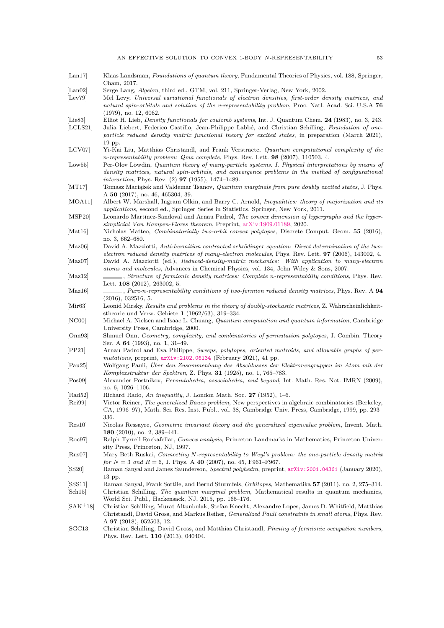<span id="page-54-30"></span><span id="page-54-29"></span><span id="page-54-28"></span><span id="page-54-27"></span><span id="page-54-26"></span><span id="page-54-25"></span><span id="page-54-24"></span><span id="page-54-23"></span><span id="page-54-22"></span><span id="page-54-21"></span><span id="page-54-20"></span><span id="page-54-19"></span><span id="page-54-18"></span><span id="page-54-17"></span><span id="page-54-16"></span><span id="page-54-15"></span><span id="page-54-14"></span><span id="page-54-13"></span><span id="page-54-12"></span><span id="page-54-11"></span><span id="page-54-10"></span><span id="page-54-9"></span><span id="page-54-8"></span><span id="page-54-7"></span><span id="page-54-6"></span><span id="page-54-5"></span><span id="page-54-4"></span><span id="page-54-3"></span><span id="page-54-2"></span><span id="page-54-1"></span><span id="page-54-0"></span>[Lan17] Klaas Landsman, *Foundations of quantum theory*, Fundamental Theories of Physics, vol. 188, Springer, Cham, 2017. [Lan02] Serge Lang, *Algebra*, third ed., GTM, vol. 211, Springer-Verlag, New York, 2002. [Lev79] Mel Levy, *Universal variational functionals of electron densities, first-order density matrices, and natural spin-orbitals and solution of the v-representability problem*, Proc. Natl. Acad. Sci. U.S.A **76** (1979), no. 12, 6062. [Lie83] Elliot H. Lieb, *Density functionals for coulomb systems*, Int. J. Quantum Chem. **24** (1983), no. 3, 243. [LCLS21] Julia Liebert, Federico Castillo, Jean-Philippe Labbé, and Christian Schilling, *Foundation of oneparticle reduced density matrix functional theory for excited states*, in preparation (March 2021), 19 pp. [LCV07] Yi-Kai Liu, Matthias Christandl, and Frank Verstraete, *Quantum computational complexity of the n-representability problem: Qma complete*, Phys. Rev. Lett. **98** (2007), 110503, 4. [Löw55] Per-Olov Löwdin, *Quantum theory of many-particle systems. I. Physical interpretations by means of density matrices, natural spin-orbitals, and convergence problems in the method of configurational interaction*, Phys. Rev. (2) **97** (1955), 1474–1489. [MT17] Tomasz Maciążek and Valdemar Tsanov, *Quantum marginals from pure doubly excited states*, J. Phys. A **50** (2017), no. 46, 465304, 39. [MOA11] Albert W. Marshall, Ingram Olkin, and Barry C. Arnold, *Inequalities: theory of majorization and its applications*, second ed., Springer Series in Statistics, Springer, New York, 2011. [MSP20] Leonardo Martínez-Sandoval and Arnau Padrol, *The convex dimension of hypergraphs and the hypersimplicial Van Kampen-Flores theorem*, Preprint, [arXiv:1909.01189,](http://arxiv.org/abs/1909.01189) 2020. [Mat16] Nicholas Matteo, *Combinatorially two-orbit convex polytopes*, Discrete Comput. Geom. **55** (2016), no. 3, 662–680. [Maz06] David A. Mazziotti, *Anti-hermitian contracted schrödinger equation: Direct determination of the twoelectron reduced density matrices of many-electron molecules*, Phys. Rev. Lett. **97** (2006), 143002, 4. [Maz07] David A. Mazziotti (ed.), *Reduced-density-matrix mechanics: With application to many-electron atoms and molecules*, Advances in Chemical Physics, vol. 134, John Wiley & Sons, 2007. [Maz12] , *Structure of fermionic density matrices: Complete n-representability conditions*, Phys. Rev. Lett. **108** (2012), 263002, 5. [Maz16] , *Pure-n-representability conditions of two-fermion reduced density matrices*, Phys. Rev. A **94** (2016), 032516, 5. [Mir63] Leonid Mirsky, *Results and problems in the theory of doubly-stochastic matrices*, Z. Wahrscheinlichkeitstheorie und Verw. Gebiete **1** (1962/63), 319–334. [NC00] Michael A. Nielsen and Isaac L. Chuang, *Quantum computation and quantum information*, Cambridge University Press, Cambridge, 2000. [Onn93] Shmuel Onn, *Geometry, complexity, and combinatorics of permutation polytopes*, J. Combin. Theory Ser. A **64** (1993), no. 1, 31–49. [PP21] Arnau Padrol and Eva Philippe, *Sweeps, polytopes, oriented matroids, and allowable graphs of permutations*, preprint, [arXiv:2102.06134](http://arxiv.org/abs/2102.06134) (February 2021), 41 pp. [Pau25] Wolfgang Pauli, *Über den Zusammenhang des Abschlusses der Elektronengruppen im Atom mit der Komplexstruktur der Spektren*, Z. Phys. **31** (1925), no. 1, 765–783. [Pos09] Alexander Postnikov, *Permutohedra, associahedra, and beyond*, Int. Math. Res. Not. IMRN (2009), no. 6, 1026–1106. [Rad52] Richard Rado, *An inequality*, J. London Math. Soc. **27** (1952), 1–6. [Rei99] Victor Reiner, *The generalized Baues problem*, New perspectives in algebraic combinatorics (Berkeley, CA, 1996–97), Math. Sci. Res. Inst. Publ., vol. 38, Cambridge Univ. Press, Cambridge, 1999, pp. 293– 336. [Res10] Nicolas Ressayre, *Geometric invariant theory and the generalized eigenvalue problem*, Invent. Math. **180** (2010), no. 2, 389–441. [Roc97] Ralph Tyrrell Rockafellar, *Convex analysis*, Princeton Landmarks in Mathematics, Princeton University Press, Princeton, NJ, 1997. [Rus07] Mary Beth Ruskai, *Connecting N-representability to Weyl's problem: the one-particle density matrix for*  $N = 3$  *and*  $R = 6$ , J. Phys. A **40** (2007), no. 45, F961–F967. [SS20] Raman Sanyal and James Saunderson, *Spectral polyhedra*, preprint, [arXiv:2001.04361](http://arxiv.org/abs/2001.04361) (January 2020), 13 pp. [SSS11] Raman Sanyal, Frank Sottile, and Bernd Sturmfels, *Orbitopes*, Mathematika **57** (2011), no. 2, 275–314. [Sch15] Christian Schilling, *The quantum marginal problem*, Mathematical results in quantum mechanics, World Sci. Publ., Hackensack, NJ, 2015, pp. 165–176. [SAK+18] Christian Schilling, Murat Altunbulak, Stefan Knecht, Alexandre Lopes, James D. Whitfield, Matthias Christandl, David Gross, and Markus Reiher, *Generalized Pauli constraints in small atoms*, Phys. Rev. A **97** (2018), 052503, 12. [SGC13] Christian Schilling, David Gross, and Matthias Christandl, *Pinning of fermionic occupation numbers*, Phys. Rev. Lett. **110** (2013), 040404.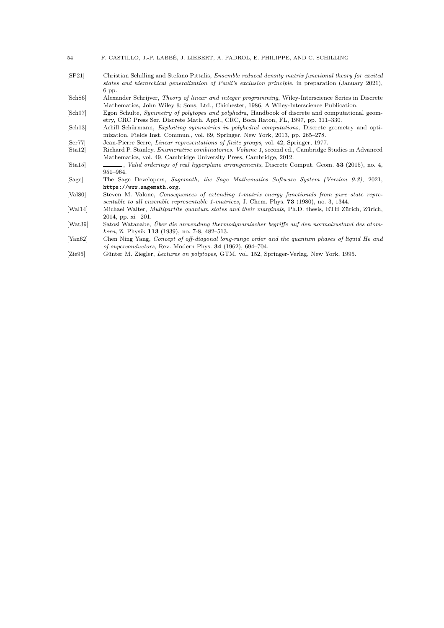| 54 |  |  |  |  |  |  |  |  |  |  |  | F. CASTILLO, J.-P. LABBÉ, J. LIEBERT, A. PADROL, E. PHILIPPE, AND C. SCHILLING |
|----|--|--|--|--|--|--|--|--|--|--|--|--------------------------------------------------------------------------------|
|----|--|--|--|--|--|--|--|--|--|--|--|--------------------------------------------------------------------------------|

<span id="page-55-2"></span>[SP21] Christian Schilling and Stefano Pittalis, *Ensemble reduced density matrix functional theory for excited states and hierarchical generalization of Pauli's exclusion principle*, in preparation (January 2021), 6 pp.

<span id="page-55-9"></span>[Sch86] Alexander Schrijver, *Theory of linear and integer programming*, Wiley-Interscience Series in Discrete Mathematics, John Wiley & Sons, Ltd., Chichester, 1986, A Wiley-Interscience Publication.

<span id="page-55-4"></span>[Sch97] Egon Schulte, *Symmetry of polytopes and polyhedra*, Handbook of discrete and computational geometry, CRC Press Ser. Discrete Math. Appl., CRC, Boca Raton, FL, 1997, pp. 311–330.

- <span id="page-55-12"></span>[Sch13] Achill Schürmann, *Exploiting symmetries in polyhedral computations*, Discrete geometry and optimization, Fields Inst. Commun., vol. 69, Springer, New York, 2013, pp. 265–278.
- <span id="page-55-8"></span>[Ser77] Jean-Pierre Serre, *Linear representations of finite groups*, vol. 42, Springer, 1977.
- <span id="page-55-11"></span>[Sta12] Richard P. Stanley, *Enumerative combinatorics. Volume 1*, second ed., Cambridge Studies in Advanced Mathematics, vol. 49, Cambridge University Press, Cambridge, 2012.
- <span id="page-55-10"></span>[Sta15] , *Valid orderings of real hyperplane arrangements*, Discrete Comput. Geom. **53** (2015), no. 4, 951–964.
- <span id="page-55-3"></span>[Sage] The Sage Developers, *Sagemath, the Sage Mathematics Software System (Version 9.3)*, 2021, https://www.sagemath.org.
- <span id="page-55-7"></span>[Val80] Steven M. Valone, *Consequences of extending 1-matrix energy functionals from pure–state representable to all ensemble representable 1-matrices*, J. Chem. Phys. **73** (1980), no. 3, 1344.
- <span id="page-55-1"></span>[Wal14] Michael Walter, *Multipartite quantum states and their marginals*, Ph.D. thesis, ETH Zürich, Zürich, 2014, pp. xi+201.
- <span id="page-55-0"></span>[Wat39] Satosi Watanabe, *Über die anwendung thermodynamischer begriffe auf den normalzustand des atomkern*, Z. Physik **113** (1939), no. 7-8, 482–513.
- <span id="page-55-6"></span>[Yan62] Chen Ning Yang, *Concept of off-diagonal long-range order and the quantum phases of liquid He and of superconductors*, Rev. Modern Phys. **34** (1962), 694–704.
- <span id="page-55-5"></span>[Zie95] Günter M. Ziegler, *Lectures on polytopes*, GTM, vol. 152, Springer-Verlag, New York, 1995.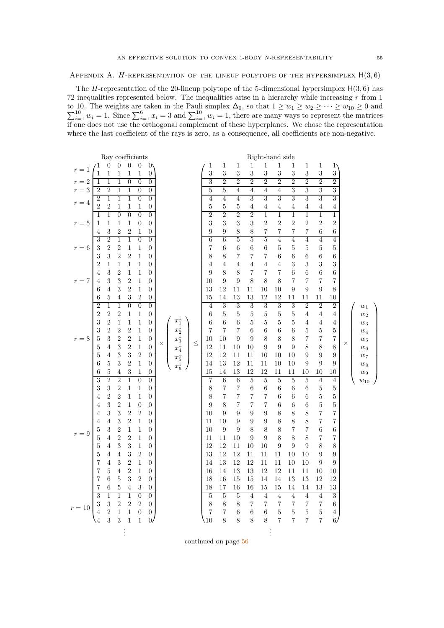<span id="page-56-0"></span>APPENDIX A. *H*-REPRESENTATION OF THE LINEUP POLYTOPE OF THE HYPERSIMPLEX  $H(3, 6)$ 

The *H*-representation of the 20-lineup polytope of the 5-dimensional hypersimplex H(3*,* 6) has 72 inequalities represented below. The inequalities arise in a hierarchy while increasing *r* from 1  $\sum$ to 10. The weights are taken in the Pauli simplex  $\Delta_9$ , so that  $1 \ge w_1 \ge w_2 \ge \cdots \ge w_{10} \ge 0$  and  $\sum_{i=1}^{10} w_i = 1$ . Since  $\sum_{i=1}^{6} x_i = 3$  and  $\sum_{i=1}^{10} w_i = 1$ , there are many ways to represent the matrices if one does not use the orthogonal complement of these hyperplanes. We chose the representation where the last coefficient of the rays is zero, as a consequence, all coefficients are non-negative.

|         |                              |                              |                                |                                | Ray coefficients                 |                                    |                                                                            |        |                     |                |                        |                | Right-hand side |                           |                     |                     |                                    |                  |          |          |  |
|---------|------------------------------|------------------------------|--------------------------------|--------------------------------|----------------------------------|------------------------------------|----------------------------------------------------------------------------|--------|---------------------|----------------|------------------------|----------------|-----------------|---------------------------|---------------------|---------------------|------------------------------------|------------------|----------|----------|--|
| $r=1$   |                              | 0                            | $\theta$                       | $\overline{0}$                 | $\theta$                         | $\mathbf{0}$                       |                                                                            |        | 1                   | 1              | $\mathbf{1}$           | $\mathbf{1}$   | $\mathbf{1}$    | $\mathbf{1}$              | 1                   | 1                   | 1                                  | $1^{\circ}$      |          |          |  |
|         | 1                            | 1                            | 1                              | 1                              | 1                                | 0                                  |                                                                            |        | 3                   | $\sqrt{3}$     | 3                      | 3              | 3               | 3                         | 3                   | 3                   | $\sqrt{3}$                         | 3                |          |          |  |
| $r=2$   | 1                            | $\overline{1}$               | $\overline{1}$                 | $\overline{0}$                 | $\overline{0}$                   | $\overline{0}$                     |                                                                            |        | $\overline{3}$      | $\overline{2}$ | $\overline{2}$         | $\overline{2}$ | $\overline{2}$  | $\overline{2}$            | $\overline{2}$      | $\overline{2}$      | $\overline{2}$                     | $\overline{2}$   |          |          |  |
| $r=3$   | $\overline{2}$               | $\overline{2}$               | $\mathbf 1$                    | $\mathbf{1}$                   | $\boldsymbol{0}$                 | $\boldsymbol{0}$                   |                                                                            |        | 5                   | 5              | 4                      | $\overline{4}$ | $\overline{4}$  | 4                         | $\overline{3}$      | 3                   | 3                                  | $\overline{3}$   |          |          |  |
| $r=4$   | $\overline{2}$               | $\mathbf{1}$                 | $\overline{1}$                 | $\mathbf{1}$                   | $\overline{0}$                   | $\overline{0}$                     |                                                                            |        | $\overline{4}$      | $\overline{4}$ | $\overline{4}$         | 3              | 3               | 3                         | 3                   | 3                   | 3                                  | $\overline{3}$   |          |          |  |
|         | $\boldsymbol{2}$             | $\sqrt{2}$                   | $\mathbf 1$                    | $\mathbf 1$                    | 1                                | $\boldsymbol{0}$                   |                                                                            |        | $\bf 5$             | 5              | $\bf 5$                | 4              | 4               | 4                         | 4                   | 4                   | $\overline{4}$                     | 4                |          |          |  |
|         | $\mathbf{1}$                 | $\mathbf{1}$                 | $\overline{0}$                 | $\overline{0}$                 | $\boldsymbol{0}$                 | $\overline{0}$                     |                                                                            |        | $\overline{2}$      | $\overline{2}$ | $\overline{2}$         | $\overline{2}$ | $\overline{1}$  | $\overline{1}$            | $\overline{1}$      | $\,1$               | $\,1$                              | $\mathbf{1}$     |          |          |  |
| $r=5$   | 1                            | $\mathbf{1}$                 | $\mathbf{1}$                   | $\mathbf{1}$                   | $\boldsymbol{0}$                 | $\overline{0}$                     |                                                                            |        | 3                   | 3              | 3                      | $\sqrt{3}$     | $\overline{2}$  | $\sqrt{2}$                | $\overline{2}$      | $\overline{2}$      | $\boldsymbol{2}$                   | $\overline{2}$   |          |          |  |
|         | 4                            | 3                            | $\sqrt{2}$                     | 2                              | 1                                | $\boldsymbol{0}$                   |                                                                            |        | 9                   | 9              | 8                      | 8              | 7               | 7                         | 7                   | 7                   | 6                                  | 6                |          |          |  |
|         | $\overline{3}$               | $\overline{2}$               | $\overline{1}$                 | $\overline{1}$                 | $\overline{0}$                   | $\overline{0}$                     |                                                                            |        | $\overline{6}$      | $\overline{6}$ | 5                      | $\overline{5}$ | $\overline{5}$  | $\overline{4}$            | $\overline{4}$      | $\overline{4}$      | $\overline{4}$                     | $\overline{4}$   |          |          |  |
| $r=6$   | 3                            | $\overline{2}$               | $\overline{2}$                 | $\,1$                          | $\mathbf 1$                      | $\boldsymbol{0}$                   |                                                                            |        | $\overline{7}$      | $\,6$          | $\,6$                  | 6              | $\,6\,$         | $\bf 5$                   | $\bf 5$             | $\bf 5$             | $\bf 5$                            | $\rm 5$          |          |          |  |
|         | 3                            | $\sqrt{3}$                   | $\,2$                          | $\sqrt{2}$                     | 1                                | 0                                  |                                                                            |        | 8                   | 8              | 7                      | 7              | 7               | 6                         | 6                   | 6                   | 6                                  | 6                |          |          |  |
|         | $\overline{2}$               | $\overline{1}$<br>$\sqrt{3}$ | $\overline{1}$                 | $\overline{1}$                 | $\overline{1}$                   | $\overline{0}$                     |                                                                            |        | $\overline{4}$      | $\overline{4}$ | $\overline{4}$         | $\overline{4}$ | $\overline{4}$  | $\overline{4}$            | 3                   | 3                   | 3                                  | 3                |          |          |  |
|         | 4                            | 3                            | $\boldsymbol{2}$<br>$\sqrt{3}$ | $\mathbf{1}$<br>$\sqrt{2}$     | 1                                | $\overline{0}$                     |                                                                            |        | 9                   | 8              | 8                      | $\overline{7}$ | 7               | 7<br>$8\,$                | 6                   | 6                   | 6                                  | 6                |          |          |  |
| $r=7\,$ | 4                            | $\,4\,$                      | 3                              | $\overline{2}$                 | $\mathbf 1$<br>$\mathbf{1}$      | $\boldsymbol{0}$<br>$\overline{0}$ |                                                                            |        | 10                  | 9<br>12        | $\boldsymbol{9}$<br>11 | $8\,$<br>11    | 8<br>10         | 10                        | 7<br>9              | $\overline{7}$<br>9 | $\overline{7}$<br>$\boldsymbol{9}$ | 7<br>8           |          |          |  |
|         | 6<br>6                       | 5                            | 4                              | 3                              | 2                                | $\boldsymbol{0}$                   |                                                                            |        | 13<br>15            | 14             | 13                     | 13             | 12              | 12                        | 11                  | 11                  | 11                                 | $^{10}$          |          |          |  |
|         | $\overline{2}$               | $\overline{1}$               | $\overline{1}$                 | $\overline{0}$                 | $\overline{0}$                   | $\overline{0}$                     |                                                                            |        | $\overline{4}$      | 3              | $\overline{3}$         | $\overline{3}$ | 3               | 3                         | $\overline{3}$      | $\overline{2}$      | $\overline{2}$                     | $\overline{2}$   |          | $w_1$    |  |
|         | $\overline{2}$               | $\sqrt{2}$                   | $\overline{2}$                 | $\mathbf{1}$                   | 1                                | 0                                  |                                                                            |        | 6                   | 5              | 5                      | 5              | 5               | $\bf 5$                   | 5                   | 4                   | $\overline{4}$                     | 4                |          | $w_2$    |  |
|         | 3                            | $\overline{2}$               | $\mathbf{1}$                   | $\mathbf{1}$                   | 1                                | $\boldsymbol{0}$                   |                                                                            |        | 6                   | 6              | $\,6$                  | 5              | 5               | $\bf 5$                   | 5                   | 4                   | $\overline{4}$                     | 4                |          | $w_3$    |  |
|         | 3                            | $\overline{2}$               | $\sqrt{2}$                     | $\overline{2}$                 | $\mathbf 1$                      | $\boldsymbol{0}$                   |                                                                            |        | $\overline{7}$      | 7              | $\overline{7}$         | $\,6$          | 6               | $\,6$                     | 6                   | 5                   | $\bf 5$                            | $\bf 5$          |          | $w_4$    |  |
| $r = 8$ | 5                            | 3                            | $\overline{2}$                 | $\sqrt{2}$                     | 1                                | $\boldsymbol{0}$                   |                                                                            |        | 10                  | 10             | 9                      | 9              | 8               | 8                         | 8                   | 7                   | 7                                  | $\sqrt{ }$       |          | $w_5$    |  |
|         | 5                            | $\,4\,$                      | 3                              | $\overline{2}$                 | $\mathbf{1}$                     | $\boldsymbol{0}$                   | $x_1^*$<br>$x_2^+$<br>$x_3^+$<br>$x_4^+$<br>$x_5^+$<br>$x_6^+$<br>$\times$ | $\leq$ | 12                  | 11             | 10                     | 10             | 9               | 9                         | 9                   | 8                   | 8                                  | $8\,$            | $\times$ | $w_6$    |  |
|         | $\overline{5}$               | 4                            | $\sqrt{3}$                     | $\sqrt{3}$                     | $\overline{2}$                   | $\theta$                           |                                                                            |        | 12                  | 12             | 11                     | 11             | 10              | 10                        | 10                  | 9                   | 9                                  | 9                |          | $w_7$    |  |
|         | 6                            | 5                            | 3                              | $\sqrt{2}$                     | 1                                | $\boldsymbol{0}$                   |                                                                            |        | 14                  | 13             | 12                     | 11             | 11              | 10                        | 10                  | 9                   | 9                                  | 9                |          | $w_8$    |  |
|         | 6                            | 5                            | 4                              | 3                              | $\mathbf 1$                      | 0                                  |                                                                            |        | 15                  | 14             | 13                     | 12             | 12              | 11                        | 11                  | 10                  | 10                                 | 10               |          | $w_9$    |  |
|         | 3                            | $\overline{2}$               | $\overline{2}$                 | $\mathbf 1$                    | $\overline{0}$                   | $\overline{0}$                     |                                                                            |        | 7                   | 6              | $\overline{6}$         | $\overline{5}$ | $\overline{5}$  | $\overline{5}$            | $\overline{5}$      | 5                   | $\overline{4}$                     | 4                |          | $w_{10}$ |  |
|         | 3                            | 3                            | $\sqrt{2}$                     | $\mathbf 1$                    | $\mathbf 1$                      | $\overline{0}$                     |                                                                            |        | $8\,$               | 7              | $\overline{7}$         | 6              | 6               | $\,6$                     | 6                   | 6                   | $\bf 5$                            | $\bf 5$          |          |          |  |
|         | 4                            | $\sqrt{2}$                   | $\overline{2}$                 | $\mathbf{1}$                   | 1                                | $\overline{0}$                     |                                                                            |        | 8                   | 7              | 7                      | 7              | 7               | 6                         | 6                   | 6                   | $\bf 5$                            | $\overline{5}$   |          |          |  |
|         | 4                            | $\sqrt{3}$                   | $\mathbf{2}$                   | $\mathbf 1$                    | $\overline{0}$                   | $\boldsymbol{0}$                   |                                                                            |        | 9                   | 8              | 7                      | 7              | 7               | 6                         | 6                   | 6                   | $\bf 5$                            | $\bf 5$          |          |          |  |
|         | 4                            | 3                            | $\sqrt{3}$                     | $\boldsymbol{2}$               | $\sqrt{2}$                       | $\overline{0}$                     |                                                                            |        | 10                  | 9              | $\boldsymbol{9}$       | 9              | 9               | $8\,$                     | 8                   | 8                   | 7                                  | $\sqrt{ }$       |          |          |  |
|         | $\overline{4}$               | $\,4\,$                      | 3                              | $\boldsymbol{2}$               | $\mathbf 1$                      | $\boldsymbol{0}$                   |                                                                            |        | 11                  | 10             | 9                      | 9              | 9               | 8                         | 8                   | 8                   | 7                                  | 7                |          |          |  |
| $r = 9$ | $\overline{5}$               | 3                            | $\overline{2}$                 | $\mathbf{1}$                   | $\mathbf{1}$                     | $\overline{0}$                     |                                                                            |        | 10                  | 9              | 9                      | 8              | 8               | $8\,$                     | 7                   | 7                   | $\,6$                              | 6                |          |          |  |
|         | $\overline{5}$               | $\,4\,$                      | $\overline{2}$                 | $\overline{2}$                 | 1                                | $\boldsymbol{0}$                   |                                                                            |        | 11                  | 11             | 10                     | 9              | 9               | 8                         | 8                   | 8                   | 7                                  | 7                |          |          |  |
|         | $\overline{5}$               | $\overline{4}$               | $\sqrt{3}$                     | $\sqrt{3}$                     | 1                                | 0                                  |                                                                            |        | 12                  | 12             | 11                     | 10             | 10              | 9                         | 9                   | 9                   | 8                                  | 8                |          |          |  |
|         | $\overline{5}$               | 4                            | $\overline{4}$                 | $\sqrt{3}$                     | $\sqrt{2}$                       | $\overline{0}$                     |                                                                            |        | 13                  | 12             | 12                     | 11             | 11              | 11                        | 10                  | 10                  | 9                                  | $\boldsymbol{9}$ |          |          |  |
|         | $\overline{7}$               | 4                            | $\sqrt{3}$                     | $\sqrt{2}$                     | 1                                | $\boldsymbol{0}$                   |                                                                            |        | 14                  | 13             | 12                     | 12             | 11              | 11                        | 10                  | 10                  | 9                                  | 9                |          |          |  |
|         | $\overline{7}$               | 5                            | $\overline{4}$                 | $\boldsymbol{2}$               | $\mathbf 1$                      | $\theta$                           |                                                                            |        | 16                  | 14             | 13                     | 13             | 12              | 12                        | 11                  | 11                  | 10                                 | 10               |          |          |  |
|         | 7                            | 6                            | 5                              | 3                              | $\boldsymbol{2}$                 | $\overline{0}$                     |                                                                            |        | 18                  | 16             | 15                     | 15             | 14              | 14                        | 13                  | 13                  | 12                                 | 12               |          |          |  |
|         | 7                            | 6                            | $\sqrt{5}$                     | 4                              | 3                                | 0                                  |                                                                            |        | 18                  | 17             | 16                     | 16             | 15              | 15                        | 14                  | 14                  | 13                                 | 13               |          |          |  |
|         | $\overline{3}$               | $\,1$                        | $\overline{1}$                 | $\mathbf 1$                    | $\boldsymbol{0}$                 | $\boldsymbol{0}$                   |                                                                            |        | $\overline{5}$      | $\bf 5$        | $\bf 5$                | $\overline{4}$ | $\overline{4}$  | $\overline{4}$            | $\overline{4}$      | $\overline{4}$      | $\sqrt{4}$                         | $\boldsymbol{3}$ |          |          |  |
| $r=10$  | $\sqrt{3}$<br>$\overline{4}$ | $\sqrt{3}$<br>$\overline{2}$ | $\sqrt{2}$<br>$\mathbf{1}$     | $\overline{2}$<br>$\mathbf{1}$ | $\sqrt{2}$                       | $\boldsymbol{0}$                   |                                                                            |        | 8<br>$\overline{7}$ | 8<br>7         | 8                      | 7              | 7               | $\overline{7}$<br>$\bf 5$ | 7                   | 7<br>$\overline{5}$ | 7                                  | 6                |          |          |  |
|         | $\overline{4}$               | 3                            | 3                              | $\mathbf{1}$                   | $\boldsymbol{0}$<br>$\mathbf{1}$ | $\boldsymbol{0}$<br>$\overline{0}$ |                                                                            |        | 10                  | 8              | $\,6$<br>8             | $\,6$<br>$8\,$ | $\,6$<br>8      | 7                         | 5<br>$\overline{7}$ | 7                   | $\bf 5$<br>7                       | 4<br>6/          |          |          |  |
|         |                              |                              |                                |                                |                                  |                                    |                                                                            |        |                     |                |                        |                |                 |                           |                     |                     |                                    |                  |          |          |  |
|         |                              |                              |                                |                                |                                  |                                    |                                                                            |        |                     |                |                        |                |                 |                           |                     |                     |                                    |                  |          |          |  |

continued on page [56](#page-56-0)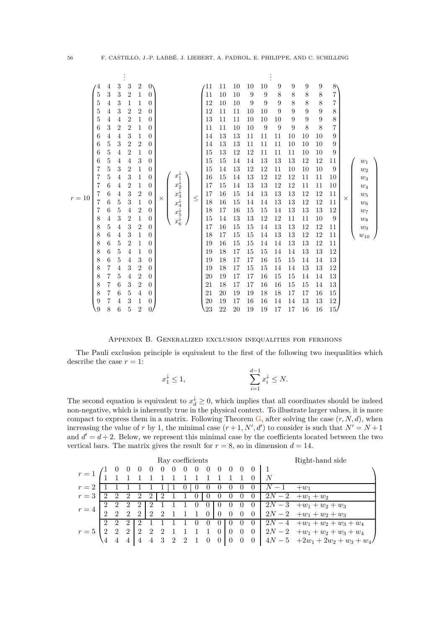|        | $\overline{4}$ | 4      | 3                            | 3                   | 2                         | $\mathbf{0}$                 |                                                                |        | ′11      | 11       | 10       | 10       | 10               | 9        | 9                | 9                | 9                | $8^{\circ}$ |          |                  |  |
|--------|----------------|--------|------------------------------|---------------------|---------------------------|------------------------------|----------------------------------------------------------------|--------|----------|----------|----------|----------|------------------|----------|------------------|------------------|------------------|-------------|----------|------------------|--|
|        | 5              | 3      | $\sqrt{3}$                   | $\overline{2}$      | $\mathbf 1$               | $\overline{0}$               |                                                                |        | 11       | 10       | 10       | 9        | $\boldsymbol{9}$ | 8        | $8\,$            | 8                | 8                | 7           |          |                  |  |
|        | 5              | 4      | 3                            | 1                   | $\mathbf 1$               | $\overline{0}$               |                                                                |        | 12       | 10       | 10       | 9        | 9                | 9        | 8                | 8                | $8\,$            | 7           |          |                  |  |
|        | 5              | 4      | $\sqrt{3}$                   | $\overline{2}$      | $\sqrt{2}$                | $\boldsymbol{0}$             |                                                                |        | 12       | 11       | 11       | 10       | 10               | 9        | $\boldsymbol{9}$ | $\boldsymbol{9}$ | $\boldsymbol{9}$ | 8           |          |                  |  |
|        | 5              | 4      | 4                            | $\overline{2}$      | $\mathbf 1$               | $\overline{0}$               |                                                                |        | 13       | 11       | 11       | 10       | 10               | 10       | 9                | 9                | $\boldsymbol{9}$ | 8           |          |                  |  |
|        | 6              | 3      | 2                            | $\overline{2}$      | $\mathbf 1$               | $\overline{0}$               |                                                                |        | 11       | 11       | 10       | 10       | 9                | 9        | 9                | 8                | 8                | 7           |          |                  |  |
|        | 6              | 4      | $\overline{4}$               | 3                   | $\mathbf{1}$              | $\overline{0}$               |                                                                |        | 14       | 13       | 13       | 11       | 11               | 11       | 10               | 10               | 10               | 9           |          |                  |  |
|        | 6              | 5      | 3                            | $\overline{2}$      | $\overline{2}$            | $\theta$                     |                                                                |        | 14       | 13       | 13       | 11       | 11               | 11       | 10               | 10               | 10               | 9           |          |                  |  |
|        | 6              | 5      | $\overline{4}$               | $\overline{2}$      | $\mathbf{1}$              | $\boldsymbol{0}$             |                                                                |        | 15       | 13       | 12       | 12       | 11               | 11       | 11               | 10               | 10               | 9           |          |                  |  |
|        | 6              | 5      | 4                            | $\overline{4}$      | 3                         | $\overline{0}$               |                                                                |        | 15       | 15       | 14       | 14       | 13               | 13       | 13               | 12               | 12               | 11          |          | $w_1$            |  |
|        | 7              | 5      | 3                            | $\overline{2}$      | $\mathbf 1$               | $\theta$                     |                                                                |        | 15       | 14       | 13       | 12       | 12               | $11\,$   | 10               | 10               | 10               | 9           |          | $w_2$            |  |
|        | 7              | 5      | $\overline{4}$               | $\sqrt{3}$          | $\mathbf{1}$              | $\overline{0}$               | $x_1^*$<br>$x_2^+$<br>$x_3^+$<br>$x_4^+$<br>$x_5^+$<br>$x_6^+$ |        | 16       | 15       | 14       | $13\,$   | 12               | 12       | 12               | 11               | 11               | $10\,$      |          | $w_3$            |  |
|        | 7              | 6      | $\overline{4}$               | $\overline{2}$      | 1                         | $\boldsymbol{0}$             |                                                                |        | 17       | 15       | 14       | 13       | 13               | 12       | 12               | 11               | 11               | 10          |          | $\mathfrak{w}_4$ |  |
| $r=10$ | 7              | 6      | $\overline{4}$               | $\sqrt{3}$          | $\sqrt{2}$                | $\theta$                     | $\times$                                                       | $\leq$ | 17       | 16       | 15       | 14       | 13               | 13       | 13               | 12               | 12               | 11          | $\times$ | $w_5$            |  |
|        |                | 6      | $\bf 5$                      | $\boldsymbol{3}$    | $\mathbf{1}$              | $\theta$                     |                                                                |        | 18       | 16       | 15       | 14       | 14               | 13       | 13               | 12               | 12               | 11          |          | $w_6$            |  |
|        | 7              | 6      | $\bf 5$                      | 4                   | $\sqrt{2}$                | $\theta$                     |                                                                |        | 18       | 17       | 16       | 15       | 15               | 14       | 13               | 13               | 13               | 12          |          | $w_7$            |  |
|        | 8<br>8         | 4<br>5 | $\sqrt{3}$<br>$\overline{4}$ | $\overline{2}$<br>3 | $\mathbf 1$<br>$\sqrt{2}$ | $\boldsymbol{0}$<br>$\theta$ |                                                                |        | 15<br>17 | 14<br>16 | 13<br>15 | 13<br>15 | 12<br>14         | 12<br>13 | 11<br>13         | 11<br>12         | 10<br>12         | 9<br>11     |          | $w_8$            |  |
|        | 8              | 6      | $\overline{4}$               | 3                   | $\mathbf 1$               | $\boldsymbol{0}$             |                                                                |        | 18       | 17       | 15       | 15       | 14               | 13       | $13\,$           | 12               | 12               | 11          |          | $w_9$            |  |
|        | 8              | 6      | $\bf 5$                      | $\overline{2}$      | $\mathbf 1$               | $\boldsymbol{0}$             |                                                                |        | 19       | 16       | 15       | 15       | 14               | 14       | 13               | 13               | 12               | 11          |          | $w_{10}$         |  |
|        | 8              | 6      | $\bf 5$                      | 4                   | $\mathbf{1}$              | $\boldsymbol{0}$             |                                                                |        | 19       | 18       | 17       | 15       | 15               | 14       | 14               | 13               | 13               | 12          |          |                  |  |
|        | 8              | 6      | $\bf 5$                      | 4                   | 3                         | $\theta$                     |                                                                |        | 19       | 18       | 17       | 17       | 16               | 15       | 15               | 14               | 14               | 13          |          |                  |  |
|        | 8              | 7      | $\overline{4}$               | 3                   | $\overline{2}$            | $\overline{0}$               |                                                                |        | 19       | 18       | 17       | 15       | 15               | 14       | 14               | 13               | 13               | 12          |          |                  |  |
|        | 8              | 7      | $\bf 5$                      | 4                   | $\boldsymbol{2}$          | $\boldsymbol{0}$             |                                                                |        | 20       | 19       | 17       | 17       | 16               | 15       | 15               | 14               | 14               | 13          |          |                  |  |
|        | 8              | 7      | $\,6\,$                      | 3                   | $\overline{2}$            | $\theta$                     |                                                                |        | 21       | 18       | 17       | 17       | 16               | 16       | 15               | 15               | 14               | 13          |          |                  |  |
|        | 8              | 7      | 6                            | 5                   | $\overline{4}$            | $\theta$                     |                                                                |        | 21       | 20       | 19       | 19       | 18               | 18       | 17               | 17               | 16               | 15          |          |                  |  |
|        | 9              | 7      | 4                            | 3                   | 1                         | $\theta$                     |                                                                |        | 20       | 19       | 17       | 16       | 16               | 14       | 14               | 13               | 13               | 12          |          |                  |  |
|        | $\sqrt{9}$     | 8      | 6                            | 5                   | $\overline{2}$            | 0 <sub>l</sub>               |                                                                |        | 23       | 22       | 20       | 19       | 19               | 17       | 17               | 16               | 16               | 15/         |          |                  |  |

### Appendix B. Generalized exclusion inequalities for fermions

<span id="page-57-0"></span>The Pauli exclusion principle is equivalent to the first of the following two inequalities which describe the case  $r = 1$ :

$$
x_1^{\downarrow} \leq 1, \qquad \qquad \sum_{i=1}^{d-1} x_i^{\downarrow} \leq N.
$$

The second equation is equivalent to  $x_d^{\downarrow} \geq 0$ , which implies that all coordinates should be indeed non-negative, which is inherently true in the physical context. To illustrate larger values, it is more compact to express them in a matrix. Following Theorem  $G$ , after solving the case  $(r, N, d)$ , when increasing the value of *r* by 1, the minimal case  $(r+1, N', d')$  to consider is such that  $N' = N + 1$ and  $d' = d + 2$ . Below, we represent this minimal case by the coefficients located between the two vertical bars. The matrix gives the result for  $r = 8$ , so in dimension  $d = 14$ .

|       | Ray coefficients |                |                |                |                |                                     |  |             |  |          |                |                |                | Right-hand side |                |                                                                           |  |  |
|-------|------------------|----------------|----------------|----------------|----------------|-------------------------------------|--|-------------|--|----------|----------------|----------------|----------------|-----------------|----------------|---------------------------------------------------------------------------|--|--|
|       |                  |                | - 0            |                | $\theta$       | $0 \quad 0$                         |  | $0 \quad 0$ |  | $\theta$ | $\overline{0}$ | $\cup$         | $\overline{0}$ | $\overline{0}$  |                |                                                                           |  |  |
| $r=1$ |                  |                |                |                |                |                                     |  |             |  |          |                |                |                |                 | $\overline{N}$ |                                                                           |  |  |
| $r=2$ |                  |                |                |                |                |                                     |  |             |  | $\theta$ |                |                |                |                 | $N-1$          | $+w_1$                                                                    |  |  |
| $r=3$ |                  |                |                |                |                | $\mathcal{D}_{\mathcal{L}}$         |  |             |  |          | $\theta$       | 0              | $\theta$       | $\theta$        | 2N             | $-2 + w_1 + w_2$                                                          |  |  |
| $r=4$ |                  | $\mathcal{D}$  |                |                |                |                                     |  |             |  |          | $0 + 0 = 0$    |                | $\cup$         | $\vert 0 \vert$ |                | $\boxed{2N-3}$ + $w_1 + w_2 + w_3$                                        |  |  |
|       |                  | $\mathfrak{D}$ |                |                | $\mathfrak{D}$ |                                     |  |             |  |          | $\overline{0}$ | $\overline{0}$ | $\overline{0}$ | $\overline{0}$  |                | $2N-2$ + $w_1+w_2+w_3$                                                    |  |  |
|       |                  |                |                |                |                |                                     |  |             |  |          | U              | <b>U</b>       | $\cup$         | $\mathbf{0}$    |                | $2N-4$ +w <sub>1</sub> + w <sub>2</sub> + w <sub>3</sub> + w <sub>4</sub> |  |  |
| $r=5$ |                  | $\mathfrak{D}$ | $\overline{2}$ | $\overline{2}$ | $\mathcal{D}$  |                                     |  |             |  |          | $\theta$       | $\overline{0}$ | $\overline{0}$ |                 |                | 0   $2N-2$ + $w_1 + w_2 + w_3 + w_4$                                      |  |  |
|       |                  |                |                |                |                | $4 \quad 3 \quad 2 \quad 2 \quad 1$ |  |             |  | $\theta$ |                |                |                |                 |                | 0 0 0 0 $4N - 5 + 2w_1 + 2w_2 + w_3 + w_4$                                |  |  |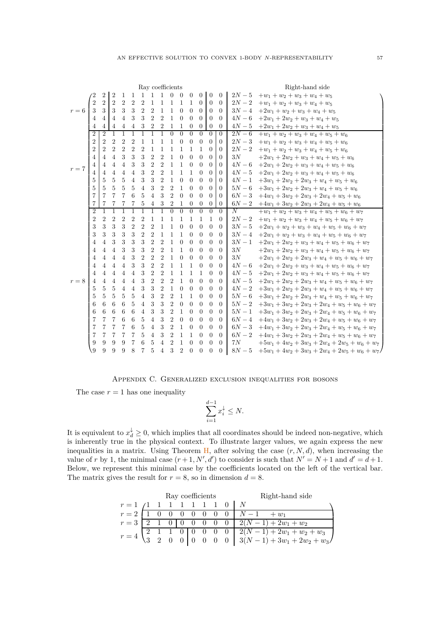|         |                |                |                |                |                |                |                |                | Ray coefficients |                |                |                |                  |                |          | Right-hand side                                 |
|---------|----------------|----------------|----------------|----------------|----------------|----------------|----------------|----------------|------------------|----------------|----------------|----------------|------------------|----------------|----------|-------------------------------------------------|
|         |                | 2              | $\overline{2}$ | 1              | 1              | $\overline{1}$ | 1              | 1              | $\overline{0}$   | $\Omega$       | $\Omega$       | $\Omega$       | $\theta$         | $\Omega$       | $2N-5$   | $+w_1+w_2+w_3+w_4+w_5$                          |
| $r=6$   | $\overline{2}$ | $\overline{2}$ | $\overline{2}$ | $\overline{2}$ | $\overline{2}$ | $\overline{2}$ | 1              | 1              | 1                | $\mathbf{1}$   | $\mathbf{1}$   | $\Omega$       | $\theta$         | $\Omega$       | $2N-2$   | $+w_1+w_2+w_3+w_4+w_5$                          |
|         | 3              | 3              | 3              | 3              | 3              | $\overline{2}$ | $\overline{2}$ | $\mathbf 1$    | 1                | $\theta$       | $\theta$       | $\Omega$       | $\theta$         | $\theta$       | $3N-4$   | $+2w_1+w_2+w_3+w_4+w_5$                         |
|         | 4              | 4              | 4              | 4              | 3              | 3              | $\overline{2}$ | $\overline{2}$ | 1                | $\Omega$       | $\Omega$       | $\Omega$       | $\Omega$         | $\Omega$       | $4N-6$   | $+2w_1+2w_2+w_3+w_4+w_5$                        |
|         | 4              | 4              | 4              | 4              | 4              | 3              | $\overline{2}$ | $\overline{2}$ | 1                | 1              | $\overline{0}$ | $\overline{0}$ | $\overline{0}$   | $\theta$       | $4N-5$   | $+2w_1+2w_2+w_3+w_4+w_5$                        |
|         | $\overline{2}$ | $\overline{2}$ | 1              |                |                |                |                |                | $\theta$         | $\theta$       | $\Omega$       | $\Omega$       | 0                | $\overline{0}$ | $2N-6$   | $+w_1+w_2+w_3+w_4+w_5+w_6$                      |
|         | $\overline{2}$ | $\overline{2}$ | $\overline{2}$ | $\overline{2}$ | 2              | 1              | 1              | 1              | 1                | $\Omega$       | $\Omega$       | $\Omega$       | $\Omega$         | $\Omega$       | $2N-3$   | $+w_1+w_2+w_3+w_4+w_5+w_6$                      |
|         | $\overline{2}$ | $\overline{2}$ | $\overline{2}$ | $\overline{2}$ | $\overline{2}$ | $\overline{2}$ | 1              | $\mathbf{1}$   | 1                | $\mathbf{1}$   | 1              | $\mathbf{1}$   | $\Omega$         | $\left($       | $2N - 2$ | $+w_1+w_2+w_3+w_4+w_5+w_6$                      |
|         | 4              | 4              | $\overline{4}$ | 3              | 3              | 3              | $\overline{2}$ | $\overline{2}$ | 1                | $\Omega$       | $\Omega$       | $\theta$       | $\Omega$         | $\left($       | 3N       | $+2w_1+2w_2+w_3+w_4+w_5+w_6$                    |
| $r=7$   | 4              | 4              | 4              | 4              | 3              | 3              | $\overline{2}$ | $\overline{2}$ | 1                | 1              | $\Omega$       | $\Omega$       | $\Omega$         | $\Omega$       | $4N-6$   | $+2w_1+2w_2+w_3+w_4+w_5+w_6$                    |
|         | 4              | 4              | 4              | 4              | 4              | 3              | $\overline{2}$ | $\overline{2}$ | 1                | 1              | $\mathbf{1}$   | $\Omega$       | $\Omega$         | 0              | $4N-5$   | $+2w_1+2w_2+w_3+w_4+w_5+w_6$                    |
|         | 5              | 5.             | 5              | 5              | 4              | 3              | 3              | $\overline{2}$ | 1                | $\Omega$       | $\Omega$       | $\Omega$       | $\Omega$         | $\left($       | $4N-1$   | $+3w_1+2w_2+2w_3+w_4+w_5+w_6$                   |
|         | 5              | 5              | 5              | 5              | 5              | 4              | 3              | $\overline{2}$ | $\overline{2}$   | 1              | $\Omega$       | $\Omega$       | $\theta$         | $\left($       | $5N-6$   | $+3w_1+2w_2+2w_3+w_4+w_5+w_6$                   |
|         | 7              | 7              | 7              | 7              | 6              | 5              | 4              | 3              | $\overline{2}$   | $\Omega$       | $\Omega$       | $\Omega$       | $\Omega$         | $\left($       | $6N-3$   | $+4w_1+3w_2+2w_3+2w_4+w_5+w_6$                  |
|         | 7              | 7              | 7              | 7              | 7              | 5              | $\overline{4}$ | 3              | $\overline{2}$   | $\mathbf{1}$   | $\theta$       | $\theta$       | $\theta$         | $\theta$       | $6N-2$   | $+4w_1+3w_2+2w_3+2w_4+w_5+w_6$                  |
|         | $\overline{2}$ |                |                |                | 1              | 1              | 1              | 1              | $\theta$         | $\theta$       | $\theta$       | $\theta$       | $\theta$         | $\Omega$       | N        | $+w_1+w_2+w_3+w_4+w_5+w_6+w_7$                  |
|         | $\overline{2}$ | $\overline{2}$ | $\overline{2}$ | $\overline{2}$ | 2              | $\overline{2}$ | 1              | 1              | 1                | 1              | 1              | 1              | 1                | $\Omega$       | $2N-2$   | $+w_1+w_2+w_3+w_4+w_5+w_6+w_7$                  |
|         | 3              | 3              | 3              | 3              | $\overline{2}$ | $\overline{2}$ | $\overline{2}$ | $\mathbf{1}$   | 1                | $\theta$       | $\theta$       | $\Omega$       | $\Omega$         | $\Omega$       | $3N-5$   | $+2w_1+w_2+w_3+w_4+w_5+w_6+w_7$                 |
|         | 3              | 3              | 3              | 3              | 3              | $\overline{2}$ | $\overline{2}$ | $\mathbf{1}$   | 1                | 1              | $\Omega$       | $\Omega$       | $\theta$         | $\Omega$       | $3N-4$   | $+2w_1+w_2+w_3+w_4+w_5+w_6+w_7$                 |
|         | 4              | 4              | 3              | 3              | 3              | 3              | $\overline{2}$ | $\overline{2}$ | 1                | $\Omega$       | $\Omega$       | $\Omega$       | $\Omega$         | $\Omega$       | $3N-1$   | $+2w_1+2w_2+w_3+w_4+w_5+w_6+w_7$                |
|         | 4              | 4              | 4              | 3              | 3              | 3              | $\overline{2}$ | $\overline{2}$ | 1                | 1              | $\theta$       | $\Omega$       | $\Omega$         | $\theta$       | 3N       | $+2w_1+2w_2+w_3+w_4+w_5+w_6+w_7$                |
|         | 4              | 4              | 4              | 4              | 3              | $\overline{2}$ | $\overline{2}$ | $\overline{2}$ | 1                | $\Omega$       | $\Omega$       | $\Omega$       | 0                | $\left($       | 3N       | $+2w_1+2w_2+2w_3+w_4+w_5+w_6+w_7$               |
|         | 4              | 4              | $\overline{4}$ | 4              | 3              | 3              | $\overline{2}$ | $\overline{2}$ | 1                | $\mathbf{1}$   | 1              | $\Omega$       | $\theta$         | $\Omega$       | $4N-6$   | $+2w_1+2w_2+w_3+w_4+w_5+w_6+w_7$                |
|         | 4              | 4              | $\overline{4}$ | $\overline{4}$ | $\overline{4}$ | 3              | $\overline{2}$ | $\overline{2}$ | 1                | $\mathbf{1}$   | 1              | 1              | $\Omega$         | $\theta$       | $4N-5$   | $+2w_1+2w_2+w_3+w_4+w_5+w_6+w_7$                |
| $r = 8$ | 4              | 4              | $\overline{4}$ | 4              | 4              | 3              | $\overline{2}$ | $\overline{2}$ | $\overline{2}$   | $\mathbf{1}$   | $\theta$       | $\theta$       | $\theta$         | $\theta$       | $4N-5$   | $+2w_1+2w_2+2w_3+w_4+w_5+w_6+w_7$               |
|         | 5              | 5              | 5              | 4              | 4              | 3              | 3              | $\overline{2}$ | 1                | $\theta$       | $\theta$       | $\Omega$       | $\Omega$         | $\Omega$       | $4N-2$   | $+3w_1 + 2w_2 + 2w_3 + w_4 + w_5 + w_6 + w_7$   |
|         | 5              | 5              | 5              | 5              | 5              | 4              | 3              | $\overline{2}$ | $\overline{2}$   | 1              | 1              | $\Omega$       | $\Omega$         | $\Omega$       | $5N-6$   | $+3w_1+2w_2+2w_3+w_4+w_5+w_6+w_7$               |
|         | 6              | 6              | 6              | 6              | 5              | 4              | 3              | 3              | $\overline{2}$   | $\theta$       | $\theta$       | $\Omega$       | $\left( \right)$ | 0              | $5N-2$   | $+3w_1+3w_2+2w_3+2w_4+w_5+w_6+w_7$              |
|         | 6              | 6              | 6              | 6              | 6              | 4              | 3              | 3              | $\overline{2}$   | 1              | $\Omega$       | $\Omega$       | $\Omega$         | $\Omega$       | $5N-1$   | $+3w_1+3w_2+2w_3+2w_4+w_5+w_6+w_7$              |
|         | 7              | 7              | 7              | 6              | 6              | 5              | $\overline{4}$ | 3              | $\overline{2}$   | $\theta$       | $\Omega$       | $\Omega$       | $\Omega$         | $\Omega$       | $6N-4$   | $+4w_1+3w_2+2w_3+2w_4+w_5+w_6+w_7$              |
|         | 7              | 7              | 7              | 7              | 6              | 5              | $\overline{4}$ | 3              | $\overline{2}$   | $\mathbf{1}$   | $\theta$       | $\Omega$       | $\theta$         | $\theta$       | $6N-3$   | $+4w_1+3w_2+2w_3+2w_4+w_5+w_6+w_7$              |
|         | 7              | 7              | 7              | 7              | 7              | 5              | $\overline{4}$ | 3              | $\overline{2}$   | $\mathbf{1}$   | 1              | $\Omega$       | $\Omega$         | $\Omega$       | $6N-2$   | $+4w_1+3w_2+2w_3+2w_4+w_5+w_6+w_7$              |
|         | 9              | 9              | 9              | 9              | 7              | 6              | 5              | 4              | $\overline{2}$   | 1              | $\theta$       | $\Omega$       | $\Omega$         | $\Omega$       | 7N       | $+5w_1 + 4w_2 + 3w_3 + 2w_4 + 2w_5 + w_6 + w_7$ |
|         | 9              | 9              | 9              | 9              | 8              | 7              | 5              | $\overline{4}$ | 3                | $\overline{2}$ | $\theta$       | $\theta$       | $\overline{0}$   | $\theta$       | $8N-5$   | $+5w_1 + 4w_2 + 3w_3 + 2w_4 + 2w_5 + w_6 + w_7$ |

### Appendix C. Generalized exclusion inequalities for bosons

<span id="page-58-0"></span>The case  $r = 1$  has one inequality

$$
\sum_{i=1}^{d-1} x_i^{\downarrow} \le N.
$$

It is equivalent to  $x_d^{\downarrow} \geq 0$ , which implies that all coordinates should be indeed non-negative, which is inherently true in the physical context. To illustrate larger values, we again express the new inequalities in a matrix. Using Theorem  $H$ , after solving the case  $(r, N, d)$ , when increasing the value of *r* by 1, the minimal case  $(r+1, N', d')$  to consider is such that  $N' = N + 1$  and  $d' = d + 1$ . Below, we represent this minimal case by the coefficients located on the left of the vertical bar. The matrix gives the result for  $r = 8$ , so in dimension  $d = 8$ .

|                            |  | Ray coefficients |  |  | Right-hand side                                                                                                                                        |
|----------------------------|--|------------------|--|--|--------------------------------------------------------------------------------------------------------------------------------------------------------|
| $r=1$ (1 1 1 1 1 1 1 0   N |  |                  |  |  |                                                                                                                                                        |
|                            |  |                  |  |  | $r = 2$   1 0 0 0 0 0 0 0   $N-1$ + $w_1$                                                                                                              |
|                            |  |                  |  |  | $r = 3 \begin{bmatrix} 2 & 1 & 0 & 0 & 0 & 0 & 0 & 0 & 2(N-1) + 2w_1 + w_2 \end{bmatrix}$                                                              |
| $r=4$                      |  |                  |  |  | $\begin{array}{c cccc} \hline 1 & 1 & 0 & 0 & 0 & 0 & 0 & 2(N-1) + 2w_1 + w_2 + w_3 \\ 2 & 0 & 0 & 0 & 0 & 0 & 3(N-1) + 3w_1 + 2w_2 + w_3 \end{array}$ |
|                            |  |                  |  |  |                                                                                                                                                        |